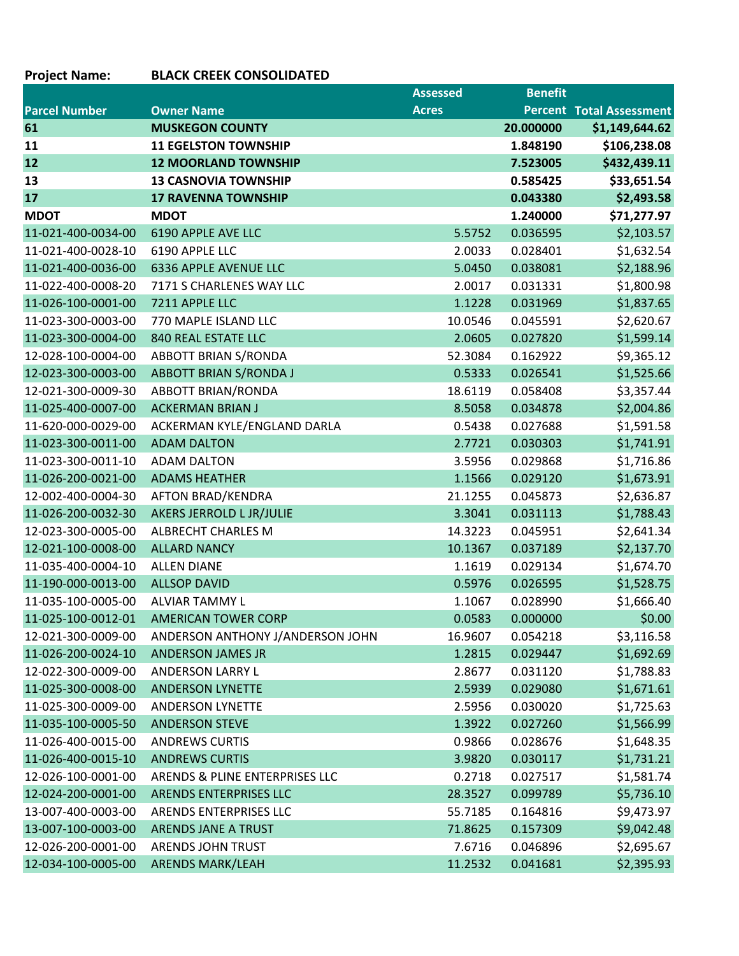## **Project Name: BLACK CREEK CONSOLIDATED**

|                      |                                  | <b>Assessed</b> | <b>Benefit</b> |                                 |
|----------------------|----------------------------------|-----------------|----------------|---------------------------------|
| <b>Parcel Number</b> | <b>Owner Name</b>                | <b>Acres</b>    |                | <b>Percent Total Assessment</b> |
| 61                   | <b>MUSKEGON COUNTY</b>           |                 | 20.000000      | \$1,149,644.62                  |
| 11                   | <b>11 EGELSTON TOWNSHIP</b>      |                 | 1.848190       | \$106,238.08                    |
| 12                   | <b>12 MOORLAND TOWNSHIP</b>      |                 | 7.523005       | \$432,439.11                    |
| 13                   | <b>13 CASNOVIA TOWNSHIP</b>      |                 | 0.585425       | \$33,651.54                     |
| 17                   | <b>17 RAVENNA TOWNSHIP</b>       |                 | 0.043380       | \$2,493.58                      |
| <b>MDOT</b>          | <b>MDOT</b>                      |                 | 1.240000       | \$71,277.97                     |
| 11-021-400-0034-00   | 6190 APPLE AVE LLC               | 5.5752          | 0.036595       | \$2,103.57                      |
| 11-021-400-0028-10   | 6190 APPLE LLC                   | 2.0033          | 0.028401       | \$1,632.54                      |
| 11-021-400-0036-00   | 6336 APPLE AVENUE LLC            | 5.0450          | 0.038081       | \$2,188.96                      |
| 11-022-400-0008-20   | 7171 S CHARLENES WAY LLC         | 2.0017          | 0.031331       | \$1,800.98                      |
| 11-026-100-0001-00   | 7211 APPLE LLC                   | 1.1228          | 0.031969       | \$1,837.65                      |
| 11-023-300-0003-00   | 770 MAPLE ISLAND LLC             | 10.0546         | 0.045591       | \$2,620.67                      |
| 11-023-300-0004-00   | <b>840 REAL ESTATE LLC</b>       | 2.0605          | 0.027820       | \$1,599.14                      |
| 12-028-100-0004-00   | <b>ABBOTT BRIAN S/RONDA</b>      | 52.3084         | 0.162922       | \$9,365.12                      |
| 12-023-300-0003-00   | <b>ABBOTT BRIAN S/RONDA J</b>    | 0.5333          | 0.026541       | \$1,525.66                      |
| 12-021-300-0009-30   | <b>ABBOTT BRIAN/RONDA</b>        | 18.6119         | 0.058408       | \$3,357.44                      |
| 11-025-400-0007-00   | <b>ACKERMAN BRIAN J</b>          | 8.5058          | 0.034878       | \$2,004.86                      |
| 11-620-000-0029-00   | ACKERMAN KYLE/ENGLAND DARLA      | 0.5438          | 0.027688       | \$1,591.58                      |
| 11-023-300-0011-00   | <b>ADAM DALTON</b>               | 2.7721          | 0.030303       | \$1,741.91                      |
| 11-023-300-0011-10   | <b>ADAM DALTON</b>               | 3.5956          | 0.029868       | \$1,716.86                      |
| 11-026-200-0021-00   | <b>ADAMS HEATHER</b>             | 1.1566          | 0.029120       | \$1,673.91                      |
| 12-002-400-0004-30   | <b>AFTON BRAD/KENDRA</b>         | 21.1255         | 0.045873       | \$2,636.87                      |
| 11-026-200-0032-30   | AKERS JERROLD L JR/JULIE         | 3.3041          | 0.031113       | \$1,788.43                      |
| 12-023-300-0005-00   | <b>ALBRECHT CHARLES M</b>        | 14.3223         | 0.045951       | \$2,641.34                      |
| 12-021-100-0008-00   | <b>ALLARD NANCY</b>              | 10.1367         | 0.037189       | \$2,137.70                      |
| 11-035-400-0004-10   | <b>ALLEN DIANE</b>               | 1.1619          | 0.029134       | \$1,674.70                      |
| 11-190-000-0013-00   | <b>ALLSOP DAVID</b>              | 0.5976          | 0.026595       | \$1,528.75                      |
| 11-035-100-0005-00   | <b>ALVIAR TAMMY L</b>            | 1.1067          | 0.028990       | \$1,666.40                      |
| 11-025-100-0012-01   | <b>AMERICAN TOWER CORP</b>       | 0.0583          | 0.000000       | \$0.00                          |
| 12-021-300-0009-00   | ANDERSON ANTHONY J/ANDERSON JOHN | 16.9607         | 0.054218       | \$3,116.58                      |
| 11-026-200-0024-10   | <b>ANDERSON JAMES JR</b>         | 1.2815          | 0.029447       | \$1,692.69                      |
| 12-022-300-0009-00   | ANDERSON LARRY L                 | 2.8677          | 0.031120       | \$1,788.83                      |
| 11-025-300-0008-00   | <b>ANDERSON LYNETTE</b>          | 2.5939          | 0.029080       | \$1,671.61                      |
| 11-025-300-0009-00   | ANDERSON LYNETTE                 | 2.5956          | 0.030020       | \$1,725.63                      |
| 11-035-100-0005-50   | <b>ANDERSON STEVE</b>            | 1.3922          | 0.027260       | \$1,566.99                      |
| 11-026-400-0015-00   | <b>ANDREWS CURTIS</b>            | 0.9866          | 0.028676       | \$1,648.35                      |
| 11-026-400-0015-10   | <b>ANDREWS CURTIS</b>            | 3.9820          | 0.030117       | \$1,731.21                      |
| 12-026-100-0001-00   | ARENDS & PLINE ENTERPRISES LLC   | 0.2718          | 0.027517       | \$1,581.74                      |
| 12-024-200-0001-00   | <b>ARENDS ENTERPRISES LLC</b>    | 28.3527         | 0.099789       | \$5,736.10                      |
| 13-007-400-0003-00   | <b>ARENDS ENTERPRISES LLC</b>    | 55.7185         | 0.164816       | \$9,473.97                      |
| 13-007-100-0003-00   | ARENDS JANE A TRUST              | 71.8625         | 0.157309       | \$9,042.48                      |
| 12-026-200-0001-00   | <b>ARENDS JOHN TRUST</b>         | 7.6716          | 0.046896       | \$2,695.67                      |
| 12-034-100-0005-00   | <b>ARENDS MARK/LEAH</b>          | 11.2532         | 0.041681       | \$2,395.93                      |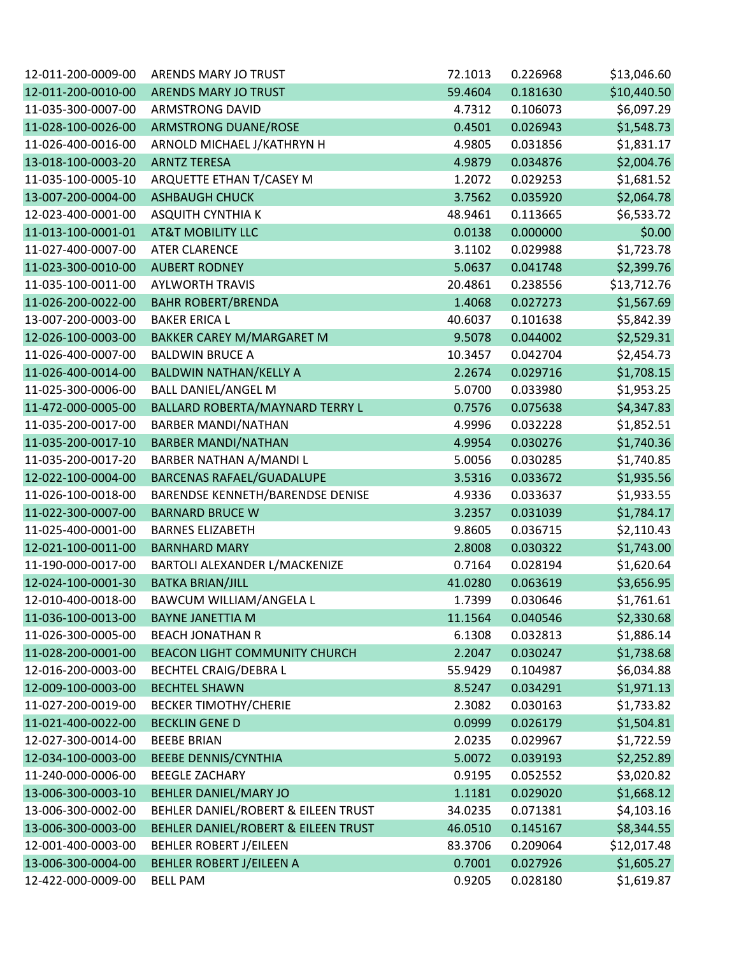| 12-011-200-0009-00 | ARENDS MARY JO TRUST                | 72.1013 | 0.226968 | \$13,046.60 |
|--------------------|-------------------------------------|---------|----------|-------------|
| 12-011-200-0010-00 | ARENDS MARY JO TRUST                | 59.4604 | 0.181630 | \$10,440.50 |
| 11-035-300-0007-00 | <b>ARMSTRONG DAVID</b>              | 4.7312  | 0.106073 | \$6,097.29  |
| 11-028-100-0026-00 | <b>ARMSTRONG DUANE/ROSE</b>         | 0.4501  | 0.026943 | \$1,548.73  |
| 11-026-400-0016-00 | ARNOLD MICHAEL J/KATHRYN H          | 4.9805  | 0.031856 | \$1,831.17  |
| 13-018-100-0003-20 | <b>ARNTZ TERESA</b>                 | 4.9879  | 0.034876 | \$2,004.76  |
| 11-035-100-0005-10 | ARQUETTE ETHAN T/CASEY M            | 1.2072  | 0.029253 | \$1,681.52  |
| 13-007-200-0004-00 | <b>ASHBAUGH CHUCK</b>               | 3.7562  | 0.035920 | \$2,064.78  |
| 12-023-400-0001-00 | <b>ASQUITH CYNTHIA K</b>            | 48.9461 | 0.113665 | \$6,533.72  |
| 11-013-100-0001-01 | <b>AT&amp;T MOBILITY LLC</b>        | 0.0138  | 0.000000 | \$0.00      |
| 11-027-400-0007-00 | <b>ATER CLARENCE</b>                | 3.1102  | 0.029988 | \$1,723.78  |
| 11-023-300-0010-00 | <b>AUBERT RODNEY</b>                | 5.0637  | 0.041748 | \$2,399.76  |
| 11-035-100-0011-00 | <b>AYLWORTH TRAVIS</b>              | 20.4861 | 0.238556 | \$13,712.76 |
| 11-026-200-0022-00 | <b>BAHR ROBERT/BRENDA</b>           | 1.4068  | 0.027273 | \$1,567.69  |
| 13-007-200-0003-00 | <b>BAKER ERICA L</b>                | 40.6037 | 0.101638 | \$5,842.39  |
| 12-026-100-0003-00 | BAKKER CAREY M/MARGARET M           | 9.5078  | 0.044002 | \$2,529.31  |
| 11-026-400-0007-00 | <b>BALDWIN BRUCE A</b>              | 10.3457 | 0.042704 | \$2,454.73  |
| 11-026-400-0014-00 | <b>BALDWIN NATHAN/KELLY A</b>       | 2.2674  | 0.029716 | \$1,708.15  |
| 11-025-300-0006-00 | <b>BALL DANIEL/ANGEL M</b>          | 5.0700  | 0.033980 | \$1,953.25  |
| 11-472-000-0005-00 | BALLARD ROBERTA/MAYNARD TERRY L     | 0.7576  | 0.075638 | \$4,347.83  |
| 11-035-200-0017-00 | <b>BARBER MANDI/NATHAN</b>          | 4.9996  | 0.032228 | \$1,852.51  |
| 11-035-200-0017-10 | <b>BARBER MANDI/NATHAN</b>          | 4.9954  | 0.030276 | \$1,740.36  |
| 11-035-200-0017-20 | BARBER NATHAN A/MANDI L             | 5.0056  | 0.030285 | \$1,740.85  |
| 12-022-100-0004-00 | <b>BARCENAS RAFAEL/GUADALUPE</b>    | 3.5316  | 0.033672 | \$1,935.56  |
| 11-026-100-0018-00 | BARENDSE KENNETH/BARENDSE DENISE    | 4.9336  | 0.033637 | \$1,933.55  |
| 11-022-300-0007-00 | <b>BARNARD BRUCE W</b>              | 3.2357  | 0.031039 | \$1,784.17  |
| 11-025-400-0001-00 | <b>BARNES ELIZABETH</b>             | 9.8605  | 0.036715 | \$2,110.43  |
| 12-021-100-0011-00 | <b>BARNHARD MARY</b>                | 2.8008  | 0.030322 | \$1,743.00  |
| 11-190-000-0017-00 | BARTOLI ALEXANDER L/MACKENIZE       | 0.7164  | 0.028194 | \$1,620.64  |
| 12-024-100-0001-30 | <b>BATKA BRIAN/JILL</b>             | 41.0280 | 0.063619 | \$3,656.95  |
| 12-010-400-0018-00 | BAWCUM WILLIAM/ANGELA L             | 1.7399  | 0.030646 | \$1,761.61  |
| 11-036-100-0013-00 | <b>BAYNE JANETTIA M</b>             | 11.1564 | 0.040546 | \$2,330.68  |
| 11-026-300-0005-00 | <b>BEACH JONATHAN R</b>             | 6.1308  | 0.032813 | \$1,886.14  |
| 11-028-200-0001-00 | BEACON LIGHT COMMUNITY CHURCH       | 2.2047  | 0.030247 | \$1,738.68  |
| 12-016-200-0003-00 | <b>BECHTEL CRAIG/DEBRA L</b>        | 55.9429 | 0.104987 | \$6,034.88  |
| 12-009-100-0003-00 | <b>BECHTEL SHAWN</b>                | 8.5247  | 0.034291 | \$1,971.13  |
| 11-027-200-0019-00 | <b>BECKER TIMOTHY/CHERIE</b>        | 2.3082  | 0.030163 | \$1,733.82  |
| 11-021-400-0022-00 | <b>BECKLIN GENE D</b>               | 0.0999  | 0.026179 | \$1,504.81  |
| 12-027-300-0014-00 | <b>BEEBE BRIAN</b>                  | 2.0235  | 0.029967 | \$1,722.59  |
| 12-034-100-0003-00 | <b>BEEBE DENNIS/CYNTHIA</b>         | 5.0072  | 0.039193 | \$2,252.89  |
| 11-240-000-0006-00 | <b>BEEGLE ZACHARY</b>               | 0.9195  | 0.052552 | \$3,020.82  |
| 13-006-300-0003-10 | <b>BEHLER DANIEL/MARY JO</b>        | 1.1181  | 0.029020 | \$1,668.12  |
| 13-006-300-0002-00 | BEHLER DANIEL/ROBERT & EILEEN TRUST | 34.0235 | 0.071381 | \$4,103.16  |
| 13-006-300-0003-00 | BEHLER DANIEL/ROBERT & EILEEN TRUST | 46.0510 | 0.145167 | \$8,344.55  |
| 12-001-400-0003-00 | <b>BEHLER ROBERT J/EILEEN</b>       | 83.3706 | 0.209064 | \$12,017.48 |
| 13-006-300-0004-00 | <b>BEHLER ROBERT J/EILEEN A</b>     | 0.7001  | 0.027926 | \$1,605.27  |
| 12-422-000-0009-00 | <b>BELL PAM</b>                     | 0.9205  | 0.028180 | \$1,619.87  |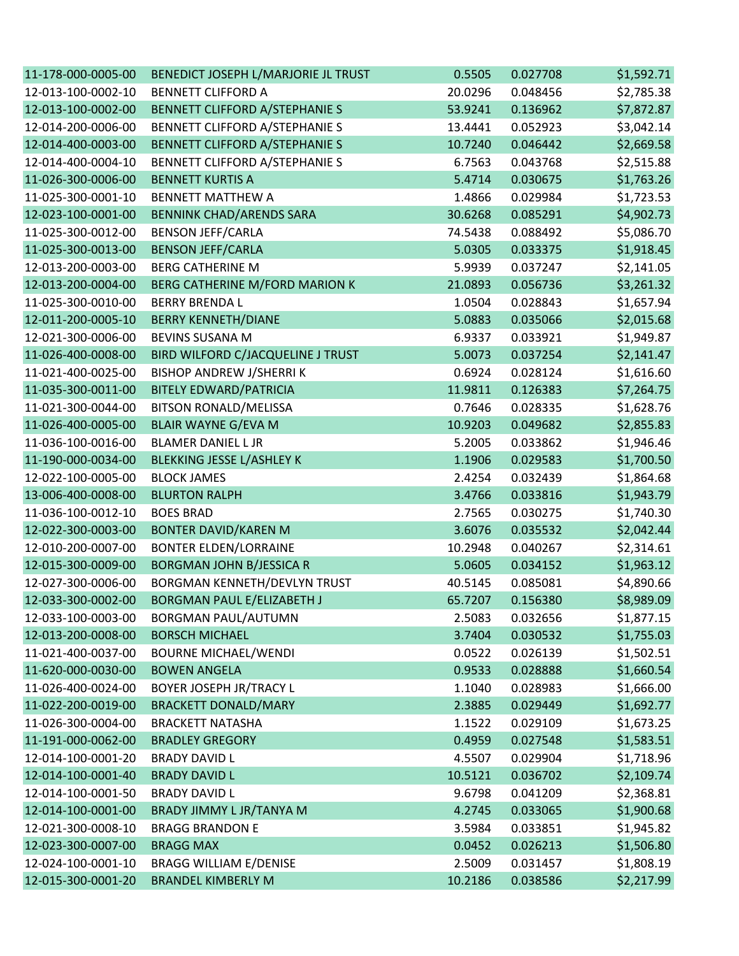| 11-178-000-0005-00 | BENEDICT JOSEPH L/MARJORIE JL TRUST   | 0.5505  | 0.027708 | \$1,592.71 |
|--------------------|---------------------------------------|---------|----------|------------|
| 12-013-100-0002-10 | <b>BENNETT CLIFFORD A</b>             | 20.0296 | 0.048456 | \$2,785.38 |
| 12-013-100-0002-00 | <b>BENNETT CLIFFORD A/STEPHANIE S</b> | 53.9241 | 0.136962 | \$7,872.87 |
| 12-014-200-0006-00 | BENNETT CLIFFORD A/STEPHANIE S        | 13.4441 | 0.052923 | \$3,042.14 |
| 12-014-400-0003-00 | BENNETT CLIFFORD A/STEPHANIE S        | 10.7240 | 0.046442 | \$2,669.58 |
| 12-014-400-0004-10 | BENNETT CLIFFORD A/STEPHANIE S        | 6.7563  | 0.043768 | \$2,515.88 |
| 11-026-300-0006-00 | <b>BENNETT KURTIS A</b>               | 5.4714  | 0.030675 | \$1,763.26 |
| 11-025-300-0001-10 | <b>BENNETT MATTHEW A</b>              | 1.4866  | 0.029984 | \$1,723.53 |
| 12-023-100-0001-00 | <b>BENNINK CHAD/ARENDS SARA</b>       | 30.6268 | 0.085291 | \$4,902.73 |
| 11-025-300-0012-00 | <b>BENSON JEFF/CARLA</b>              | 74.5438 | 0.088492 | \$5,086.70 |
| 11-025-300-0013-00 | <b>BENSON JEFF/CARLA</b>              | 5.0305  | 0.033375 | \$1,918.45 |
| 12-013-200-0003-00 | <b>BERG CATHERINE M</b>               | 5.9939  | 0.037247 | \$2,141.05 |
| 12-013-200-0004-00 | BERG CATHERINE M/FORD MARION K        | 21.0893 | 0.056736 | \$3,261.32 |
| 11-025-300-0010-00 | <b>BERRY BRENDA L</b>                 | 1.0504  | 0.028843 | \$1,657.94 |
| 12-011-200-0005-10 | <b>BERRY KENNETH/DIANE</b>            | 5.0883  | 0.035066 | \$2,015.68 |
| 12-021-300-0006-00 | <b>BEVINS SUSANA M</b>                | 6.9337  | 0.033921 | \$1,949.87 |
| 11-026-400-0008-00 | BIRD WILFORD C/JACQUELINE J TRUST     | 5.0073  | 0.037254 | \$2,141.47 |
| 11-021-400-0025-00 | <b>BISHOP ANDREW J/SHERRIK</b>        | 0.6924  | 0.028124 | \$1,616.60 |
| 11-035-300-0011-00 | <b>BITELY EDWARD/PATRICIA</b>         | 11.9811 | 0.126383 | \$7,264.75 |
| 11-021-300-0044-00 | <b>BITSON RONALD/MELISSA</b>          | 0.7646  | 0.028335 | \$1,628.76 |
| 11-026-400-0005-00 | <b>BLAIR WAYNE G/EVA M</b>            | 10.9203 | 0.049682 | \$2,855.83 |
| 11-036-100-0016-00 | <b>BLAMER DANIEL L JR</b>             | 5.2005  | 0.033862 | \$1,946.46 |
| 11-190-000-0034-00 | <b>BLEKKING JESSE L/ASHLEY K</b>      | 1.1906  | 0.029583 | \$1,700.50 |
| 12-022-100-0005-00 | <b>BLOCK JAMES</b>                    | 2.4254  | 0.032439 | \$1,864.68 |
| 13-006-400-0008-00 | <b>BLURTON RALPH</b>                  | 3.4766  | 0.033816 | \$1,943.79 |
| 11-036-100-0012-10 | <b>BOES BRAD</b>                      | 2.7565  | 0.030275 | \$1,740.30 |
| 12-022-300-0003-00 | <b>BONTER DAVID/KAREN M</b>           | 3.6076  | 0.035532 | \$2,042.44 |
| 12-010-200-0007-00 | <b>BONTER ELDEN/LORRAINE</b>          | 10.2948 | 0.040267 | \$2,314.61 |
| 12-015-300-0009-00 | <b>BORGMAN JOHN B/JESSICA R</b>       | 5.0605  | 0.034152 | \$1,963.12 |
| 12-027-300-0006-00 | BORGMAN KENNETH/DEVLYN TRUST          | 40.5145 | 0.085081 | \$4,890.66 |
| 12-033-300-0002-00 | <b>BORGMAN PAUL E/ELIZABETH J</b>     | 65.7207 | 0.156380 | \$8,989.09 |
| 12-033-100-0003-00 | <b>BORGMAN PAUL/AUTUMN</b>            | 2.5083  | 0.032656 | \$1,877.15 |
| 12-013-200-0008-00 | <b>BORSCH MICHAEL</b>                 | 3.7404  | 0.030532 | \$1,755.03 |
| 11-021-400-0037-00 | <b>BOURNE MICHAEL/WENDI</b>           | 0.0522  | 0.026139 | \$1,502.51 |
| 11-620-000-0030-00 | <b>BOWEN ANGELA</b>                   | 0.9533  | 0.028888 | \$1,660.54 |
| 11-026-400-0024-00 | BOYER JOSEPH JR/TRACY L               | 1.1040  | 0.028983 | \$1,666.00 |
| 11-022-200-0019-00 | <b>BRACKETT DONALD/MARY</b>           | 2.3885  | 0.029449 | \$1,692.77 |
| 11-026-300-0004-00 | <b>BRACKETT NATASHA</b>               | 1.1522  | 0.029109 | \$1,673.25 |
| 11-191-000-0062-00 | <b>BRADLEY GREGORY</b>                | 0.4959  | 0.027548 | \$1,583.51 |
| 12-014-100-0001-20 | <b>BRADY DAVID L</b>                  | 4.5507  | 0.029904 | \$1,718.96 |
| 12-014-100-0001-40 | <b>BRADY DAVID L</b>                  | 10.5121 | 0.036702 | \$2,109.74 |
| 12-014-100-0001-50 | <b>BRADY DAVID L</b>                  | 9.6798  | 0.041209 | \$2,368.81 |
| 12-014-100-0001-00 | BRADY JIMMY L JR/TANYA M              | 4.2745  | 0.033065 | \$1,900.68 |
| 12-021-300-0008-10 | <b>BRAGG BRANDON E</b>                | 3.5984  | 0.033851 | \$1,945.82 |
| 12-023-300-0007-00 | <b>BRAGG MAX</b>                      | 0.0452  | 0.026213 | \$1,506.80 |
| 12-024-100-0001-10 | <b>BRAGG WILLIAM E/DENISE</b>         | 2.5009  | 0.031457 | \$1,808.19 |
| 12-015-300-0001-20 | <b>BRANDEL KIMBERLY M</b>             | 10.2186 | 0.038586 | \$2,217.99 |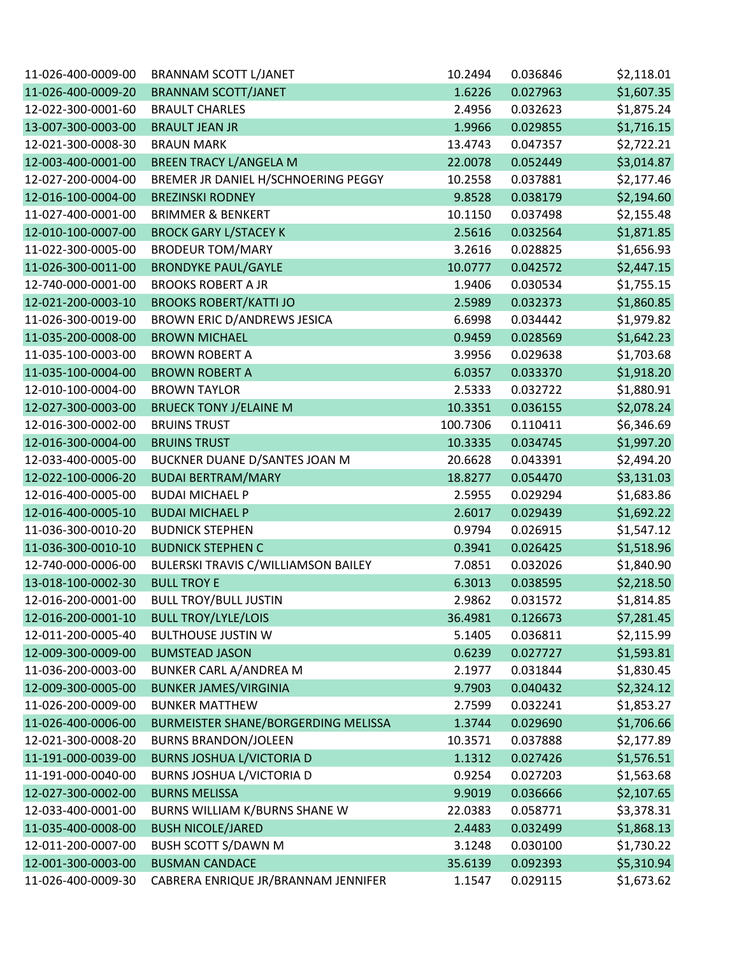| 11-026-400-0009-00 | <b>BRANNAM SCOTT L/JANET</b>        | 10.2494  | 0.036846 | \$2,118.01 |
|--------------------|-------------------------------------|----------|----------|------------|
| 11-026-400-0009-20 | <b>BRANNAM SCOTT/JANET</b>          | 1.6226   | 0.027963 | \$1,607.35 |
| 12-022-300-0001-60 | <b>BRAULT CHARLES</b>               | 2.4956   | 0.032623 | \$1,875.24 |
| 13-007-300-0003-00 | <b>BRAULT JEAN JR</b>               | 1.9966   | 0.029855 | \$1,716.15 |
| 12-021-300-0008-30 | <b>BRAUN MARK</b>                   | 13.4743  | 0.047357 | \$2,722.21 |
| 12-003-400-0001-00 | <b>BREEN TRACY L/ANGELA M</b>       | 22.0078  | 0.052449 | \$3,014.87 |
| 12-027-200-0004-00 | BREMER JR DANIEL H/SCHNOERING PEGGY | 10.2558  | 0.037881 | \$2,177.46 |
| 12-016-100-0004-00 | <b>BREZINSKI RODNEY</b>             | 9.8528   | 0.038179 | \$2,194.60 |
| 11-027-400-0001-00 | <b>BRIMMER &amp; BENKERT</b>        | 10.1150  | 0.037498 | \$2,155.48 |
| 12-010-100-0007-00 | <b>BROCK GARY L/STACEY K</b>        | 2.5616   | 0.032564 | \$1,871.85 |
| 11-022-300-0005-00 | <b>BRODEUR TOM/MARY</b>             | 3.2616   | 0.028825 | \$1,656.93 |
| 11-026-300-0011-00 | <b>BRONDYKE PAUL/GAYLE</b>          | 10.0777  | 0.042572 | \$2,447.15 |
| 12-740-000-0001-00 | <b>BROOKS ROBERT A JR</b>           | 1.9406   | 0.030534 | \$1,755.15 |
| 12-021-200-0003-10 | <b>BROOKS ROBERT/KATTI JO</b>       | 2.5989   | 0.032373 | \$1,860.85 |
| 11-026-300-0019-00 | BROWN ERIC D/ANDREWS JESICA         | 6.6998   | 0.034442 | \$1,979.82 |
| 11-035-200-0008-00 | <b>BROWN MICHAEL</b>                | 0.9459   | 0.028569 | \$1,642.23 |
| 11-035-100-0003-00 | <b>BROWN ROBERT A</b>               | 3.9956   | 0.029638 | \$1,703.68 |
| 11-035-100-0004-00 | <b>BROWN ROBERT A</b>               | 6.0357   | 0.033370 | \$1,918.20 |
| 12-010-100-0004-00 | <b>BROWN TAYLOR</b>                 | 2.5333   | 0.032722 | \$1,880.91 |
| 12-027-300-0003-00 | <b>BRUECK TONY J/ELAINE M</b>       | 10.3351  | 0.036155 | \$2,078.24 |
| 12-016-300-0002-00 | <b>BRUINS TRUST</b>                 | 100.7306 | 0.110411 | \$6,346.69 |
| 12-016-300-0004-00 | <b>BRUINS TRUST</b>                 | 10.3335  | 0.034745 | \$1,997.20 |
| 12-033-400-0005-00 | BUCKNER DUANE D/SANTES JOAN M       | 20.6628  | 0.043391 | \$2,494.20 |
| 12-022-100-0006-20 | <b>BUDAI BERTRAM/MARY</b>           | 18.8277  | 0.054470 | \$3,131.03 |
| 12-016-400-0005-00 | <b>BUDAI MICHAEL P</b>              | 2.5955   | 0.029294 | \$1,683.86 |
| 12-016-400-0005-10 | <b>BUDAI MICHAEL P</b>              | 2.6017   | 0.029439 | \$1,692.22 |
| 11-036-300-0010-20 | <b>BUDNICK STEPHEN</b>              | 0.9794   | 0.026915 | \$1,547.12 |
| 11-036-300-0010-10 | <b>BUDNICK STEPHEN C</b>            | 0.3941   | 0.026425 | \$1,518.96 |
| 12-740-000-0006-00 | BULERSKI TRAVIS C/WILLIAMSON BAILEY | 7.0851   | 0.032026 | \$1,840.90 |
| 13-018-100-0002-30 | <b>BULL TROY E</b>                  | 6.3013   | 0.038595 | \$2,218.50 |
| 12-016-200-0001-00 | <b>BULL TROY/BULL JUSTIN</b>        | 2.9862   | 0.031572 | \$1,814.85 |
| 12-016-200-0001-10 | <b>BULL TROY/LYLE/LOIS</b>          | 36.4981  | 0.126673 | \$7,281.45 |
| 12-011-200-0005-40 | <b>BULTHOUSE JUSTIN W</b>           | 5.1405   | 0.036811 | \$2,115.99 |
| 12-009-300-0009-00 | <b>BUMSTEAD JASON</b>               | 0.6239   | 0.027727 | \$1,593.81 |
| 11-036-200-0003-00 | <b>BUNKER CARL A/ANDREA M</b>       | 2.1977   | 0.031844 | \$1,830.45 |
| 12-009-300-0005-00 | <b>BUNKER JAMES/VIRGINIA</b>        | 9.7903   | 0.040432 | \$2,324.12 |
| 11-026-200-0009-00 | <b>BUNKER MATTHEW</b>               | 2.7599   | 0.032241 | \$1,853.27 |
| 11-026-400-0006-00 | BURMEISTER SHANE/BORGERDING MELISSA | 1.3744   | 0.029690 | \$1,706.66 |
| 12-021-300-0008-20 | <b>BURNS BRANDON/JOLEEN</b>         | 10.3571  | 0.037888 | \$2,177.89 |
| 11-191-000-0039-00 | <b>BURNS JOSHUA L/VICTORIA D</b>    | 1.1312   | 0.027426 | \$1,576.51 |
| 11-191-000-0040-00 | BURNS JOSHUA L/VICTORIA D           | 0.9254   | 0.027203 | \$1,563.68 |
| 12-027-300-0002-00 | <b>BURNS MELISSA</b>                | 9.9019   | 0.036666 | \$2,107.65 |
| 12-033-400-0001-00 | BURNS WILLIAM K/BURNS SHANE W       | 22.0383  | 0.058771 | \$3,378.31 |
| 11-035-400-0008-00 | <b>BUSH NICOLE/JARED</b>            | 2.4483   | 0.032499 | \$1,868.13 |
| 12-011-200-0007-00 | <b>BUSH SCOTT S/DAWN M</b>          | 3.1248   | 0.030100 | \$1,730.22 |
| 12-001-300-0003-00 | <b>BUSMAN CANDACE</b>               | 35.6139  | 0.092393 | \$5,310.94 |
| 11-026-400-0009-30 | CABRERA ENRIQUE JR/BRANNAM JENNIFER | 1.1547   | 0.029115 | \$1,673.62 |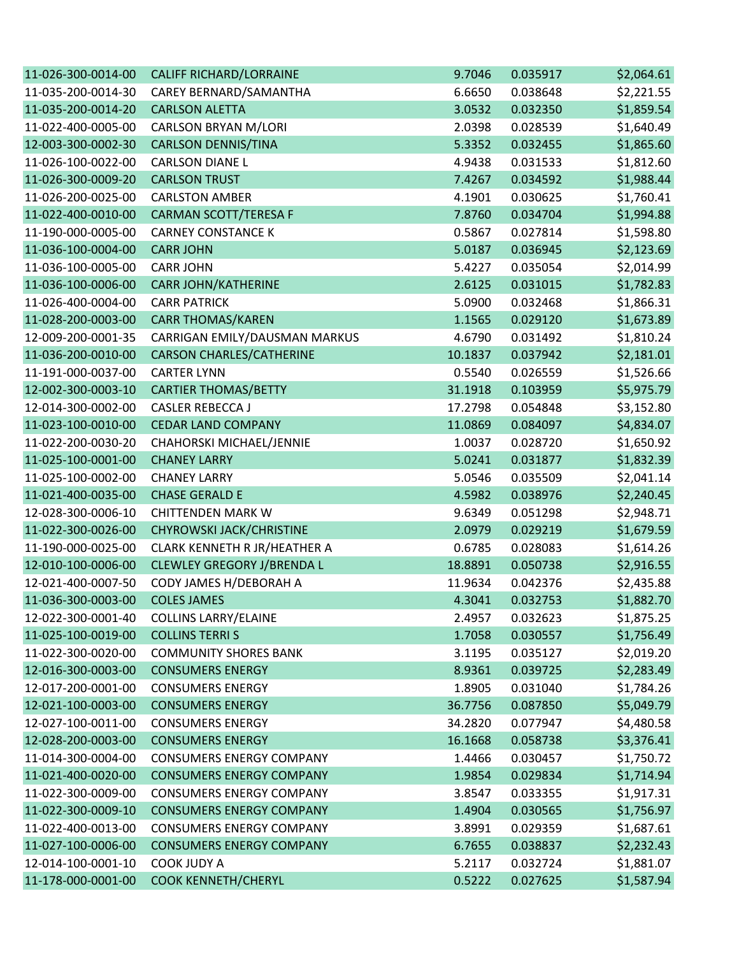| 11-026-300-0014-00 | <b>CALIFF RICHARD/LORRAINE</b>    | 9.7046  | 0.035917 | \$2,064.61 |
|--------------------|-----------------------------------|---------|----------|------------|
| 11-035-200-0014-30 | CAREY BERNARD/SAMANTHA            | 6.6650  | 0.038648 | \$2,221.55 |
| 11-035-200-0014-20 | <b>CARLSON ALETTA</b>             | 3.0532  | 0.032350 | \$1,859.54 |
| 11-022-400-0005-00 | <b>CARLSON BRYAN M/LORI</b>       | 2.0398  | 0.028539 | \$1,640.49 |
| 12-003-300-0002-30 | <b>CARLSON DENNIS/TINA</b>        | 5.3352  | 0.032455 | \$1,865.60 |
| 11-026-100-0022-00 | <b>CARLSON DIANE L</b>            | 4.9438  | 0.031533 | \$1,812.60 |
| 11-026-300-0009-20 | <b>CARLSON TRUST</b>              | 7.4267  | 0.034592 | \$1,988.44 |
| 11-026-200-0025-00 | <b>CARLSTON AMBER</b>             | 4.1901  | 0.030625 | \$1,760.41 |
| 11-022-400-0010-00 | CARMAN SCOTT/TERESA F             | 7.8760  | 0.034704 | \$1,994.88 |
| 11-190-000-0005-00 | <b>CARNEY CONSTANCE K</b>         | 0.5867  | 0.027814 | \$1,598.80 |
| 11-036-100-0004-00 | <b>CARR JOHN</b>                  | 5.0187  | 0.036945 | \$2,123.69 |
| 11-036-100-0005-00 | <b>CARR JOHN</b>                  | 5.4227  | 0.035054 | \$2,014.99 |
| 11-036-100-0006-00 | <b>CARR JOHN/KATHERINE</b>        | 2.6125  | 0.031015 | \$1,782.83 |
| 11-026-400-0004-00 | <b>CARR PATRICK</b>               | 5.0900  | 0.032468 | \$1,866.31 |
| 11-028-200-0003-00 | <b>CARR THOMAS/KAREN</b>          | 1.1565  | 0.029120 | \$1,673.89 |
| 12-009-200-0001-35 | CARRIGAN EMILY/DAUSMAN MARKUS     | 4.6790  | 0.031492 | \$1,810.24 |
| 11-036-200-0010-00 | <b>CARSON CHARLES/CATHERINE</b>   | 10.1837 | 0.037942 | \$2,181.01 |
| 11-191-000-0037-00 | <b>CARTER LYNN</b>                | 0.5540  | 0.026559 | \$1,526.66 |
| 12-002-300-0003-10 | <b>CARTIER THOMAS/BETTY</b>       | 31.1918 | 0.103959 | \$5,975.79 |
| 12-014-300-0002-00 | <b>CASLER REBECCA J</b>           | 17.2798 | 0.054848 | \$3,152.80 |
| 11-023-100-0010-00 | <b>CEDAR LAND COMPANY</b>         | 11.0869 | 0.084097 | \$4,834.07 |
| 11-022-200-0030-20 | CHAHORSKI MICHAEL/JENNIE          | 1.0037  | 0.028720 | \$1,650.92 |
| 11-025-100-0001-00 | <b>CHANEY LARRY</b>               | 5.0241  | 0.031877 | \$1,832.39 |
| 11-025-100-0002-00 | <b>CHANEY LARRY</b>               | 5.0546  | 0.035509 | \$2,041.14 |
| 11-021-400-0035-00 | <b>CHASE GERALD E</b>             | 4.5982  | 0.038976 | \$2,240.45 |
| 12-028-300-0006-10 | <b>CHITTENDEN MARK W</b>          | 9.6349  | 0.051298 | \$2,948.71 |
| 11-022-300-0026-00 | CHYROWSKI JACK/CHRISTINE          | 2.0979  | 0.029219 | \$1,679.59 |
| 11-190-000-0025-00 | CLARK KENNETH R JR/HEATHER A      | 0.6785  | 0.028083 | \$1,614.26 |
| 12-010-100-0006-00 | <b>CLEWLEY GREGORY J/BRENDA L</b> | 18.8891 | 0.050738 | \$2,916.55 |
| 12-021-400-0007-50 | CODY JAMES H/DEBORAH A            | 11.9634 | 0.042376 | \$2,435.88 |
| 11-036-300-0003-00 | <b>COLES JAMES</b>                | 4.3041  | 0.032753 | \$1,882.70 |
| 12-022-300-0001-40 | <b>COLLINS LARRY/ELAINE</b>       | 2.4957  | 0.032623 | \$1,875.25 |
| 11-025-100-0019-00 | <b>COLLINS TERRIS</b>             | 1.7058  | 0.030557 | \$1,756.49 |
| 11-022-300-0020-00 | <b>COMMUNITY SHORES BANK</b>      | 3.1195  | 0.035127 | \$2,019.20 |
| 12-016-300-0003-00 | <b>CONSUMERS ENERGY</b>           | 8.9361  | 0.039725 | \$2,283.49 |
| 12-017-200-0001-00 | <b>CONSUMERS ENERGY</b>           | 1.8905  | 0.031040 | \$1,784.26 |
| 12-021-100-0003-00 | <b>CONSUMERS ENERGY</b>           | 36.7756 | 0.087850 | \$5,049.79 |
| 12-027-100-0011-00 | <b>CONSUMERS ENERGY</b>           | 34.2820 | 0.077947 | \$4,480.58 |
| 12-028-200-0003-00 | <b>CONSUMERS ENERGY</b>           | 16.1668 | 0.058738 | \$3,376.41 |
| 11-014-300-0004-00 | <b>CONSUMERS ENERGY COMPANY</b>   | 1.4466  | 0.030457 | \$1,750.72 |
| 11-021-400-0020-00 | <b>CONSUMERS ENERGY COMPANY</b>   | 1.9854  | 0.029834 | \$1,714.94 |
| 11-022-300-0009-00 | <b>CONSUMERS ENERGY COMPANY</b>   | 3.8547  | 0.033355 | \$1,917.31 |
| 11-022-300-0009-10 | <b>CONSUMERS ENERGY COMPANY</b>   | 1.4904  | 0.030565 | \$1,756.97 |
| 11-022-400-0013-00 | <b>CONSUMERS ENERGY COMPANY</b>   | 3.8991  | 0.029359 | \$1,687.61 |
| 11-027-100-0006-00 | <b>CONSUMERS ENERGY COMPANY</b>   | 6.7655  | 0.038837 | \$2,232.43 |
| 12-014-100-0001-10 | COOK JUDY A                       | 5.2117  | 0.032724 | \$1,881.07 |
| 11-178-000-0001-00 | <b>COOK KENNETH/CHERYL</b>        | 0.5222  | 0.027625 | \$1,587.94 |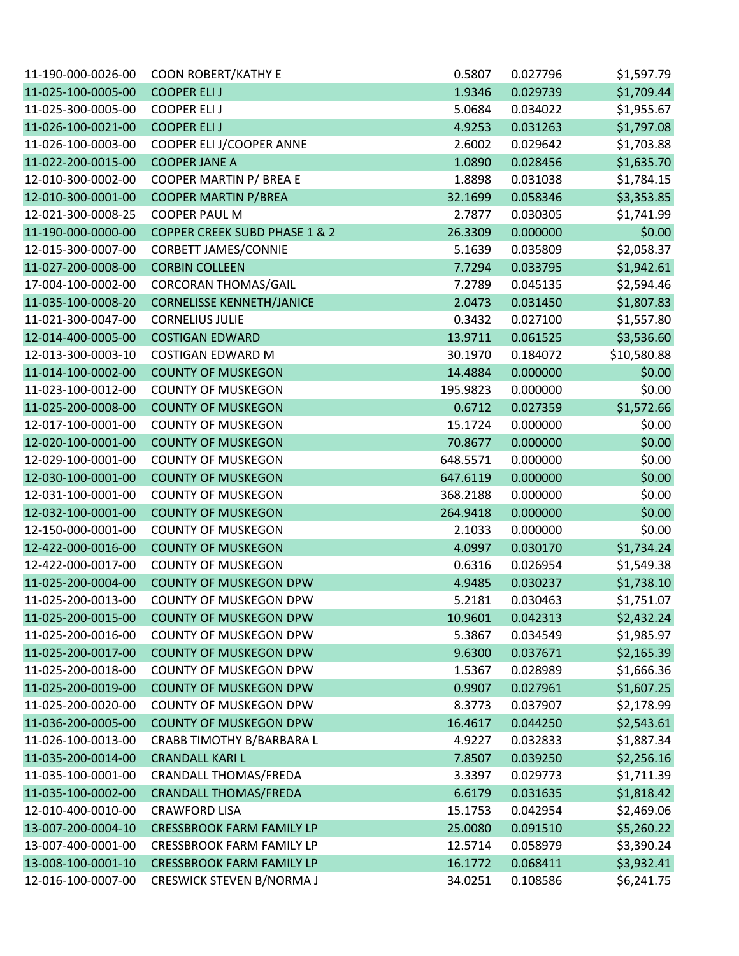| 11-190-000-0026-00 | <b>COON ROBERT/KATHY E</b>               | 0.5807   | 0.027796 | \$1,597.79  |
|--------------------|------------------------------------------|----------|----------|-------------|
| 11-025-100-0005-00 | <b>COOPER ELIJ</b>                       | 1.9346   | 0.029739 | \$1,709.44  |
| 11-025-300-0005-00 | <b>COOPER ELIJ</b>                       | 5.0684   | 0.034022 | \$1,955.67  |
| 11-026-100-0021-00 | <b>COOPER ELIJ</b>                       | 4.9253   | 0.031263 | \$1,797.08  |
| 11-026-100-0003-00 | COOPER ELI J/COOPER ANNE                 | 2.6002   | 0.029642 | \$1,703.88  |
| 11-022-200-0015-00 | <b>COOPER JANE A</b>                     | 1.0890   | 0.028456 | \$1,635.70  |
| 12-010-300-0002-00 | COOPER MARTIN P/ BREA E                  | 1.8898   | 0.031038 | \$1,784.15  |
| 12-010-300-0001-00 | <b>COOPER MARTIN P/BREA</b>              | 32.1699  | 0.058346 | \$3,353.85  |
| 12-021-300-0008-25 | <b>COOPER PAUL M</b>                     | 2.7877   | 0.030305 | \$1,741.99  |
| 11-190-000-0000-00 | <b>COPPER CREEK SUBD PHASE 1 &amp; 2</b> | 26.3309  | 0.000000 | \$0.00      |
| 12-015-300-0007-00 | <b>CORBETT JAMES/CONNIE</b>              | 5.1639   | 0.035809 | \$2,058.37  |
| 11-027-200-0008-00 | <b>CORBIN COLLEEN</b>                    | 7.7294   | 0.033795 | \$1,942.61  |
| 17-004-100-0002-00 | <b>CORCORAN THOMAS/GAIL</b>              | 7.2789   | 0.045135 | \$2,594.46  |
| 11-035-100-0008-20 | <b>CORNELISSE KENNETH/JANICE</b>         | 2.0473   | 0.031450 | \$1,807.83  |
| 11-021-300-0047-00 | <b>CORNELIUS JULIE</b>                   | 0.3432   | 0.027100 | \$1,557.80  |
| 12-014-400-0005-00 | <b>COSTIGAN EDWARD</b>                   | 13.9711  | 0.061525 | \$3,536.60  |
| 12-013-300-0003-10 | <b>COSTIGAN EDWARD M</b>                 | 30.1970  | 0.184072 | \$10,580.88 |
| 11-014-100-0002-00 | <b>COUNTY OF MUSKEGON</b>                | 14.4884  | 0.000000 | \$0.00      |
| 11-023-100-0012-00 | <b>COUNTY OF MUSKEGON</b>                | 195.9823 | 0.000000 | \$0.00      |
| 11-025-200-0008-00 | <b>COUNTY OF MUSKEGON</b>                | 0.6712   | 0.027359 | \$1,572.66  |
| 12-017-100-0001-00 | <b>COUNTY OF MUSKEGON</b>                | 15.1724  | 0.000000 | \$0.00      |
| 12-020-100-0001-00 | <b>COUNTY OF MUSKEGON</b>                | 70.8677  | 0.000000 | \$0.00      |
| 12-029-100-0001-00 | <b>COUNTY OF MUSKEGON</b>                | 648.5571 | 0.000000 | \$0.00      |
| 12-030-100-0001-00 | <b>COUNTY OF MUSKEGON</b>                | 647.6119 | 0.000000 | \$0.00      |
| 12-031-100-0001-00 | <b>COUNTY OF MUSKEGON</b>                | 368.2188 | 0.000000 | \$0.00      |
| 12-032-100-0001-00 | <b>COUNTY OF MUSKEGON</b>                | 264.9418 | 0.000000 | \$0.00      |
| 12-150-000-0001-00 | <b>COUNTY OF MUSKEGON</b>                | 2.1033   | 0.000000 | \$0.00      |
| 12-422-000-0016-00 | <b>COUNTY OF MUSKEGON</b>                | 4.0997   | 0.030170 | \$1,734.24  |
| 12-422-000-0017-00 | <b>COUNTY OF MUSKEGON</b>                | 0.6316   | 0.026954 | \$1,549.38  |
| 11-025-200-0004-00 | <b>COUNTY OF MUSKEGON DPW</b>            | 4.9485   | 0.030237 | \$1,738.10  |
| 11-025-200-0013-00 | <b>COUNTY OF MUSKEGON DPW</b>            | 5.2181   | 0.030463 | \$1,751.07  |
| 11-025-200-0015-00 | <b>COUNTY OF MUSKEGON DPW</b>            | 10.9601  | 0.042313 | \$2,432.24  |
| 11-025-200-0016-00 | <b>COUNTY OF MUSKEGON DPW</b>            | 5.3867   | 0.034549 | \$1,985.97  |
| 11-025-200-0017-00 | <b>COUNTY OF MUSKEGON DPW</b>            | 9.6300   | 0.037671 | \$2,165.39  |
| 11-025-200-0018-00 | <b>COUNTY OF MUSKEGON DPW</b>            | 1.5367   | 0.028989 | \$1,666.36  |
| 11-025-200-0019-00 | <b>COUNTY OF MUSKEGON DPW</b>            | 0.9907   | 0.027961 | \$1,607.25  |
| 11-025-200-0020-00 | <b>COUNTY OF MUSKEGON DPW</b>            | 8.3773   | 0.037907 | \$2,178.99  |
| 11-036-200-0005-00 | <b>COUNTY OF MUSKEGON DPW</b>            | 16.4617  | 0.044250 | \$2,543.61  |
| 11-026-100-0013-00 | CRABB TIMOTHY B/BARBARA L                | 4.9227   | 0.032833 | \$1,887.34  |
| 11-035-200-0014-00 | <b>CRANDALL KARI L</b>                   | 7.8507   | 0.039250 | \$2,256.16  |
| 11-035-100-0001-00 | <b>CRANDALL THOMAS/FREDA</b>             | 3.3397   | 0.029773 | \$1,711.39  |
| 11-035-100-0002-00 | <b>CRANDALL THOMAS/FREDA</b>             | 6.6179   | 0.031635 | \$1,818.42  |
| 12-010-400-0010-00 | <b>CRAWFORD LISA</b>                     | 15.1753  | 0.042954 | \$2,469.06  |
| 13-007-200-0004-10 | <b>CRESSBROOK FARM FAMILY LP</b>         | 25.0080  | 0.091510 | \$5,260.22  |
| 13-007-400-0001-00 | <b>CRESSBROOK FARM FAMILY LP</b>         | 12.5714  | 0.058979 | \$3,390.24  |
| 13-008-100-0001-10 | <b>CRESSBROOK FARM FAMILY LP</b>         | 16.1772  | 0.068411 | \$3,932.41  |
| 12-016-100-0007-00 | <b>CRESWICK STEVEN B/NORMA J</b>         | 34.0251  | 0.108586 | \$6,241.75  |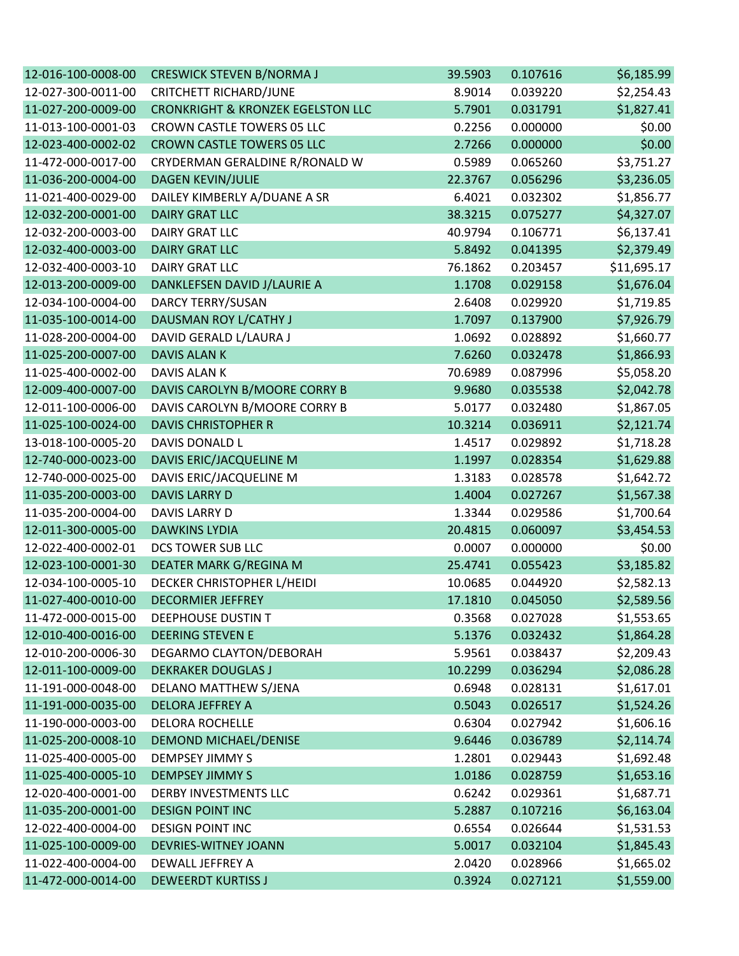| 12-016-100-0008-00 | <b>CRESWICK STEVEN B/NORMA J</b>             | 39.5903 | 0.107616 | \$6,185.99  |
|--------------------|----------------------------------------------|---------|----------|-------------|
| 12-027-300-0011-00 | <b>CRITCHETT RICHARD/JUNE</b>                | 8.9014  | 0.039220 | \$2,254.43  |
| 11-027-200-0009-00 | <b>CRONKRIGHT &amp; KRONZEK EGELSTON LLC</b> | 5.7901  | 0.031791 | \$1,827.41  |
| 11-013-100-0001-03 | CROWN CASTLE TOWERS 05 LLC                   | 0.2256  | 0.000000 | \$0.00      |
| 12-023-400-0002-02 | <b>CROWN CASTLE TOWERS 05 LLC</b>            | 2.7266  | 0.000000 | \$0.00      |
| 11-472-000-0017-00 | CRYDERMAN GERALDINE R/RONALD W               | 0.5989  | 0.065260 | \$3,751.27  |
| 11-036-200-0004-00 | <b>DAGEN KEVIN/JULIE</b>                     | 22.3767 | 0.056296 | \$3,236.05  |
| 11-021-400-0029-00 | DAILEY KIMBERLY A/DUANE A SR                 | 6.4021  | 0.032302 | \$1,856.77  |
| 12-032-200-0001-00 | <b>DAIRY GRAT LLC</b>                        | 38.3215 | 0.075277 | \$4,327.07  |
| 12-032-200-0003-00 | <b>DAIRY GRAT LLC</b>                        | 40.9794 | 0.106771 | \$6,137.41  |
| 12-032-400-0003-00 | <b>DAIRY GRAT LLC</b>                        | 5.8492  | 0.041395 | \$2,379.49  |
| 12-032-400-0003-10 | <b>DAIRY GRAT LLC</b>                        | 76.1862 | 0.203457 | \$11,695.17 |
| 12-013-200-0009-00 | DANKLEFSEN DAVID J/LAURIE A                  | 1.1708  | 0.029158 | \$1,676.04  |
| 12-034-100-0004-00 | <b>DARCY TERRY/SUSAN</b>                     | 2.6408  | 0.029920 | \$1,719.85  |
| 11-035-100-0014-00 | DAUSMAN ROY L/CATHY J                        | 1.7097  | 0.137900 | \$7,926.79  |
| 11-028-200-0004-00 | DAVID GERALD L/LAURA J                       | 1.0692  | 0.028892 | \$1,660.77  |
| 11-025-200-0007-00 | <b>DAVIS ALAN K</b>                          | 7.6260  | 0.032478 | \$1,866.93  |
| 11-025-400-0002-00 | DAVIS ALAN K                                 | 70.6989 | 0.087996 | \$5,058.20  |
| 12-009-400-0007-00 | DAVIS CAROLYN B/MOORE CORRY B                | 9.9680  | 0.035538 | \$2,042.78  |
| 12-011-100-0006-00 | DAVIS CAROLYN B/MOORE CORRY B                | 5.0177  | 0.032480 | \$1,867.05  |
| 11-025-100-0024-00 | <b>DAVIS CHRISTOPHER R</b>                   | 10.3214 | 0.036911 | \$2,121.74  |
| 13-018-100-0005-20 | DAVIS DONALD L                               | 1.4517  | 0.029892 | \$1,718.28  |
| 12-740-000-0023-00 | DAVIS ERIC/JACQUELINE M                      | 1.1997  | 0.028354 | \$1,629.88  |
| 12-740-000-0025-00 | DAVIS ERIC/JACQUELINE M                      | 1.3183  | 0.028578 | \$1,642.72  |
| 11-035-200-0003-00 | <b>DAVIS LARRY D</b>                         | 1.4004  | 0.027267 | \$1,567.38  |
| 11-035-200-0004-00 | DAVIS LARRY D                                | 1.3344  | 0.029586 | \$1,700.64  |
| 12-011-300-0005-00 | <b>DAWKINS LYDIA</b>                         | 20.4815 | 0.060097 | \$3,454.53  |
| 12-022-400-0002-01 | DCS TOWER SUB LLC                            | 0.0007  | 0.000000 | \$0.00      |
| 12-023-100-0001-30 | DEATER MARK G/REGINA M                       | 25.4741 | 0.055423 | \$3,185.82  |
| 12-034-100-0005-10 | DECKER CHRISTOPHER L/HEIDI                   | 10.0685 | 0.044920 | \$2,582.13  |
| 11-027-400-0010-00 | <b>DECORMIER JEFFREY</b>                     | 17.1810 | 0.045050 | \$2,589.56  |
| 11-472-000-0015-00 | DEEPHOUSE DUSTIN T                           | 0.3568  | 0.027028 | \$1,553.65  |
| 12-010-400-0016-00 | <b>DEERING STEVEN E</b>                      | 5.1376  | 0.032432 | \$1,864.28  |
| 12-010-200-0006-30 | DEGARMO CLAYTON/DEBORAH                      | 5.9561  | 0.038437 | \$2,209.43  |
| 12-011-100-0009-00 | <b>DEKRAKER DOUGLAS J</b>                    | 10.2299 | 0.036294 | \$2,086.28  |
| 11-191-000-0048-00 | DELANO MATTHEW S/JENA                        | 0.6948  | 0.028131 | \$1,617.01  |
| 11-191-000-0035-00 | <b>DELORA JEFFREY A</b>                      | 0.5043  | 0.026517 | \$1,524.26  |
| 11-190-000-0003-00 | <b>DELORA ROCHELLE</b>                       | 0.6304  | 0.027942 | \$1,606.16  |
| 11-025-200-0008-10 | <b>DEMOND MICHAEL/DENISE</b>                 | 9.6446  | 0.036789 | \$2,114.74  |
| 11-025-400-0005-00 | <b>DEMPSEY JIMMY S</b>                       | 1.2801  | 0.029443 | \$1,692.48  |
| 11-025-400-0005-10 | <b>DEMPSEY JIMMY S</b>                       | 1.0186  | 0.028759 | \$1,653.16  |
| 12-020-400-0001-00 | <b>DERBY INVESTMENTS LLC</b>                 | 0.6242  | 0.029361 | \$1,687.71  |
| 11-035-200-0001-00 | <b>DESIGN POINT INC</b>                      | 5.2887  | 0.107216 | \$6,163.04  |
| 12-022-400-0004-00 | <b>DESIGN POINT INC</b>                      | 0.6554  | 0.026644 | \$1,531.53  |
| 11-025-100-0009-00 | <b>DEVRIES-WITNEY JOANN</b>                  | 5.0017  | 0.032104 | \$1,845.43  |
| 11-022-400-0004-00 | DEWALL JEFFREY A                             | 2.0420  | 0.028966 | \$1,665.02  |
| 11-472-000-0014-00 | <b>DEWEERDT KURTISS J</b>                    | 0.3924  | 0.027121 | \$1,559.00  |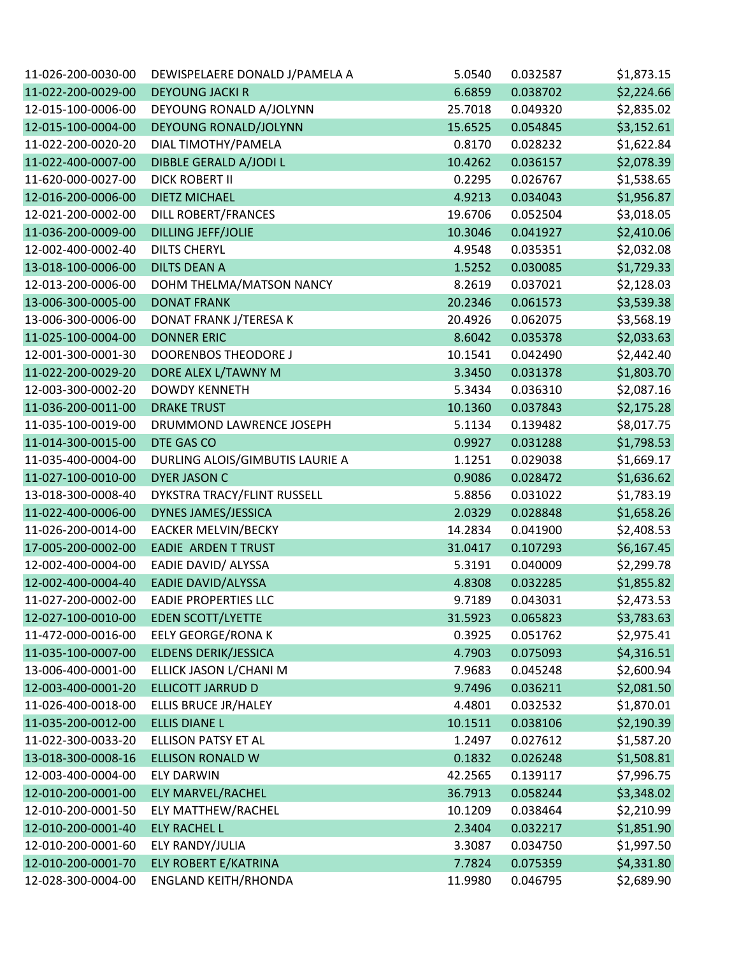| 11-026-200-0030-00 | DEWISPELAERE DONALD J/PAMELA A  | 5.0540  | 0.032587 | \$1,873.15 |
|--------------------|---------------------------------|---------|----------|------------|
| 11-022-200-0029-00 | <b>DEYOUNG JACKI R</b>          | 6.6859  | 0.038702 | \$2,224.66 |
| 12-015-100-0006-00 | DEYOUNG RONALD A/JOLYNN         | 25.7018 | 0.049320 | \$2,835.02 |
| 12-015-100-0004-00 | DEYOUNG RONALD/JOLYNN           | 15.6525 | 0.054845 | \$3,152.61 |
| 11-022-200-0020-20 | DIAL TIMOTHY/PAMELA             | 0.8170  | 0.028232 | \$1,622.84 |
| 11-022-400-0007-00 | DIBBLE GERALD A/JODI L          | 10.4262 | 0.036157 | \$2,078.39 |
| 11-620-000-0027-00 | <b>DICK ROBERT II</b>           | 0.2295  | 0.026767 | \$1,538.65 |
| 12-016-200-0006-00 | <b>DIETZ MICHAEL</b>            | 4.9213  | 0.034043 | \$1,956.87 |
| 12-021-200-0002-00 | DILL ROBERT/FRANCES             | 19.6706 | 0.052504 | \$3,018.05 |
| 11-036-200-0009-00 | <b>DILLING JEFF/JOLIE</b>       | 10.3046 | 0.041927 | \$2,410.06 |
| 12-002-400-0002-40 | <b>DILTS CHERYL</b>             | 4.9548  | 0.035351 | \$2,032.08 |
| 13-018-100-0006-00 | <b>DILTS DEAN A</b>             | 1.5252  | 0.030085 | \$1,729.33 |
| 12-013-200-0006-00 | DOHM THELMA/MATSON NANCY        | 8.2619  | 0.037021 | \$2,128.03 |
| 13-006-300-0005-00 | <b>DONAT FRANK</b>              | 20.2346 | 0.061573 | \$3,539.38 |
| 13-006-300-0006-00 | DONAT FRANK J/TERESA K          | 20.4926 | 0.062075 | \$3,568.19 |
| 11-025-100-0004-00 | <b>DONNER ERIC</b>              | 8.6042  | 0.035378 | \$2,033.63 |
| 12-001-300-0001-30 | DOORENBOS THEODORE J            | 10.1541 | 0.042490 | \$2,442.40 |
| 11-022-200-0029-20 | DORE ALEX L/TAWNY M             | 3.3450  | 0.031378 | \$1,803.70 |
| 12-003-300-0002-20 | <b>DOWDY KENNETH</b>            | 5.3434  | 0.036310 | \$2,087.16 |
| 11-036-200-0011-00 | <b>DRAKE TRUST</b>              | 10.1360 | 0.037843 | \$2,175.28 |
| 11-035-100-0019-00 | DRUMMOND LAWRENCE JOSEPH        | 5.1134  | 0.139482 | \$8,017.75 |
| 11-014-300-0015-00 | DTE GAS CO                      | 0.9927  | 0.031288 | \$1,798.53 |
| 11-035-400-0004-00 | DURLING ALOIS/GIMBUTIS LAURIE A | 1.1251  | 0.029038 | \$1,669.17 |
| 11-027-100-0010-00 | <b>DYER JASON C</b>             | 0.9086  | 0.028472 | \$1,636.62 |
| 13-018-300-0008-40 | DYKSTRA TRACY/FLINT RUSSELL     | 5.8856  | 0.031022 | \$1,783.19 |
| 11-022-400-0006-00 | DYNES JAMES/JESSICA             | 2.0329  | 0.028848 | \$1,658.26 |
| 11-026-200-0014-00 | <b>EACKER MELVIN/BECKY</b>      | 14.2834 | 0.041900 | \$2,408.53 |
| 17-005-200-0002-00 | <b>EADIE ARDEN T TRUST</b>      | 31.0417 | 0.107293 | \$6,167.45 |
| 12-002-400-0004-00 | EADIE DAVID/ ALYSSA             | 5.3191  | 0.040009 | \$2,299.78 |
| 12-002-400-0004-40 | EADIE DAVID/ALYSSA              | 4.8308  | 0.032285 | \$1,855.82 |
| 11-027-200-0002-00 | <b>EADIE PROPERTIES LLC</b>     | 9.7189  | 0.043031 | \$2,473.53 |
| 12-027-100-0010-00 | <b>EDEN SCOTT/LYETTE</b>        | 31.5923 | 0.065823 | \$3,783.63 |
| 11-472-000-0016-00 | <b>EELY GEORGE/RONA K</b>       | 0.3925  | 0.051762 | \$2,975.41 |
| 11-035-100-0007-00 | ELDENS DERIK/JESSICA            | 4.7903  | 0.075093 | \$4,316.51 |
| 13-006-400-0001-00 | ELLICK JASON L/CHANI M          | 7.9683  | 0.045248 | \$2,600.94 |
| 12-003-400-0001-20 | <b>ELLICOTT JARRUD D</b>        | 9.7496  | 0.036211 | \$2,081.50 |
| 11-026-400-0018-00 | ELLIS BRUCE JR/HALEY            | 4.4801  | 0.032532 | \$1,870.01 |
| 11-035-200-0012-00 | <b>ELLIS DIANE L</b>            | 10.1511 | 0.038106 | \$2,190.39 |
| 11-022-300-0033-20 | <b>ELLISON PATSY ET AL</b>      | 1.2497  | 0.027612 | \$1,587.20 |
| 13-018-300-0008-16 | <b>ELLISON RONALD W</b>         | 0.1832  | 0.026248 | \$1,508.81 |
| 12-003-400-0004-00 | <b>ELY DARWIN</b>               | 42.2565 | 0.139117 | \$7,996.75 |
| 12-010-200-0001-00 | ELY MARVEL/RACHEL               | 36.7913 | 0.058244 | \$3,348.02 |
| 12-010-200-0001-50 | <b>ELY MATTHEW/RACHEL</b>       | 10.1209 | 0.038464 | \$2,210.99 |
| 12-010-200-0001-40 | <b>ELY RACHEL L</b>             | 2.3404  | 0.032217 | \$1,851.90 |
| 12-010-200-0001-60 | ELY RANDY/JULIA                 | 3.3087  | 0.034750 | \$1,997.50 |
| 12-010-200-0001-70 | ELY ROBERT E/KATRINA            | 7.7824  | 0.075359 | \$4,331.80 |
| 12-028-300-0004-00 | <b>ENGLAND KEITH/RHONDA</b>     | 11.9980 | 0.046795 | \$2,689.90 |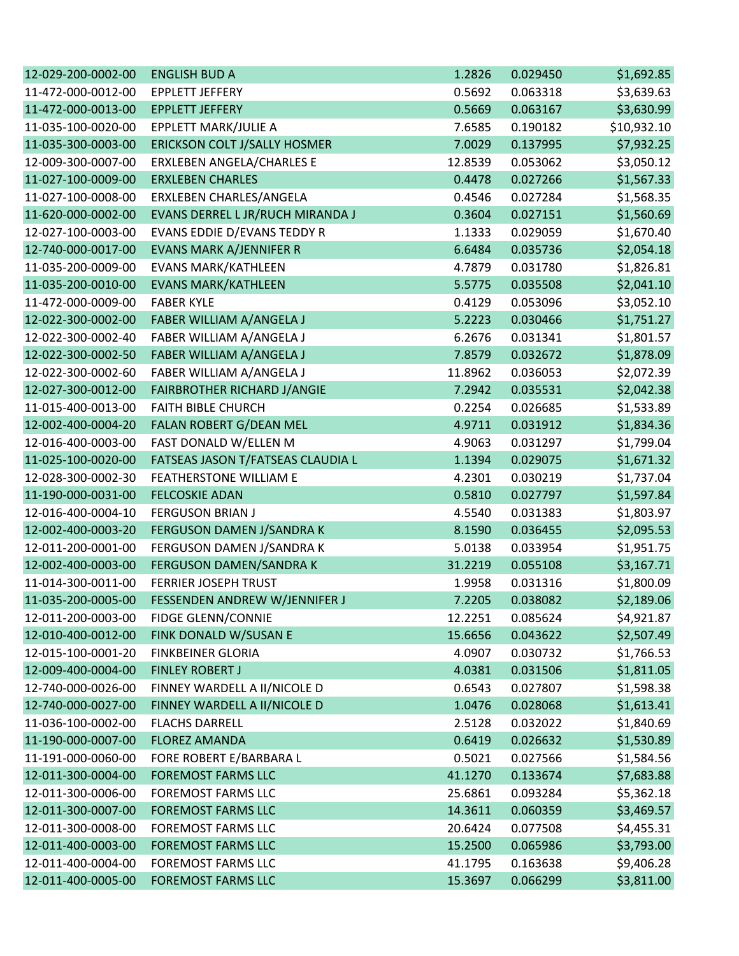| 12-029-200-0002-00 | <b>ENGLISH BUD A</b>               | 1.2826  | 0.029450 | \$1,692.85  |
|--------------------|------------------------------------|---------|----------|-------------|
| 11-472-000-0012-00 | <b>EPPLETT JEFFERY</b>             | 0.5692  | 0.063318 | \$3,639.63  |
| 11-472-000-0013-00 | <b>EPPLETT JEFFERY</b>             | 0.5669  | 0.063167 | \$3,630.99  |
| 11-035-100-0020-00 | EPPLETT MARK/JULIE A               | 7.6585  | 0.190182 | \$10,932.10 |
| 11-035-300-0003-00 | ERICKSON COLT J/SALLY HOSMER       | 7.0029  | 0.137995 | \$7,932.25  |
| 12-009-300-0007-00 | ERXLEBEN ANGELA/CHARLES E          | 12.8539 | 0.053062 | \$3,050.12  |
| 11-027-100-0009-00 | <b>ERXLEBEN CHARLES</b>            | 0.4478  | 0.027266 | \$1,567.33  |
| 11-027-100-0008-00 | ERXLEBEN CHARLES/ANGELA            | 0.4546  | 0.027284 | \$1,568.35  |
| 11-620-000-0002-00 | EVANS DERREL L JR/RUCH MIRANDA J   | 0.3604  | 0.027151 | \$1,560.69  |
| 12-027-100-0003-00 | EVANS EDDIE D/EVANS TEDDY R        | 1.1333  | 0.029059 | \$1,670.40  |
| 12-740-000-0017-00 | <b>EVANS MARK A/JENNIFER R</b>     | 6.6484  | 0.035736 | \$2,054.18  |
| 11-035-200-0009-00 | EVANS MARK/KATHLEEN                | 4.7879  | 0.031780 | \$1,826.81  |
| 11-035-200-0010-00 | <b>EVANS MARK/KATHLEEN</b>         | 5.5775  | 0.035508 | \$2,041.10  |
| 11-472-000-0009-00 | <b>FABER KYLE</b>                  | 0.4129  | 0.053096 | \$3,052.10  |
| 12-022-300-0002-00 | FABER WILLIAM A/ANGELA J           | 5.2223  | 0.030466 | \$1,751.27  |
| 12-022-300-0002-40 | FABER WILLIAM A/ANGELA J           | 6.2676  | 0.031341 | \$1,801.57  |
| 12-022-300-0002-50 | FABER WILLIAM A/ANGELA J           | 7.8579  | 0.032672 | \$1,878.09  |
| 12-022-300-0002-60 | FABER WILLIAM A/ANGELA J           | 11.8962 | 0.036053 | \$2,072.39  |
| 12-027-300-0012-00 | <b>FAIRBROTHER RICHARD J/ANGIE</b> | 7.2942  | 0.035531 | \$2,042.38  |
| 11-015-400-0013-00 | <b>FAITH BIBLE CHURCH</b>          | 0.2254  | 0.026685 | \$1,533.89  |
| 12-002-400-0004-20 | FALAN ROBERT G/DEAN MEL            | 4.9711  | 0.031912 | \$1,834.36  |
| 12-016-400-0003-00 | FAST DONALD W/ELLEN M              | 4.9063  | 0.031297 | \$1,799.04  |
| 11-025-100-0020-00 | FATSEAS JASON T/FATSEAS CLAUDIA L  | 1.1394  | 0.029075 | \$1,671.32  |
| 12-028-300-0002-30 | FEATHERSTONE WILLIAM E             | 4.2301  | 0.030219 | \$1,737.04  |
| 11-190-000-0031-00 | <b>FELCOSKIE ADAN</b>              | 0.5810  | 0.027797 | \$1,597.84  |
| 12-016-400-0004-10 | <b>FERGUSON BRIAN J</b>            | 4.5540  | 0.031383 | \$1,803.97  |
| 12-002-400-0003-20 | FERGUSON DAMEN J/SANDRA K          | 8.1590  | 0.036455 | \$2,095.53  |
| 12-011-200-0001-00 | FERGUSON DAMEN J/SANDRA K          | 5.0138  | 0.033954 | \$1,951.75  |
| 12-002-400-0003-00 | FERGUSON DAMEN/SANDRA K            | 31.2219 | 0.055108 | \$3,167.71  |
| 11-014-300-0011-00 | <b>FERRIER JOSEPH TRUST</b>        | 1.9958  | 0.031316 | \$1,800.09  |
| 11-035-200-0005-00 | FESSENDEN ANDREW W/JENNIFER J      | 7.2205  | 0.038082 | \$2,189.06  |
| 12-011-200-0003-00 | <b>FIDGE GLENN/CONNIE</b>          | 12.2251 | 0.085624 | \$4,921.87  |
| 12-010-400-0012-00 | FINK DONALD W/SUSAN E              | 15.6656 | 0.043622 | \$2,507.49  |
| 12-015-100-0001-20 | <b>FINKBEINER GLORIA</b>           | 4.0907  | 0.030732 | \$1,766.53  |
| 12-009-400-0004-00 | <b>FINLEY ROBERT J</b>             | 4.0381  | 0.031506 | \$1,811.05  |
| 12-740-000-0026-00 | FINNEY WARDELL A II/NICOLE D       | 0.6543  | 0.027807 | \$1,598.38  |
| 12-740-000-0027-00 | FINNEY WARDELL A II/NICOLE D       | 1.0476  | 0.028068 | \$1,613.41  |
| 11-036-100-0002-00 | <b>FLACHS DARRELL</b>              | 2.5128  | 0.032022 | \$1,840.69  |
| 11-190-000-0007-00 | <b>FLOREZ AMANDA</b>               | 0.6419  | 0.026632 | \$1,530.89  |
| 11-191-000-0060-00 | FORE ROBERT E/BARBARA L            | 0.5021  | 0.027566 | \$1,584.56  |
| 12-011-300-0004-00 | <b>FOREMOST FARMS LLC</b>          | 41.1270 | 0.133674 | \$7,683.88  |
| 12-011-300-0006-00 | <b>FOREMOST FARMS LLC</b>          | 25.6861 | 0.093284 | \$5,362.18  |
| 12-011-300-0007-00 | <b>FOREMOST FARMS LLC</b>          | 14.3611 | 0.060359 | \$3,469.57  |
| 12-011-300-0008-00 | <b>FOREMOST FARMS LLC</b>          | 20.6424 | 0.077508 | \$4,455.31  |
| 12-011-400-0003-00 | <b>FOREMOST FARMS LLC</b>          | 15.2500 | 0.065986 | \$3,793.00  |
| 12-011-400-0004-00 | <b>FOREMOST FARMS LLC</b>          | 41.1795 | 0.163638 | \$9,406.28  |
| 12-011-400-0005-00 | <b>FOREMOST FARMS LLC</b>          | 15.3697 | 0.066299 | \$3,811.00  |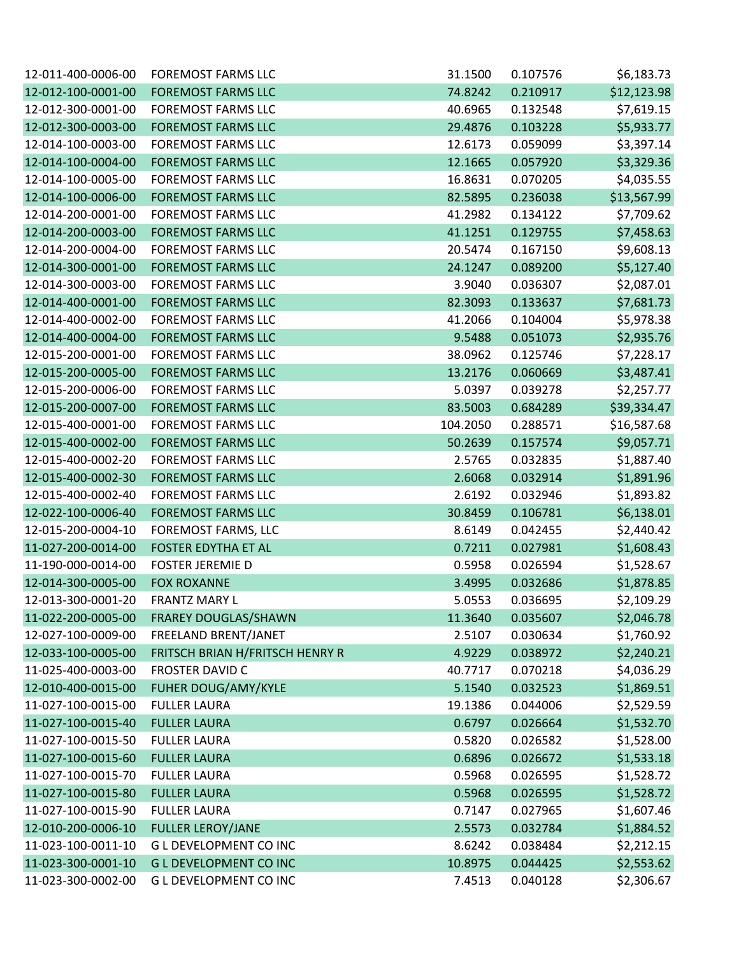| 12-011-400-0006-00 | <b>FOREMOST FARMS LLC</b>       | 31.1500  | 0.107576 | \$6,183.73  |
|--------------------|---------------------------------|----------|----------|-------------|
| 12-012-100-0001-00 | <b>FOREMOST FARMS LLC</b>       | 74.8242  | 0.210917 | \$12,123.98 |
| 12-012-300-0001-00 | <b>FOREMOST FARMS LLC</b>       | 40.6965  | 0.132548 | \$7,619.15  |
| 12-012-300-0003-00 | <b>FOREMOST FARMS LLC</b>       | 29.4876  | 0.103228 | \$5,933.77  |
| 12-014-100-0003-00 | <b>FOREMOST FARMS LLC</b>       | 12.6173  | 0.059099 | \$3,397.14  |
| 12-014-100-0004-00 | <b>FOREMOST FARMS LLC</b>       | 12.1665  | 0.057920 | \$3,329.36  |
| 12-014-100-0005-00 | <b>FOREMOST FARMS LLC</b>       | 16.8631  | 0.070205 | \$4,035.55  |
| 12-014-100-0006-00 | <b>FOREMOST FARMS LLC</b>       | 82.5895  | 0.236038 | \$13,567.99 |
| 12-014-200-0001-00 | <b>FOREMOST FARMS LLC</b>       | 41.2982  | 0.134122 | \$7,709.62  |
| 12-014-200-0003-00 | <b>FOREMOST FARMS LLC</b>       | 41.1251  | 0.129755 | \$7,458.63  |
| 12-014-200-0004-00 | <b>FOREMOST FARMS LLC</b>       | 20.5474  | 0.167150 | \$9,608.13  |
| 12-014-300-0001-00 | <b>FOREMOST FARMS LLC</b>       | 24.1247  | 0.089200 | \$5,127.40  |
| 12-014-300-0003-00 | <b>FOREMOST FARMS LLC</b>       | 3.9040   | 0.036307 | \$2,087.01  |
| 12-014-400-0001-00 | <b>FOREMOST FARMS LLC</b>       | 82.3093  | 0.133637 | \$7,681.73  |
| 12-014-400-0002-00 | <b>FOREMOST FARMS LLC</b>       | 41.2066  | 0.104004 | \$5,978.38  |
| 12-014-400-0004-00 | <b>FOREMOST FARMS LLC</b>       | 9.5488   | 0.051073 | \$2,935.76  |
| 12-015-200-0001-00 | <b>FOREMOST FARMS LLC</b>       | 38.0962  | 0.125746 | \$7,228.17  |
| 12-015-200-0005-00 | <b>FOREMOST FARMS LLC</b>       | 13.2176  | 0.060669 | \$3,487.41  |
| 12-015-200-0006-00 | <b>FOREMOST FARMS LLC</b>       | 5.0397   | 0.039278 | \$2,257.77  |
| 12-015-200-0007-00 | <b>FOREMOST FARMS LLC</b>       | 83.5003  | 0.684289 | \$39,334.47 |
| 12-015-400-0001-00 | <b>FOREMOST FARMS LLC</b>       | 104.2050 | 0.288571 | \$16,587.68 |
| 12-015-400-0002-00 | <b>FOREMOST FARMS LLC</b>       | 50.2639  | 0.157574 | \$9,057.71  |
| 12-015-400-0002-20 | <b>FOREMOST FARMS LLC</b>       | 2.5765   | 0.032835 | \$1,887.40  |
| 12-015-400-0002-30 | <b>FOREMOST FARMS LLC</b>       | 2.6068   | 0.032914 | \$1,891.96  |
| 12-015-400-0002-40 | <b>FOREMOST FARMS LLC</b>       | 2.6192   | 0.032946 | \$1,893.82  |
| 12-022-100-0006-40 | <b>FOREMOST FARMS LLC</b>       | 30.8459  | 0.106781 | \$6,138.01  |
| 12-015-200-0004-10 | FOREMOST FARMS, LLC             | 8.6149   | 0.042455 | \$2,440.42  |
| 11-027-200-0014-00 | FOSTER EDYTHA ET AL             | 0.7211   | 0.027981 | \$1,608.43  |
| 11-190-000-0014-00 | <b>FOSTER JEREMIE D</b>         | 0.5958   | 0.026594 | \$1,528.67  |
| 12-014-300-0005-00 | <b>FOX ROXANNE</b>              | 3.4995   | 0.032686 | \$1,878.85  |
| 12-013-300-0001-20 | <b>FRANTZ MARY L</b>            | 5.0553   | 0.036695 | \$2,109.29  |
| 11-022-200-0005-00 | <b>FRAREY DOUGLAS/SHAWN</b>     | 11.3640  | 0.035607 | \$2,046.78  |
| 12-027-100-0009-00 | FREELAND BRENT/JANET            | 2.5107   | 0.030634 | \$1,760.92  |
| 12-033-100-0005-00 | FRITSCH BRIAN H/FRITSCH HENRY R | 4.9229   | 0.038972 | \$2,240.21  |
| 11-025-400-0003-00 | <b>FROSTER DAVID C</b>          | 40.7717  | 0.070218 | \$4,036.29  |
| 12-010-400-0015-00 | <b>FUHER DOUG/AMY/KYLE</b>      | 5.1540   | 0.032523 | \$1,869.51  |
| 11-027-100-0015-00 | <b>FULLER LAURA</b>             | 19.1386  | 0.044006 | \$2,529.59  |
| 11-027-100-0015-40 | <b>FULLER LAURA</b>             | 0.6797   | 0.026664 | \$1,532.70  |
| 11-027-100-0015-50 | <b>FULLER LAURA</b>             | 0.5820   | 0.026582 | \$1,528.00  |
| 11-027-100-0015-60 | <b>FULLER LAURA</b>             | 0.6896   | 0.026672 | \$1,533.18  |
| 11-027-100-0015-70 | <b>FULLER LAURA</b>             | 0.5968   | 0.026595 | \$1,528.72  |
| 11-027-100-0015-80 | <b>FULLER LAURA</b>             | 0.5968   | 0.026595 | \$1,528.72  |
| 11-027-100-0015-90 | <b>FULLER LAURA</b>             | 0.7147   | 0.027965 | \$1,607.46  |
| 12-010-200-0006-10 | <b>FULLER LEROY/JANE</b>        | 2.5573   | 0.032784 | \$1,884.52  |
| 11-023-100-0011-10 | <b>GL DEVELOPMENT CO INC</b>    | 8.6242   | 0.038484 | \$2,212.15  |
| 11-023-300-0001-10 | <b>GL DEVELOPMENT CO INC</b>    | 10.8975  | 0.044425 | \$2,553.62  |
| 11-023-300-0002-00 | G L DEVELOPMENT CO INC          | 7.4513   | 0.040128 | \$2,306.67  |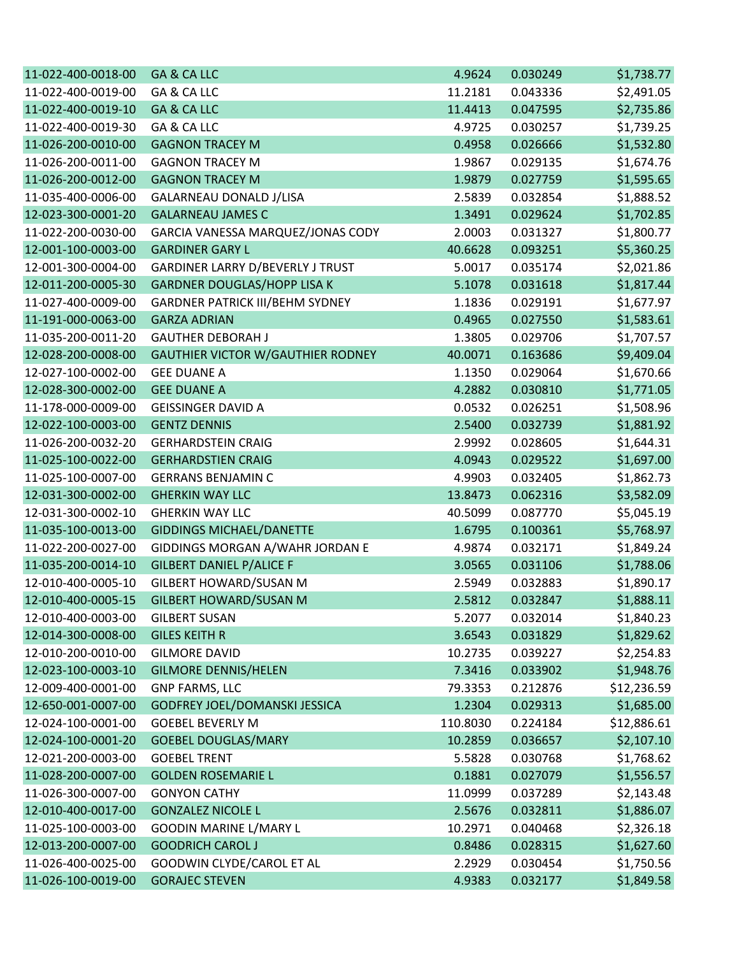| 11-022-400-0018-00 | GA & CA LLC                              | 4.9624   | 0.030249 | \$1,738.77  |
|--------------------|------------------------------------------|----------|----------|-------------|
| 11-022-400-0019-00 | GA & CA LLC                              | 11.2181  | 0.043336 | \$2,491.05  |
| 11-022-400-0019-10 | GA & CA LLC                              | 11.4413  | 0.047595 | \$2,735.86  |
| 11-022-400-0019-30 | GA & CA LLC                              | 4.9725   | 0.030257 | \$1,739.25  |
| 11-026-200-0010-00 | <b>GAGNON TRACEY M</b>                   | 0.4958   | 0.026666 | \$1,532.80  |
| 11-026-200-0011-00 | <b>GAGNON TRACEY M</b>                   | 1.9867   | 0.029135 | \$1,674.76  |
| 11-026-200-0012-00 | <b>GAGNON TRACEY M</b>                   | 1.9879   | 0.027759 | \$1,595.65  |
| 11-035-400-0006-00 | GALARNEAU DONALD J/LISA                  | 2.5839   | 0.032854 | \$1,888.52  |
| 12-023-300-0001-20 | <b>GALARNEAU JAMES C</b>                 | 1.3491   | 0.029624 | \$1,702.85  |
| 11-022-200-0030-00 | GARCIA VANESSA MARQUEZ/JONAS CODY        | 2.0003   | 0.031327 | \$1,800.77  |
| 12-001-100-0003-00 | <b>GARDINER GARY L</b>                   | 40.6628  | 0.093251 | \$5,360.25  |
| 12-001-300-0004-00 | GARDINER LARRY D/BEVERLY J TRUST         | 5.0017   | 0.035174 | \$2,021.86  |
| 12-011-200-0005-30 | <b>GARDNER DOUGLAS/HOPP LISA K</b>       | 5.1078   | 0.031618 | \$1,817.44  |
| 11-027-400-0009-00 | <b>GARDNER PATRICK III/BEHM SYDNEY</b>   | 1.1836   | 0.029191 | \$1,677.97  |
| 11-191-000-0063-00 | <b>GARZA ADRIAN</b>                      | 0.4965   | 0.027550 | \$1,583.61  |
| 11-035-200-0011-20 | <b>GAUTHER DEBORAH J</b>                 | 1.3805   | 0.029706 | \$1,707.57  |
| 12-028-200-0008-00 | <b>GAUTHIER VICTOR W/GAUTHIER RODNEY</b> | 40.0071  | 0.163686 | \$9,409.04  |
| 12-027-100-0002-00 | <b>GEE DUANE A</b>                       | 1.1350   | 0.029064 | \$1,670.66  |
| 12-028-300-0002-00 | <b>GEE DUANE A</b>                       | 4.2882   | 0.030810 | \$1,771.05  |
| 11-178-000-0009-00 | <b>GEISSINGER DAVID A</b>                | 0.0532   | 0.026251 | \$1,508.96  |
| 12-022-100-0003-00 | <b>GENTZ DENNIS</b>                      | 2.5400   | 0.032739 | \$1,881.92  |
| 11-026-200-0032-20 | <b>GERHARDSTEIN CRAIG</b>                | 2.9992   | 0.028605 | \$1,644.31  |
| 11-025-100-0022-00 | <b>GERHARDSTIEN CRAIG</b>                | 4.0943   | 0.029522 | \$1,697.00  |
| 11-025-100-0007-00 | <b>GERRANS BENJAMIN C</b>                | 4.9903   | 0.032405 | \$1,862.73  |
| 12-031-300-0002-00 | <b>GHERKIN WAY LLC</b>                   | 13.8473  | 0.062316 | \$3,582.09  |
| 12-031-300-0002-10 | <b>GHERKIN WAY LLC</b>                   | 40.5099  | 0.087770 | \$5,045.19  |
| 11-035-100-0013-00 | <b>GIDDINGS MICHAEL/DANETTE</b>          | 1.6795   | 0.100361 | \$5,768.97  |
| 11-022-200-0027-00 | GIDDINGS MORGAN A/WAHR JORDAN E          | 4.9874   | 0.032171 | \$1,849.24  |
| 11-035-200-0014-10 | <b>GILBERT DANIEL P/ALICE F</b>          | 3.0565   | 0.031106 | \$1,788.06  |
| 12-010-400-0005-10 | GILBERT HOWARD/SUSAN M                   | 2.5949   | 0.032883 | \$1,890.17  |
| 12-010-400-0005-15 | <b>GILBERT HOWARD/SUSAN M</b>            | 2.5812   | 0.032847 | \$1,888.11  |
| 12-010-400-0003-00 | <b>GILBERT SUSAN</b>                     | 5.2077   | 0.032014 | \$1,840.23  |
| 12-014-300-0008-00 | <b>GILES KEITH R</b>                     | 3.6543   | 0.031829 | \$1,829.62  |
| 12-010-200-0010-00 | <b>GILMORE DAVID</b>                     | 10.2735  | 0.039227 | \$2,254.83  |
| 12-023-100-0003-10 | <b>GILMORE DENNIS/HELEN</b>              | 7.3416   | 0.033902 | \$1,948.76  |
| 12-009-400-0001-00 | <b>GNP FARMS, LLC</b>                    | 79.3353  | 0.212876 | \$12,236.59 |
| 12-650-001-0007-00 | GODFREY JOEL/DOMANSKI JESSICA            | 1.2304   | 0.029313 | \$1,685.00  |
| 12-024-100-0001-00 | <b>GOEBEL BEVERLY M</b>                  | 110.8030 | 0.224184 | \$12,886.61 |
| 12-024-100-0001-20 | <b>GOEBEL DOUGLAS/MARY</b>               | 10.2859  | 0.036657 | \$2,107.10  |
| 12-021-200-0003-00 | <b>GOEBEL TRENT</b>                      | 5.5828   | 0.030768 | \$1,768.62  |
| 11-028-200-0007-00 | <b>GOLDEN ROSEMARIE L</b>                | 0.1881   | 0.027079 | \$1,556.57  |
| 11-026-300-0007-00 | <b>GONYON CATHY</b>                      | 11.0999  | 0.037289 | \$2,143.48  |
| 12-010-400-0017-00 | <b>GONZALEZ NICOLE L</b>                 | 2.5676   | 0.032811 | \$1,886.07  |
| 11-025-100-0003-00 | GOODIN MARINE L/MARY L                   | 10.2971  | 0.040468 | \$2,326.18  |
| 12-013-200-0007-00 | <b>GOODRICH CAROL J</b>                  | 0.8486   | 0.028315 | \$1,627.60  |
| 11-026-400-0025-00 | GOODWIN CLYDE/CAROL ET AL                | 2.2929   | 0.030454 | \$1,750.56  |
| 11-026-100-0019-00 | <b>GORAJEC STEVEN</b>                    | 4.9383   | 0.032177 | \$1,849.58  |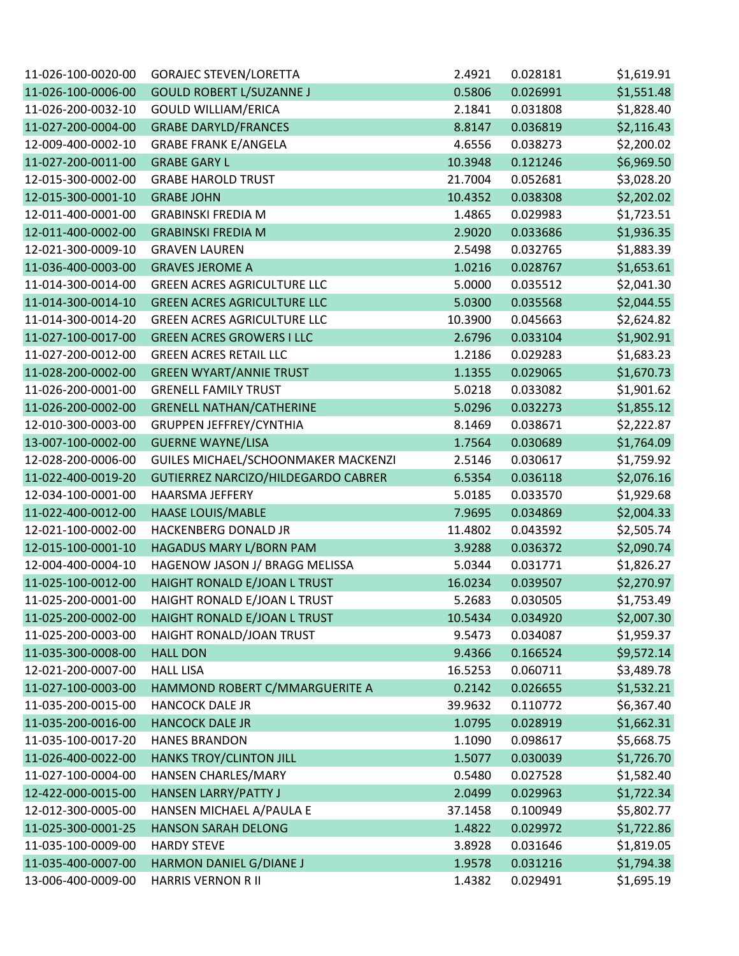| 11-026-100-0020-00 | <b>GORAJEC STEVEN/LORETTA</b>       | 2.4921  | 0.028181 | \$1,619.91 |
|--------------------|-------------------------------------|---------|----------|------------|
| 11-026-100-0006-00 | <b>GOULD ROBERT L/SUZANNE J</b>     | 0.5806  | 0.026991 | \$1,551.48 |
| 11-026-200-0032-10 | <b>GOULD WILLIAM/ERICA</b>          | 2.1841  | 0.031808 | \$1,828.40 |
| 11-027-200-0004-00 | <b>GRABE DARYLD/FRANCES</b>         | 8.8147  | 0.036819 | \$2,116.43 |
| 12-009-400-0002-10 | <b>GRABE FRANK E/ANGELA</b>         | 4.6556  | 0.038273 | \$2,200.02 |
| 11-027-200-0011-00 | <b>GRABE GARY L</b>                 | 10.3948 | 0.121246 | \$6,969.50 |
| 12-015-300-0002-00 | <b>GRABE HAROLD TRUST</b>           | 21.7004 | 0.052681 | \$3,028.20 |
| 12-015-300-0001-10 | <b>GRABE JOHN</b>                   | 10.4352 | 0.038308 | \$2,202.02 |
| 12-011-400-0001-00 | <b>GRABINSKI FREDIA M</b>           | 1.4865  | 0.029983 | \$1,723.51 |
| 12-011-400-0002-00 | <b>GRABINSKI FREDIA M</b>           | 2.9020  | 0.033686 | \$1,936.35 |
| 12-021-300-0009-10 | <b>GRAVEN LAUREN</b>                | 2.5498  | 0.032765 | \$1,883.39 |
| 11-036-400-0003-00 | <b>GRAVES JEROME A</b>              | 1.0216  | 0.028767 | \$1,653.61 |
| 11-014-300-0014-00 | <b>GREEN ACRES AGRICULTURE LLC</b>  | 5.0000  | 0.035512 | \$2,041.30 |
| 11-014-300-0014-10 | <b>GREEN ACRES AGRICULTURE LLC</b>  | 5.0300  | 0.035568 | \$2,044.55 |
| 11-014-300-0014-20 | <b>GREEN ACRES AGRICULTURE LLC</b>  | 10.3900 | 0.045663 | \$2,624.82 |
| 11-027-100-0017-00 | <b>GREEN ACRES GROWERS I LLC</b>    | 2.6796  | 0.033104 | \$1,902.91 |
| 11-027-200-0012-00 | <b>GREEN ACRES RETAIL LLC</b>       | 1.2186  | 0.029283 | \$1,683.23 |
| 11-028-200-0002-00 | <b>GREEN WYART/ANNIE TRUST</b>      | 1.1355  | 0.029065 | \$1,670.73 |
| 11-026-200-0001-00 | <b>GRENELL FAMILY TRUST</b>         | 5.0218  | 0.033082 | \$1,901.62 |
| 11-026-200-0002-00 | <b>GRENELL NATHAN/CATHERINE</b>     | 5.0296  | 0.032273 | \$1,855.12 |
| 12-010-300-0003-00 | <b>GRUPPEN JEFFREY/CYNTHIA</b>      | 8.1469  | 0.038671 | \$2,222.87 |
| 13-007-100-0002-00 | <b>GUERNE WAYNE/LISA</b>            | 1.7564  | 0.030689 | \$1,764.09 |
| 12-028-200-0006-00 | GUILES MICHAEL/SCHOONMAKER MACKENZI | 2.5146  | 0.030617 | \$1,759.92 |
| 11-022-400-0019-20 | GUTIERREZ NARCIZO/HILDEGARDO CABRER | 6.5354  | 0.036118 | \$2,076.16 |
| 12-034-100-0001-00 | <b>HAARSMA JEFFERY</b>              | 5.0185  | 0.033570 | \$1,929.68 |
| 11-022-400-0012-00 | <b>HAASE LOUIS/MABLE</b>            | 7.9695  | 0.034869 | \$2,004.33 |
| 12-021-100-0002-00 | HACKENBERG DONALD JR                | 11.4802 | 0.043592 | \$2,505.74 |
| 12-015-100-0001-10 | HAGADUS MARY L/BORN PAM             | 3.9288  | 0.036372 | \$2,090.74 |
| 12-004-400-0004-10 | HAGENOW JASON J/ BRAGG MELISSA      | 5.0344  | 0.031771 | \$1,826.27 |
| 11-025-100-0012-00 | HAIGHT RONALD E/JOAN L TRUST        | 16.0234 | 0.039507 | \$2,270.97 |
| 11-025-200-0001-00 | HAIGHT RONALD E/JOAN L TRUST        | 5.2683  | 0.030505 | \$1,753.49 |
| 11-025-200-0002-00 | HAIGHT RONALD E/JOAN L TRUST        | 10.5434 | 0.034920 | \$2,007.30 |
| 11-025-200-0003-00 | HAIGHT RONALD/JOAN TRUST            | 9.5473  | 0.034087 | \$1,959.37 |
| 11-035-300-0008-00 | <b>HALL DON</b>                     | 9.4366  | 0.166524 | \$9,572.14 |
| 12-021-200-0007-00 | <b>HALL LISA</b>                    | 16.5253 | 0.060711 | \$3,489.78 |
| 11-027-100-0003-00 | HAMMOND ROBERT C/MMARGUERITE A      | 0.2142  | 0.026655 | \$1,532.21 |
| 11-035-200-0015-00 | <b>HANCOCK DALE JR</b>              | 39.9632 | 0.110772 | \$6,367.40 |
| 11-035-200-0016-00 | <b>HANCOCK DALE JR</b>              | 1.0795  | 0.028919 | \$1,662.31 |
| 11-035-100-0017-20 | <b>HANES BRANDON</b>                | 1.1090  | 0.098617 | \$5,668.75 |
| 11-026-400-0022-00 | HANKS TROY/CLINTON JILL             | 1.5077  | 0.030039 | \$1,726.70 |
| 11-027-100-0004-00 | HANSEN CHARLES/MARY                 | 0.5480  | 0.027528 | \$1,582.40 |
| 12-422-000-0015-00 | <b>HANSEN LARRY/PATTY J</b>         | 2.0499  | 0.029963 | \$1,722.34 |
| 12-012-300-0005-00 | HANSEN MICHAEL A/PAULA E            | 37.1458 | 0.100949 | \$5,802.77 |
| 11-025-300-0001-25 | <b>HANSON SARAH DELONG</b>          | 1.4822  | 0.029972 | \$1,722.86 |
| 11-035-100-0009-00 | <b>HARDY STEVE</b>                  | 3.8928  | 0.031646 | \$1,819.05 |
| 11-035-400-0007-00 | HARMON DANIEL G/DIANE J             | 1.9578  | 0.031216 | \$1,794.38 |
| 13-006-400-0009-00 | <b>HARRIS VERNON R II</b>           | 1.4382  | 0.029491 | \$1,695.19 |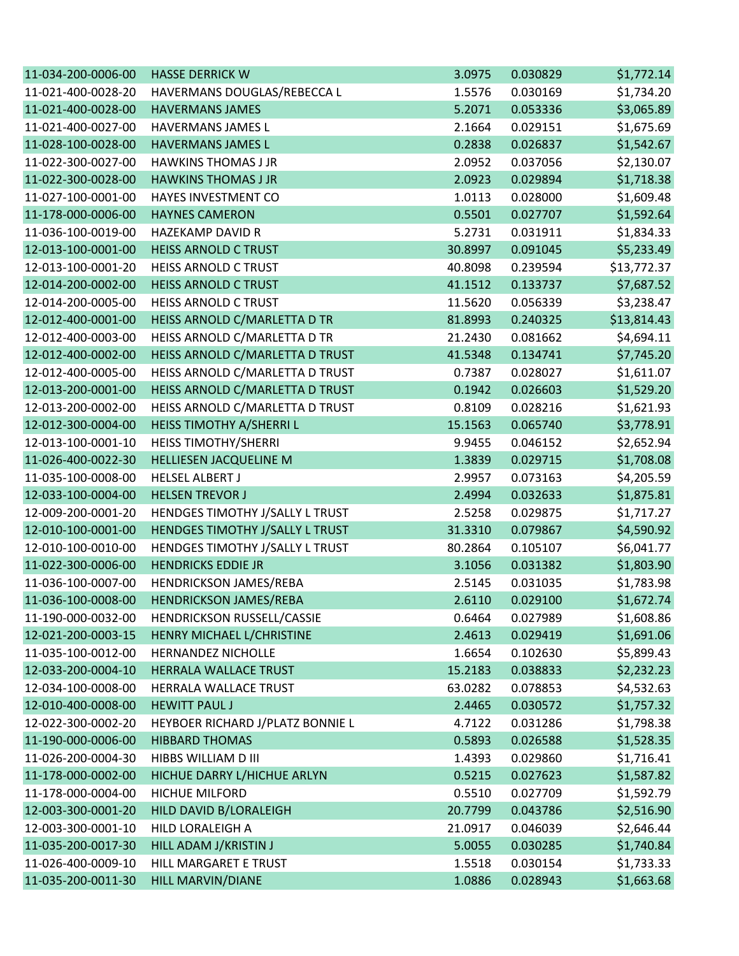| 11-034-200-0006-00 | <b>HASSE DERRICK W</b>           | 3.0975  | 0.030829 | \$1,772.14  |
|--------------------|----------------------------------|---------|----------|-------------|
| 11-021-400-0028-20 | HAVERMANS DOUGLAS/REBECCA L      | 1.5576  | 0.030169 | \$1,734.20  |
| 11-021-400-0028-00 | <b>HAVERMANS JAMES</b>           | 5.2071  | 0.053336 | \$3,065.89  |
| 11-021-400-0027-00 | HAVERMANS JAMES L                | 2.1664  | 0.029151 | \$1,675.69  |
| 11-028-100-0028-00 | <b>HAVERMANS JAMES L</b>         | 0.2838  | 0.026837 | \$1,542.67  |
| 11-022-300-0027-00 | <b>HAWKINS THOMAS J JR</b>       | 2.0952  | 0.037056 | \$2,130.07  |
| 11-022-300-0028-00 | <b>HAWKINS THOMAS J JR</b>       | 2.0923  | 0.029894 | \$1,718.38  |
| 11-027-100-0001-00 | HAYES INVESTMENT CO              | 1.0113  | 0.028000 | \$1,609.48  |
| 11-178-000-0006-00 | <b>HAYNES CAMERON</b>            | 0.5501  | 0.027707 | \$1,592.64  |
| 11-036-100-0019-00 | <b>HAZEKAMP DAVID R</b>          | 5.2731  | 0.031911 | \$1,834.33  |
| 12-013-100-0001-00 | <b>HEISS ARNOLD C TRUST</b>      | 30.8997 | 0.091045 | \$5,233.49  |
| 12-013-100-0001-20 | HEISS ARNOLD C TRUST             | 40.8098 | 0.239594 | \$13,772.37 |
| 12-014-200-0002-00 | <b>HEISS ARNOLD C TRUST</b>      | 41.1512 | 0.133737 | \$7,687.52  |
| 12-014-200-0005-00 | HEISS ARNOLD C TRUST             | 11.5620 | 0.056339 | \$3,238.47  |
| 12-012-400-0001-00 | HEISS ARNOLD C/MARLETTA D TR     | 81.8993 | 0.240325 | \$13,814.43 |
| 12-012-400-0003-00 | HEISS ARNOLD C/MARLETTA D TR     | 21.2430 | 0.081662 | \$4,694.11  |
| 12-012-400-0002-00 | HEISS ARNOLD C/MARLETTA D TRUST  | 41.5348 | 0.134741 | \$7,745.20  |
| 12-012-400-0005-00 | HEISS ARNOLD C/MARLETTA D TRUST  | 0.7387  | 0.028027 | \$1,611.07  |
| 12-013-200-0001-00 | HEISS ARNOLD C/MARLETTA D TRUST  | 0.1942  | 0.026603 | \$1,529.20  |
| 12-013-200-0002-00 | HEISS ARNOLD C/MARLETTA D TRUST  | 0.8109  | 0.028216 | \$1,621.93  |
| 12-012-300-0004-00 | HEISS TIMOTHY A/SHERRI L         | 15.1563 | 0.065740 | \$3,778.91  |
| 12-013-100-0001-10 | HEISS TIMOTHY/SHERRI             | 9.9455  | 0.046152 | \$2,652.94  |
| 11-026-400-0022-30 | HELLIESEN JACQUELINE M           | 1.3839  | 0.029715 | \$1,708.08  |
| 11-035-100-0008-00 | <b>HELSEL ALBERT J</b>           | 2.9957  | 0.073163 | \$4,205.59  |
| 12-033-100-0004-00 | <b>HELSEN TREVOR J</b>           | 2.4994  | 0.032633 | \$1,875.81  |
| 12-009-200-0001-20 | HENDGES TIMOTHY J/SALLY L TRUST  | 2.5258  | 0.029875 | \$1,717.27  |
| 12-010-100-0001-00 | HENDGES TIMOTHY J/SALLY L TRUST  | 31.3310 | 0.079867 | \$4,590.92  |
| 12-010-100-0010-00 | HENDGES TIMOTHY J/SALLY L TRUST  | 80.2864 | 0.105107 | \$6,041.77  |
| 11-022-300-0006-00 | <b>HENDRICKS EDDIE JR</b>        | 3.1056  | 0.031382 | \$1,803.90  |
| 11-036-100-0007-00 | HENDRICKSON JAMES/REBA           | 2.5145  | 0.031035 | \$1,783.98  |
| 11-036-100-0008-00 | <b>HENDRICKSON JAMES/REBA</b>    | 2.6110  | 0.029100 | \$1,672.74  |
| 11-190-000-0032-00 | HENDRICKSON RUSSELL/CASSIE       | 0.6464  | 0.027989 | \$1,608.86  |
| 12-021-200-0003-15 | HENRY MICHAEL L/CHRISTINE        | 2.4613  | 0.029419 | \$1,691.06  |
| 11-035-100-0012-00 | <b>HERNANDEZ NICHOLLE</b>        | 1.6654  | 0.102630 | \$5,899.43  |
| 12-033-200-0004-10 | HERRALA WALLACE TRUST            | 15.2183 | 0.038833 | \$2,232.23  |
| 12-034-100-0008-00 | HERRALA WALLACE TRUST            | 63.0282 | 0.078853 | \$4,532.63  |
| 12-010-400-0008-00 | <b>HEWITT PAUL J</b>             | 2.4465  | 0.030572 | \$1,757.32  |
| 12-022-300-0002-20 | HEYBOER RICHARD J/PLATZ BONNIE L | 4.7122  | 0.031286 | \$1,798.38  |
| 11-190-000-0006-00 | <b>HIBBARD THOMAS</b>            | 0.5893  | 0.026588 | \$1,528.35  |
| 11-026-200-0004-30 | HIBBS WILLIAM D III              | 1.4393  | 0.029860 | \$1,716.41  |
| 11-178-000-0002-00 | HICHUE DARRY L/HICHUE ARLYN      | 0.5215  | 0.027623 | \$1,587.82  |
| 11-178-000-0004-00 | <b>HICHUE MILFORD</b>            | 0.5510  | 0.027709 | \$1,592.79  |
| 12-003-300-0001-20 | HILD DAVID B/LORALEIGH           | 20.7799 | 0.043786 | \$2,516.90  |
| 12-003-300-0001-10 | HILD LORALEIGH A                 | 21.0917 | 0.046039 | \$2,646.44  |
| 11-035-200-0017-30 | HILL ADAM J/KRISTIN J            | 5.0055  | 0.030285 | \$1,740.84  |
| 11-026-400-0009-10 | HILL MARGARET E TRUST            | 1.5518  | 0.030154 | \$1,733.33  |
| 11-035-200-0011-30 | HILL MARVIN/DIANE                | 1.0886  | 0.028943 | \$1,663.68  |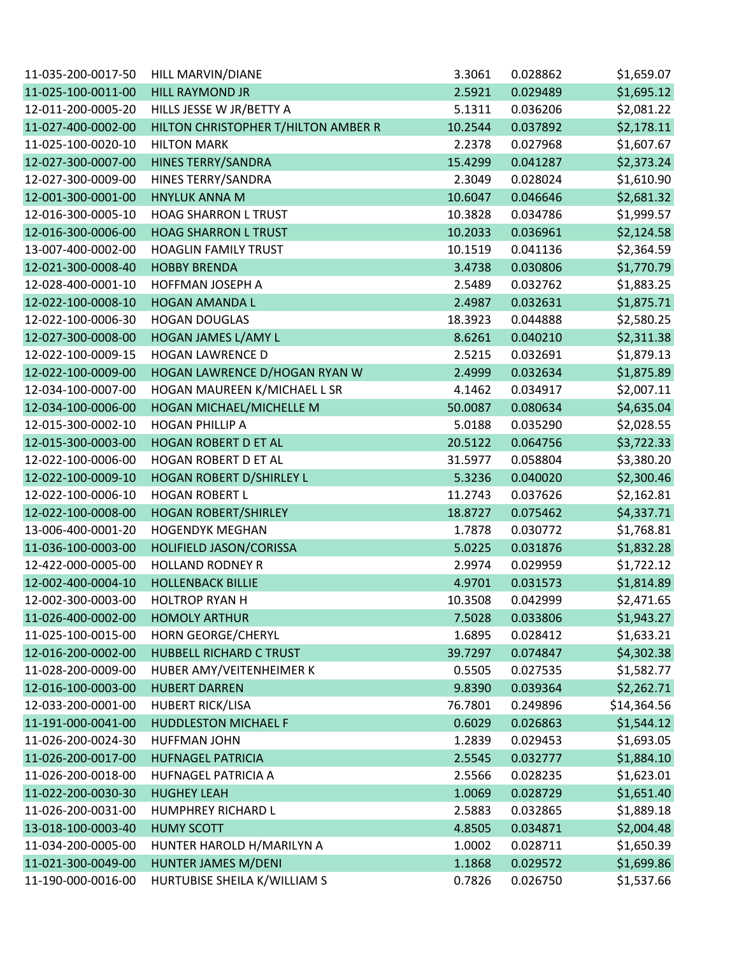| 11-035-200-0017-50 | HILL MARVIN/DIANE                   | 3.3061  | 0.028862 | \$1,659.07  |
|--------------------|-------------------------------------|---------|----------|-------------|
| 11-025-100-0011-00 | <b>HILL RAYMOND JR</b>              | 2.5921  | 0.029489 | \$1,695.12  |
| 12-011-200-0005-20 | HILLS JESSE W JR/BETTY A            | 5.1311  | 0.036206 | \$2,081.22  |
| 11-027-400-0002-00 | HILTON CHRISTOPHER T/HILTON AMBER R | 10.2544 | 0.037892 | \$2,178.11  |
| 11-025-100-0020-10 | <b>HILTON MARK</b>                  | 2.2378  | 0.027968 | \$1,607.67  |
| 12-027-300-0007-00 | <b>HINES TERRY/SANDRA</b>           | 15.4299 | 0.041287 | \$2,373.24  |
| 12-027-300-0009-00 | HINES TERRY/SANDRA                  | 2.3049  | 0.028024 | \$1,610.90  |
| 12-001-300-0001-00 | <b>HNYLUK ANNA M</b>                | 10.6047 | 0.046646 | \$2,681.32  |
| 12-016-300-0005-10 | <b>HOAG SHARRON L TRUST</b>         | 10.3828 | 0.034786 | \$1,999.57  |
| 12-016-300-0006-00 | <b>HOAG SHARRON L TRUST</b>         | 10.2033 | 0.036961 | \$2,124.58  |
| 13-007-400-0002-00 | <b>HOAGLIN FAMILY TRUST</b>         | 10.1519 | 0.041136 | \$2,364.59  |
| 12-021-300-0008-40 | <b>HOBBY BRENDA</b>                 | 3.4738  | 0.030806 | \$1,770.79  |
| 12-028-400-0001-10 | HOFFMAN JOSEPH A                    | 2.5489  | 0.032762 | \$1,883.25  |
| 12-022-100-0008-10 | <b>HOGAN AMANDA L</b>               | 2.4987  | 0.032631 | \$1,875.71  |
| 12-022-100-0006-30 | <b>HOGAN DOUGLAS</b>                | 18.3923 | 0.044888 | \$2,580.25  |
| 12-027-300-0008-00 | HOGAN JAMES L/AMY L                 | 8.6261  | 0.040210 | \$2,311.38  |
| 12-022-100-0009-15 | <b>HOGAN LAWRENCE D</b>             | 2.5215  | 0.032691 | \$1,879.13  |
| 12-022-100-0009-00 | HOGAN LAWRENCE D/HOGAN RYAN W       | 2.4999  | 0.032634 | \$1,875.89  |
| 12-034-100-0007-00 | HOGAN MAUREEN K/MICHAEL L SR        | 4.1462  | 0.034917 | \$2,007.11  |
| 12-034-100-0006-00 | HOGAN MICHAEL/MICHELLE M            | 50.0087 | 0.080634 | \$4,635.04  |
| 12-015-300-0002-10 | <b>HOGAN PHILLIP A</b>              | 5.0188  | 0.035290 | \$2,028.55  |
| 12-015-300-0003-00 | <b>HOGAN ROBERT D ET AL</b>         | 20.5122 | 0.064756 | \$3,722.33  |
| 12-022-100-0006-00 | HOGAN ROBERT D ET AL                | 31.5977 | 0.058804 | \$3,380.20  |
| 12-022-100-0009-10 | HOGAN ROBERT D/SHIRLEY L            | 5.3236  | 0.040020 | \$2,300.46  |
| 12-022-100-0006-10 | <b>HOGAN ROBERT L</b>               | 11.2743 | 0.037626 | \$2,162.81  |
| 12-022-100-0008-00 | <b>HOGAN ROBERT/SHIRLEY</b>         | 18.8727 | 0.075462 | \$4,337.71  |
| 13-006-400-0001-20 | <b>HOGENDYK MEGHAN</b>              | 1.7878  | 0.030772 | \$1,768.81  |
| 11-036-100-0003-00 | HOLIFIELD JASON/CORISSA             | 5.0225  | 0.031876 | \$1,832.28  |
| 12-422-000-0005-00 | <b>HOLLAND RODNEY R</b>             | 2.9974  | 0.029959 | \$1,722.12  |
| 12-002-400-0004-10 | <b>HOLLENBACK BILLIE</b>            | 4.9701  | 0.031573 | \$1,814.89  |
| 12-002-300-0003-00 | <b>HOLTROP RYAN H</b>               | 10.3508 | 0.042999 | \$2,471.65  |
| 11-026-400-0002-00 | <b>HOMOLY ARTHUR</b>                | 7.5028  | 0.033806 | \$1,943.27  |
| 11-025-100-0015-00 | HORN GEORGE/CHERYL                  | 1.6895  | 0.028412 | \$1,633.21  |
| 12-016-200-0002-00 | HUBBELL RICHARD C TRUST             | 39.7297 | 0.074847 | \$4,302.38  |
| 11-028-200-0009-00 | HUBER AMY/VEITENHEIMER K            | 0.5505  | 0.027535 | \$1,582.77  |
| 12-016-100-0003-00 | <b>HUBERT DARREN</b>                | 9.8390  | 0.039364 | \$2,262.71  |
| 12-033-200-0001-00 | <b>HUBERT RICK/LISA</b>             | 76.7801 | 0.249896 | \$14,364.56 |
| 11-191-000-0041-00 | <b>HUDDLESTON MICHAEL F</b>         | 0.6029  | 0.026863 | \$1,544.12  |
| 11-026-200-0024-30 | <b>HUFFMAN JOHN</b>                 | 1.2839  | 0.029453 | \$1,693.05  |
| 11-026-200-0017-00 | <b>HUFNAGEL PATRICIA</b>            | 2.5545  | 0.032777 | \$1,884.10  |
| 11-026-200-0018-00 | <b>HUFNAGEL PATRICIA A</b>          | 2.5566  | 0.028235 | \$1,623.01  |
| 11-022-200-0030-30 | <b>HUGHEY LEAH</b>                  | 1.0069  | 0.028729 | \$1,651.40  |
| 11-026-200-0031-00 | <b>HUMPHREY RICHARD L</b>           | 2.5883  | 0.032865 | \$1,889.18  |
| 13-018-100-0003-40 | <b>HUMY SCOTT</b>                   | 4.8505  | 0.034871 | \$2,004.48  |
| 11-034-200-0005-00 | HUNTER HAROLD H/MARILYN A           | 1.0002  | 0.028711 | \$1,650.39  |
| 11-021-300-0049-00 | HUNTER JAMES M/DENI                 | 1.1868  | 0.029572 | \$1,699.86  |
| 11-190-000-0016-00 | HURTUBISE SHEILA K/WILLIAM S        | 0.7826  | 0.026750 | \$1,537.66  |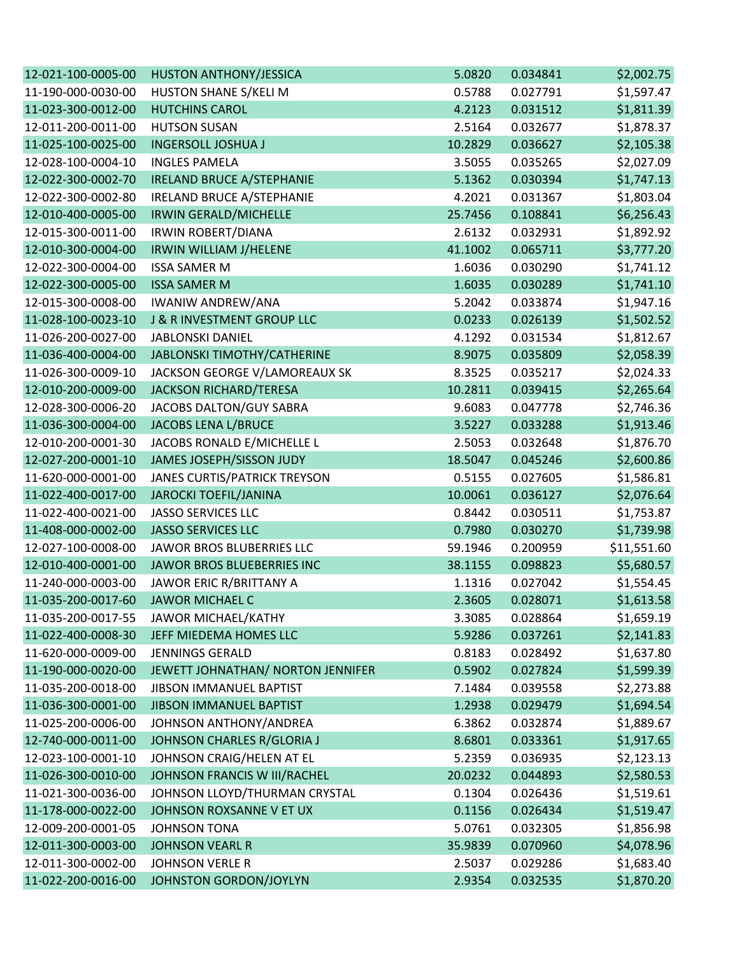| 12-021-100-0005-00 | <b>HUSTON ANTHONY/JESSICA</b>     | 5.0820  | 0.034841 | \$2,002.75  |
|--------------------|-----------------------------------|---------|----------|-------------|
| 11-190-000-0030-00 | HUSTON SHANE S/KELI M             | 0.5788  | 0.027791 | \$1,597.47  |
| 11-023-300-0012-00 | <b>HUTCHINS CAROL</b>             | 4.2123  | 0.031512 | \$1,811.39  |
| 12-011-200-0011-00 | <b>HUTSON SUSAN</b>               | 2.5164  | 0.032677 | \$1,878.37  |
| 11-025-100-0025-00 | <b>INGERSOLL JOSHUA J</b>         | 10.2829 | 0.036627 | \$2,105.38  |
| 12-028-100-0004-10 | <b>INGLES PAMELA</b>              | 3.5055  | 0.035265 | \$2,027.09  |
| 12-022-300-0002-70 | <b>IRELAND BRUCE A/STEPHANIE</b>  | 5.1362  | 0.030394 | \$1,747.13  |
| 12-022-300-0002-80 | IRELAND BRUCE A/STEPHANIE         | 4.2021  | 0.031367 | \$1,803.04  |
| 12-010-400-0005-00 | IRWIN GERALD/MICHELLE             | 25.7456 | 0.108841 | \$6,256.43  |
| 12-015-300-0011-00 | <b>IRWIN ROBERT/DIANA</b>         | 2.6132  | 0.032931 | \$1,892.92  |
| 12-010-300-0004-00 | IRWIN WILLIAM J/HELENE            | 41.1002 | 0.065711 | \$3,777.20  |
| 12-022-300-0004-00 | <b>ISSA SAMER M</b>               | 1.6036  | 0.030290 | \$1,741.12  |
| 12-022-300-0005-00 | <b>ISSA SAMER M</b>               | 1.6035  | 0.030289 | \$1,741.10  |
| 12-015-300-0008-00 | <b>IWANIW ANDREW/ANA</b>          | 5.2042  | 0.033874 | \$1,947.16  |
| 11-028-100-0023-10 | J & R INVESTMENT GROUP LLC        | 0.0233  | 0.026139 | \$1,502.52  |
| 11-026-200-0027-00 | <b>JABLONSKI DANIEL</b>           | 4.1292  | 0.031534 | \$1,812.67  |
| 11-036-400-0004-00 | JABLONSKI TIMOTHY/CATHERINE       | 8.9075  | 0.035809 | \$2,058.39  |
| 11-026-300-0009-10 | JACKSON GEORGE V/LAMOREAUX SK     | 8.3525  | 0.035217 | \$2,024.33  |
| 12-010-200-0009-00 | JACKSON RICHARD/TERESA            | 10.2811 | 0.039415 | \$2,265.64  |
| 12-028-300-0006-20 | JACOBS DALTON/GUY SABRA           | 9.6083  | 0.047778 | \$2,746.36  |
| 11-036-300-0004-00 | <b>JACOBS LENA L/BRUCE</b>        | 3.5227  | 0.033288 | \$1,913.46  |
| 12-010-200-0001-30 | JACOBS RONALD E/MICHELLE L        | 2.5053  | 0.032648 | \$1,876.70  |
| 12-027-200-0001-10 | JAMES JOSEPH/SISSON JUDY          | 18.5047 | 0.045246 | \$2,600.86  |
| 11-620-000-0001-00 | JANES CURTIS/PATRICK TREYSON      | 0.5155  | 0.027605 | \$1,586.81  |
| 11-022-400-0017-00 | <b>JAROCKI TOEFIL/JANINA</b>      | 10.0061 | 0.036127 | \$2,076.64  |
| 11-022-400-0021-00 | <b>JASSO SERVICES LLC</b>         | 0.8442  | 0.030511 | \$1,753.87  |
| 11-408-000-0002-00 | <b>JASSO SERVICES LLC</b>         | 0.7980  | 0.030270 | \$1,739.98  |
| 12-027-100-0008-00 | JAWOR BROS BLUBERRIES LLC         | 59.1946 | 0.200959 | \$11,551.60 |
| 12-010-400-0001-00 | JAWOR BROS BLUEBERRIES INC        | 38.1155 | 0.098823 | \$5,680.57  |
| 11-240-000-0003-00 | JAWOR ERIC R/BRITTANY A           | 1.1316  | 0.027042 | \$1,554.45  |
| 11-035-200-0017-60 | <b>JAWOR MICHAEL C</b>            | 2.3605  | 0.028071 | \$1,613.58  |
| 11-035-200-0017-55 | JAWOR MICHAEL/KATHY               | 3.3085  | 0.028864 | \$1,659.19  |
| 11-022-400-0008-30 | JEFF MIEDEMA HOMES LLC            | 5.9286  | 0.037261 | \$2,141.83  |
| 11-620-000-0009-00 | <b>JENNINGS GERALD</b>            | 0.8183  | 0.028492 | \$1,637.80  |
| 11-190-000-0020-00 | JEWETT JOHNATHAN/ NORTON JENNIFER | 0.5902  | 0.027824 | \$1,599.39  |
| 11-035-200-0018-00 | JIBSON IMMANUEL BAPTIST           | 7.1484  | 0.039558 | \$2,273.88  |
| 11-036-300-0001-00 | JIBSON IMMANUEL BAPTIST           | 1.2938  | 0.029479 | \$1,694.54  |
| 11-025-200-0006-00 | JOHNSON ANTHONY/ANDREA            | 6.3862  | 0.032874 | \$1,889.67  |
| 12-740-000-0011-00 | JOHNSON CHARLES R/GLORIA J        | 8.6801  | 0.033361 | \$1,917.65  |
| 12-023-100-0001-10 | JOHNSON CRAIG/HELEN AT EL         | 5.2359  | 0.036935 | \$2,123.13  |
| 11-026-300-0010-00 | JOHNSON FRANCIS W III/RACHEL      | 20.0232 | 0.044893 | \$2,580.53  |
| 11-021-300-0036-00 | JOHNSON LLOYD/THURMAN CRYSTAL     | 0.1304  | 0.026436 | \$1,519.61  |
| 11-178-000-0022-00 | JOHNSON ROXSANNE V ET UX          | 0.1156  | 0.026434 | \$1,519.47  |
| 12-009-200-0001-05 | <b>JOHNSON TONA</b>               | 5.0761  | 0.032305 | \$1,856.98  |
| 12-011-300-0003-00 | <b>JOHNSON VEARL R</b>            | 35.9839 | 0.070960 | \$4,078.96  |
| 12-011-300-0002-00 | <b>JOHNSON VERLE R</b>            | 2.5037  | 0.029286 | \$1,683.40  |
| 11-022-200-0016-00 | JOHNSTON GORDON/JOYLYN            | 2.9354  | 0.032535 | \$1,870.20  |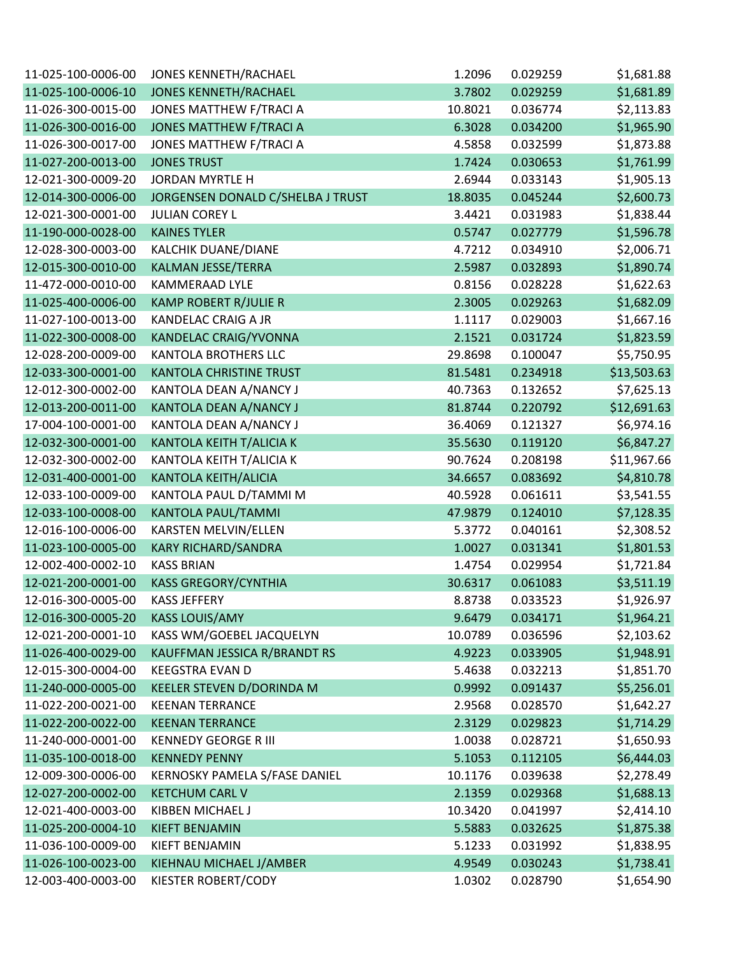| 11-025-100-0006-00 | <b>JONES KENNETH/RACHAEL</b>      | 1.2096  | 0.029259 | \$1,681.88  |
|--------------------|-----------------------------------|---------|----------|-------------|
| 11-025-100-0006-10 | <b>JONES KENNETH/RACHAEL</b>      | 3.7802  | 0.029259 | \$1,681.89  |
| 11-026-300-0015-00 | JONES MATTHEW F/TRACI A           | 10.8021 | 0.036774 | \$2,113.83  |
| 11-026-300-0016-00 | <b>JONES MATTHEW F/TRACI A</b>    | 6.3028  | 0.034200 | \$1,965.90  |
| 11-026-300-0017-00 | JONES MATTHEW F/TRACI A           | 4.5858  | 0.032599 | \$1,873.88  |
| 11-027-200-0013-00 | <b>JONES TRUST</b>                | 1.7424  | 0.030653 | \$1,761.99  |
| 12-021-300-0009-20 | <b>JORDAN MYRTLE H</b>            | 2.6944  | 0.033143 | \$1,905.13  |
| 12-014-300-0006-00 | JORGENSEN DONALD C/SHELBA J TRUST | 18.8035 | 0.045244 | \$2,600.73  |
| 12-021-300-0001-00 | <b>JULIAN COREY L</b>             | 3.4421  | 0.031983 | \$1,838.44  |
| 11-190-000-0028-00 | <b>KAINES TYLER</b>               | 0.5747  | 0.027779 | \$1,596.78  |
| 12-028-300-0003-00 | KALCHIK DUANE/DIANE               | 4.7212  | 0.034910 | \$2,006.71  |
| 12-015-300-0010-00 | KALMAN JESSE/TERRA                | 2.5987  | 0.032893 | \$1,890.74  |
| 11-472-000-0010-00 | <b>KAMMERAAD LYLE</b>             | 0.8156  | 0.028228 | \$1,622.63  |
| 11-025-400-0006-00 | <b>KAMP ROBERT R/JULIE R</b>      | 2.3005  | 0.029263 | \$1,682.09  |
| 11-027-100-0013-00 | KANDELAC CRAIG A JR               | 1.1117  | 0.029003 | \$1,667.16  |
| 11-022-300-0008-00 | <b>KANDELAC CRAIG/YVONNA</b>      | 2.1521  | 0.031724 | \$1,823.59  |
| 12-028-200-0009-00 | <b>KANTOLA BROTHERS LLC</b>       | 29.8698 | 0.100047 | \$5,750.95  |
| 12-033-300-0001-00 | <b>KANTOLA CHRISTINE TRUST</b>    | 81.5481 | 0.234918 | \$13,503.63 |
| 12-012-300-0002-00 | KANTOLA DEAN A/NANCY J            | 40.7363 | 0.132652 | \$7,625.13  |
| 12-013-200-0011-00 | KANTOLA DEAN A/NANCY J            | 81.8744 | 0.220792 | \$12,691.63 |
| 17-004-100-0001-00 | KANTOLA DEAN A/NANCY J            | 36.4069 | 0.121327 | \$6,974.16  |
| 12-032-300-0001-00 | KANTOLA KEITH T/ALICIA K          | 35.5630 | 0.119120 | \$6,847.27  |
| 12-032-300-0002-00 | KANTOLA KEITH T/ALICIA K          | 90.7624 | 0.208198 | \$11,967.66 |
| 12-031-400-0001-00 | <b>KANTOLA KEITH/ALICIA</b>       | 34.6657 | 0.083692 | \$4,810.78  |
| 12-033-100-0009-00 | KANTOLA PAUL D/TAMMI M            | 40.5928 | 0.061611 | \$3,541.55  |
| 12-033-100-0008-00 | KANTOLA PAUL/TAMMI                | 47.9879 | 0.124010 | \$7,128.35  |
| 12-016-100-0006-00 | <b>KARSTEN MELVIN/ELLEN</b>       | 5.3772  | 0.040161 | \$2,308.52  |
| 11-023-100-0005-00 | <b>KARY RICHARD/SANDRA</b>        | 1.0027  | 0.031341 | \$1,801.53  |
| 12-002-400-0002-10 | <b>KASS BRIAN</b>                 | 1.4754  | 0.029954 | \$1,721.84  |
| 12-021-200-0001-00 | <b>KASS GREGORY/CYNTHIA</b>       | 30.6317 | 0.061083 | \$3,511.19  |
| 12-016-300-0005-00 | <b>KASS JEFFERY</b>               | 8.8738  | 0.033523 | \$1,926.97  |
| 12-016-300-0005-20 | <b>KASS LOUIS/AMY</b>             | 9.6479  | 0.034171 | \$1,964.21  |
| 12-021-200-0001-10 | KASS WM/GOEBEL JACQUELYN          | 10.0789 | 0.036596 | \$2,103.62  |
| 11-026-400-0029-00 | KAUFFMAN JESSICA R/BRANDT RS      | 4.9223  | 0.033905 | \$1,948.91  |
| 12-015-300-0004-00 | <b>KEEGSTRA EVAN D</b>            | 5.4638  | 0.032213 | \$1,851.70  |
| 11-240-000-0005-00 | KEELER STEVEN D/DORINDA M         | 0.9992  | 0.091437 | \$5,256.01  |
| 11-022-200-0021-00 | <b>KEENAN TERRANCE</b>            | 2.9568  | 0.028570 | \$1,642.27  |
| 11-022-200-0022-00 | <b>KEENAN TERRANCE</b>            | 2.3129  | 0.029823 | \$1,714.29  |
| 11-240-000-0001-00 | <b>KENNEDY GEORGE R III</b>       | 1.0038  | 0.028721 | \$1,650.93  |
| 11-035-100-0018-00 | <b>KENNEDY PENNY</b>              | 5.1053  | 0.112105 | \$6,444.03  |
| 12-009-300-0006-00 | KERNOSKY PAMELA S/FASE DANIEL     | 10.1176 | 0.039638 | \$2,278.49  |
| 12-027-200-0002-00 | <b>KETCHUM CARL V</b>             | 2.1359  | 0.029368 | \$1,688.13  |
| 12-021-400-0003-00 | KIBBEN MICHAEL J                  | 10.3420 | 0.041997 | \$2,414.10  |
| 11-025-200-0004-10 | KIEFT BENJAMIN                    | 5.5883  | 0.032625 | \$1,875.38  |
| 11-036-100-0009-00 | KIEFT BENJAMIN                    | 5.1233  | 0.031992 | \$1,838.95  |
| 11-026-100-0023-00 | KIEHNAU MICHAEL J/AMBER           | 4.9549  | 0.030243 | \$1,738.41  |
| 12-003-400-0003-00 | KIESTER ROBERT/CODY               | 1.0302  | 0.028790 | \$1,654.90  |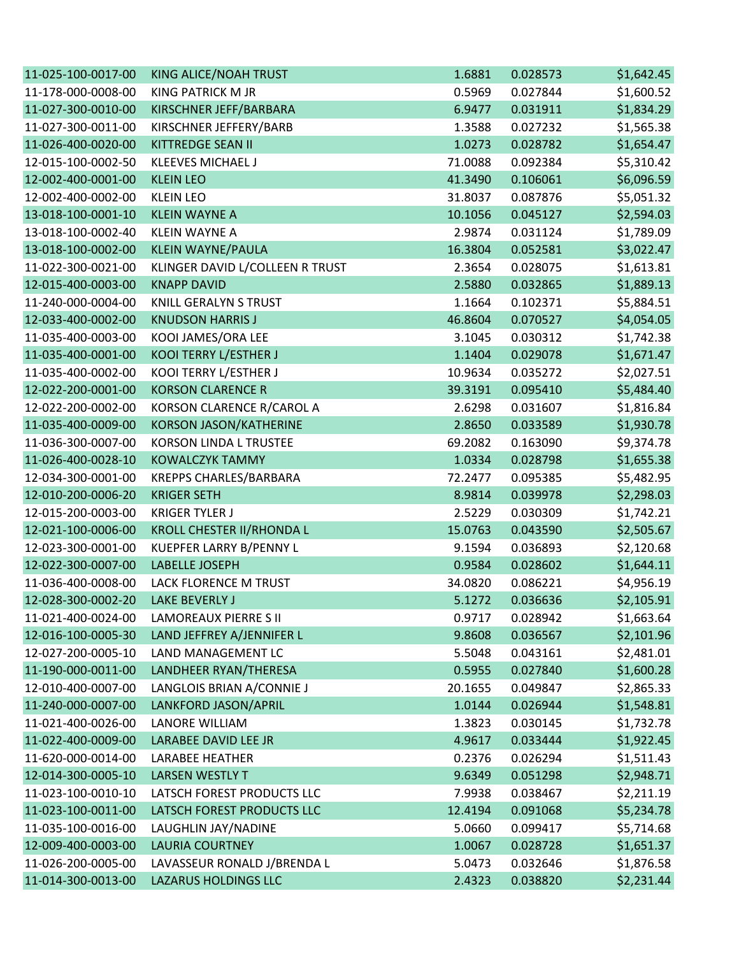| 11-025-100-0017-00 | KING ALICE/NOAH TRUST            | 1.6881  | 0.028573 | \$1,642.45 |
|--------------------|----------------------------------|---------|----------|------------|
| 11-178-000-0008-00 | <b>KING PATRICK M JR</b>         | 0.5969  | 0.027844 | \$1,600.52 |
| 11-027-300-0010-00 | KIRSCHNER JEFF/BARBARA           | 6.9477  | 0.031911 | \$1,834.29 |
| 11-027-300-0011-00 | KIRSCHNER JEFFERY/BARB           | 1.3588  | 0.027232 | \$1,565.38 |
| 11-026-400-0020-00 | KITTREDGE SEAN II                | 1.0273  | 0.028782 | \$1,654.47 |
| 12-015-100-0002-50 | <b>KLEEVES MICHAEL J</b>         | 71.0088 | 0.092384 | \$5,310.42 |
| 12-002-400-0001-00 | <b>KLEIN LEO</b>                 | 41.3490 | 0.106061 | \$6,096.59 |
| 12-002-400-0002-00 | <b>KLEIN LEO</b>                 | 31.8037 | 0.087876 | \$5,051.32 |
| 13-018-100-0001-10 | <b>KLEIN WAYNE A</b>             | 10.1056 | 0.045127 | \$2,594.03 |
| 13-018-100-0002-40 | <b>KLEIN WAYNE A</b>             | 2.9874  | 0.031124 | \$1,789.09 |
| 13-018-100-0002-00 | <b>KLEIN WAYNE/PAULA</b>         | 16.3804 | 0.052581 | \$3,022.47 |
| 11-022-300-0021-00 | KLINGER DAVID L/COLLEEN R TRUST  | 2.3654  | 0.028075 | \$1,613.81 |
| 12-015-400-0003-00 | <b>KNAPP DAVID</b>               | 2.5880  | 0.032865 | \$1,889.13 |
| 11-240-000-0004-00 | <b>KNILL GERALYN S TRUST</b>     | 1.1664  | 0.102371 | \$5,884.51 |
| 12-033-400-0002-00 | <b>KNUDSON HARRIS J</b>          | 46.8604 | 0.070527 | \$4,054.05 |
| 11-035-400-0003-00 | KOOI JAMES/ORA LEE               | 3.1045  | 0.030312 | \$1,742.38 |
| 11-035-400-0001-00 | KOOI TERRY L/ESTHER J            | 1.1404  | 0.029078 | \$1,671.47 |
| 11-035-400-0002-00 | KOOI TERRY L/ESTHER J            | 10.9634 | 0.035272 | \$2,027.51 |
| 12-022-200-0001-00 | <b>KORSON CLARENCE R</b>         | 39.3191 | 0.095410 | \$5,484.40 |
| 12-022-200-0002-00 | KORSON CLARENCE R/CAROL A        | 2.6298  | 0.031607 | \$1,816.84 |
| 11-035-400-0009-00 | <b>KORSON JASON/KATHERINE</b>    | 2.8650  | 0.033589 | \$1,930.78 |
| 11-036-300-0007-00 | <b>KORSON LINDA L TRUSTEE</b>    | 69.2082 | 0.163090 | \$9,374.78 |
| 11-026-400-0028-10 | <b>KOWALCZYK TAMMY</b>           | 1.0334  | 0.028798 | \$1,655.38 |
| 12-034-300-0001-00 | <b>KREPPS CHARLES/BARBARA</b>    | 72.2477 | 0.095385 | \$5,482.95 |
| 12-010-200-0006-20 | <b>KRIGER SETH</b>               | 8.9814  | 0.039978 | \$2,298.03 |
| 12-015-200-0003-00 | <b>KRIGER TYLER J</b>            | 2.5229  | 0.030309 | \$1,742.21 |
| 12-021-100-0006-00 | <b>KROLL CHESTER II/RHONDA L</b> | 15.0763 | 0.043590 | \$2,505.67 |
| 12-023-300-0001-00 | KUEPFER LARRY B/PENNY L          | 9.1594  | 0.036893 | \$2,120.68 |
| 12-022-300-0007-00 | LABELLE JOSEPH                   | 0.9584  | 0.028602 | \$1,644.11 |
| 11-036-400-0008-00 | LACK FLORENCE M TRUST            | 34.0820 | 0.086221 | \$4,956.19 |
| 12-028-300-0002-20 | <b>LAKE BEVERLY J</b>            | 5.1272  | 0.036636 | \$2,105.91 |
| 11-021-400-0024-00 | <b>LAMOREAUX PIERRE S II</b>     | 0.9717  | 0.028942 | \$1,663.64 |
| 12-016-100-0005-30 | LAND JEFFREY A/JENNIFER L        | 9.8608  | 0.036567 | \$2,101.96 |
| 12-027-200-0005-10 | LAND MANAGEMENT LC               | 5.5048  | 0.043161 | \$2,481.01 |
| 11-190-000-0011-00 | LANDHEER RYAN/THERESA            | 0.5955  | 0.027840 | \$1,600.28 |
| 12-010-400-0007-00 | LANGLOIS BRIAN A/CONNIE J        | 20.1655 | 0.049847 | \$2,865.33 |
| 11-240-000-0007-00 | LANKFORD JASON/APRIL             | 1.0144  | 0.026944 | \$1,548.81 |
| 11-021-400-0026-00 | LANORE WILLIAM                   | 1.3823  | 0.030145 | \$1,732.78 |
| 11-022-400-0009-00 | LARABEE DAVID LEE JR             | 4.9617  | 0.033444 | \$1,922.45 |
| 11-620-000-0014-00 | <b>LARABEE HEATHER</b>           | 0.2376  | 0.026294 | \$1,511.43 |
| 12-014-300-0005-10 | <b>LARSEN WESTLY T</b>           | 9.6349  | 0.051298 | \$2,948.71 |
| 11-023-100-0010-10 | LATSCH FOREST PRODUCTS LLC       | 7.9938  | 0.038467 | \$2,211.19 |
| 11-023-100-0011-00 | LATSCH FOREST PRODUCTS LLC       | 12.4194 | 0.091068 | \$5,234.78 |
| 11-035-100-0016-00 | LAUGHLIN JAY/NADINE              | 5.0660  | 0.099417 | \$5,714.68 |
| 12-009-400-0003-00 | <b>LAURIA COURTNEY</b>           | 1.0067  | 0.028728 | \$1,651.37 |
| 11-026-200-0005-00 | LAVASSEUR RONALD J/BRENDA L      | 5.0473  | 0.032646 | \$1,876.58 |
| 11-014-300-0013-00 | LAZARUS HOLDINGS LLC             | 2.4323  | 0.038820 | \$2,231.44 |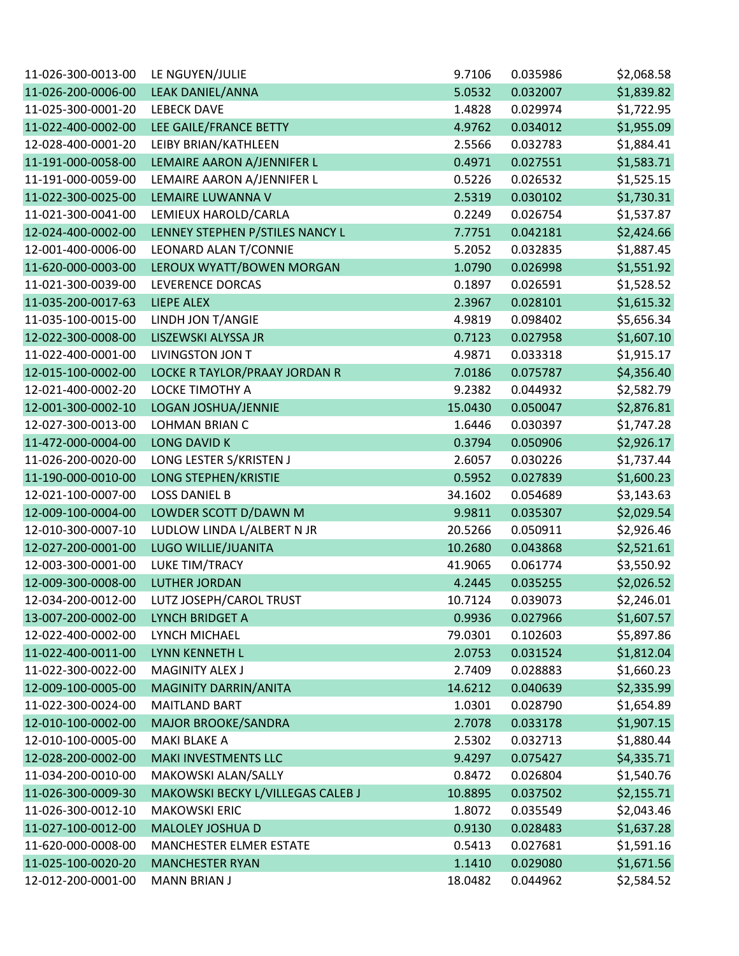| 11-026-300-0013-00 | LE NGUYEN/JULIE                   | 9.7106  | 0.035986 | \$2,068.58 |
|--------------------|-----------------------------------|---------|----------|------------|
| 11-026-200-0006-00 | LEAK DANIEL/ANNA                  | 5.0532  | 0.032007 | \$1,839.82 |
| 11-025-300-0001-20 | <b>LEBECK DAVE</b>                | 1.4828  | 0.029974 | \$1,722.95 |
| 11-022-400-0002-00 | LEE GAILE/FRANCE BETTY            | 4.9762  | 0.034012 | \$1,955.09 |
| 12-028-400-0001-20 | LEIBY BRIAN/KATHLEEN              | 2.5566  | 0.032783 | \$1,884.41 |
| 11-191-000-0058-00 | LEMAIRE AARON A/JENNIFER L        | 0.4971  | 0.027551 | \$1,583.71 |
| 11-191-000-0059-00 | LEMAIRE AARON A/JENNIFER L        | 0.5226  | 0.026532 | \$1,525.15 |
| 11-022-300-0025-00 | LEMAIRE LUWANNA V                 | 2.5319  | 0.030102 | \$1,730.31 |
| 11-021-300-0041-00 | LEMIEUX HAROLD/CARLA              | 0.2249  | 0.026754 | \$1,537.87 |
| 12-024-400-0002-00 | LENNEY STEPHEN P/STILES NANCY L   | 7.7751  | 0.042181 | \$2,424.66 |
| 12-001-400-0006-00 | LEONARD ALAN T/CONNIE             | 5.2052  | 0.032835 | \$1,887.45 |
| 11-620-000-0003-00 | LEROUX WYATT/BOWEN MORGAN         | 1.0790  | 0.026998 | \$1,551.92 |
| 11-021-300-0039-00 | LEVERENCE DORCAS                  | 0.1897  | 0.026591 | \$1,528.52 |
| 11-035-200-0017-63 | <b>LIEPE ALEX</b>                 | 2.3967  | 0.028101 | \$1,615.32 |
| 11-035-100-0015-00 | LINDH JON T/ANGIE                 | 4.9819  | 0.098402 | \$5,656.34 |
| 12-022-300-0008-00 | LISZEWSKI ALYSSA JR               | 0.7123  | 0.027958 | \$1,607.10 |
| 11-022-400-0001-00 | <b>LIVINGSTON JON T</b>           | 4.9871  | 0.033318 | \$1,915.17 |
| 12-015-100-0002-00 | LOCKE R TAYLOR/PRAAY JORDAN R     | 7.0186  | 0.075787 | \$4,356.40 |
| 12-021-400-0002-20 | LOCKE TIMOTHY A                   | 9.2382  | 0.044932 | \$2,582.79 |
| 12-001-300-0002-10 | LOGAN JOSHUA/JENNIE               | 15.0430 | 0.050047 | \$2,876.81 |
| 12-027-300-0013-00 | <b>LOHMAN BRIAN C</b>             | 1.6446  | 0.030397 | \$1,747.28 |
| 11-472-000-0004-00 | <b>LONG DAVID K</b>               | 0.3794  | 0.050906 | \$2,926.17 |
| 11-026-200-0020-00 | LONG LESTER S/KRISTEN J           | 2.6057  | 0.030226 | \$1,737.44 |
| 11-190-000-0010-00 | LONG STEPHEN/KRISTIE              | 0.5952  | 0.027839 | \$1,600.23 |
| 12-021-100-0007-00 | <b>LOSS DANIEL B</b>              | 34.1602 | 0.054689 | \$3,143.63 |
| 12-009-100-0004-00 | LOWDER SCOTT D/DAWN M             | 9.9811  | 0.035307 | \$2,029.54 |
| 12-010-300-0007-10 | LUDLOW LINDA L/ALBERT N JR        | 20.5266 | 0.050911 | \$2,926.46 |
| 12-027-200-0001-00 | LUGO WILLIE/JUANITA               | 10.2680 | 0.043868 | \$2,521.61 |
| 12-003-300-0001-00 | LUKE TIM/TRACY                    | 41.9065 | 0.061774 | \$3,550.92 |
| 12-009-300-0008-00 | <b>LUTHER JORDAN</b>              | 4.2445  | 0.035255 | \$2,026.52 |
| 12-034-200-0012-00 | LUTZ JOSEPH/CAROL TRUST           | 10.7124 | 0.039073 | \$2,246.01 |
| 13-007-200-0002-00 | LYNCH BRIDGET A                   | 0.9936  | 0.027966 | \$1,607.57 |
| 12-022-400-0002-00 | LYNCH MICHAEL                     | 79.0301 | 0.102603 | \$5,897.86 |
| 11-022-400-0011-00 | LYNN KENNETH L                    | 2.0753  | 0.031524 | \$1,812.04 |
| 11-022-300-0022-00 | <b>MAGINITY ALEX J</b>            | 2.7409  | 0.028883 | \$1,660.23 |
| 12-009-100-0005-00 | MAGINITY DARRIN/ANITA             | 14.6212 | 0.040639 | \$2,335.99 |
| 11-022-300-0024-00 | <b>MAITLAND BART</b>              | 1.0301  | 0.028790 | \$1,654.89 |
| 12-010-100-0002-00 | <b>MAJOR BROOKE/SANDRA</b>        | 2.7078  | 0.033178 | \$1,907.15 |
| 12-010-100-0005-00 | MAKI BLAKE A                      | 2.5302  | 0.032713 | \$1,880.44 |
| 12-028-200-0002-00 | MAKI INVESTMENTS LLC              | 9.4297  | 0.075427 | \$4,335.71 |
| 11-034-200-0010-00 | MAKOWSKI ALAN/SALLY               | 0.8472  | 0.026804 | \$1,540.76 |
| 11-026-300-0009-30 | MAKOWSKI BECKY L/VILLEGAS CALEB J | 10.8895 | 0.037502 | \$2,155.71 |
| 11-026-300-0012-10 | <b>MAKOWSKI ERIC</b>              | 1.8072  | 0.035549 | \$2,043.46 |
| 11-027-100-0012-00 | MALOLEY JOSHUA D                  | 0.9130  | 0.028483 | \$1,637.28 |
| 11-620-000-0008-00 | <b>MANCHESTER ELMER ESTATE</b>    | 0.5413  | 0.027681 | \$1,591.16 |
| 11-025-100-0020-20 | <b>MANCHESTER RYAN</b>            | 1.1410  | 0.029080 | \$1,671.56 |
| 12-012-200-0001-00 | <b>MANN BRIAN J</b>               | 18.0482 | 0.044962 | \$2,584.52 |
|                    |                                   |         |          |            |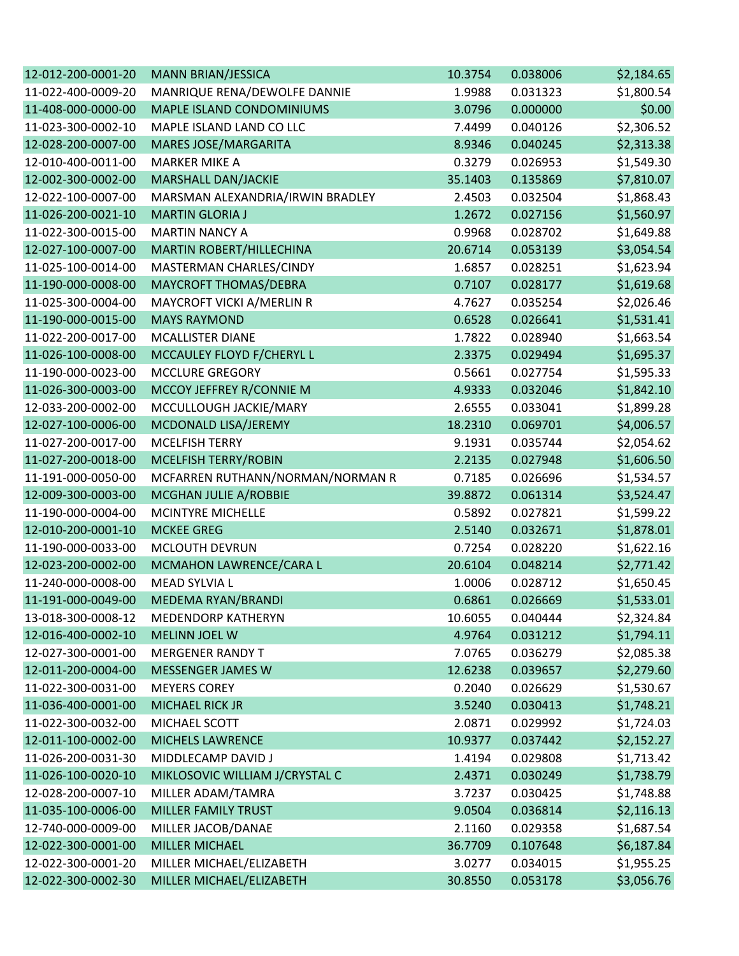| 12-012-200-0001-20 | MANN BRIAN/JESSICA               | 10.3754 | 0.038006 | \$2,184.65 |
|--------------------|----------------------------------|---------|----------|------------|
| 11-022-400-0009-20 | MANRIQUE RENA/DEWOLFE DANNIE     | 1.9988  | 0.031323 | \$1,800.54 |
| 11-408-000-0000-00 | MAPLE ISLAND CONDOMINIUMS        | 3.0796  | 0.000000 | \$0.00     |
| 11-023-300-0002-10 | MAPLE ISLAND LAND CO LLC         | 7.4499  | 0.040126 | \$2,306.52 |
| 12-028-200-0007-00 | <b>MARES JOSE/MARGARITA</b>      | 8.9346  | 0.040245 | \$2,313.38 |
| 12-010-400-0011-00 | <b>MARKER MIKE A</b>             | 0.3279  | 0.026953 | \$1,549.30 |
| 12-002-300-0002-00 | MARSHALL DAN/JACKIE              | 35.1403 | 0.135869 | \$7,810.07 |
| 12-022-100-0007-00 | MARSMAN ALEXANDRIA/IRWIN BRADLEY | 2.4503  | 0.032504 | \$1,868.43 |
| 11-026-200-0021-10 | <b>MARTIN GLORIA J</b>           | 1.2672  | 0.027156 | \$1,560.97 |
| 11-022-300-0015-00 | <b>MARTIN NANCY A</b>            | 0.9968  | 0.028702 | \$1,649.88 |
| 12-027-100-0007-00 | MARTIN ROBERT/HILLECHINA         | 20.6714 | 0.053139 | \$3,054.54 |
| 11-025-100-0014-00 | MASTERMAN CHARLES/CINDY          | 1.6857  | 0.028251 | \$1,623.94 |
| 11-190-000-0008-00 | MAYCROFT THOMAS/DEBRA            | 0.7107  | 0.028177 | \$1,619.68 |
| 11-025-300-0004-00 | MAYCROFT VICKI A/MERLIN R        | 4.7627  | 0.035254 | \$2,026.46 |
| 11-190-000-0015-00 | <b>MAYS RAYMOND</b>              | 0.6528  | 0.026641 | \$1,531.41 |
| 11-022-200-0017-00 | <b>MCALLISTER DIANE</b>          | 1.7822  | 0.028940 | \$1,663.54 |
| 11-026-100-0008-00 | MCCAULEY FLOYD F/CHERYL L        | 2.3375  | 0.029494 | \$1,695.37 |
| 11-190-000-0023-00 | <b>MCCLURE GREGORY</b>           | 0.5661  | 0.027754 | \$1,595.33 |
| 11-026-300-0003-00 | MCCOY JEFFREY R/CONNIE M         | 4.9333  | 0.032046 | \$1,842.10 |
| 12-033-200-0002-00 | MCCULLOUGH JACKIE/MARY           | 2.6555  | 0.033041 | \$1,899.28 |
| 12-027-100-0006-00 | MCDONALD LISA/JEREMY             | 18.2310 | 0.069701 | \$4,006.57 |
| 11-027-200-0017-00 | <b>MCELFISH TERRY</b>            | 9.1931  | 0.035744 | \$2,054.62 |
| 11-027-200-0018-00 | MCELFISH TERRY/ROBIN             | 2.2135  | 0.027948 | \$1,606.50 |
| 11-191-000-0050-00 | MCFARREN RUTHANN/NORMAN/NORMAN R | 0.7185  | 0.026696 | \$1,534.57 |
| 12-009-300-0003-00 | MCGHAN JULIE A/ROBBIE            | 39.8872 | 0.061314 | \$3,524.47 |
| 11-190-000-0004-00 | <b>MCINTYRE MICHELLE</b>         | 0.5892  | 0.027821 | \$1,599.22 |
| 12-010-200-0001-10 | <b>MCKEE GREG</b>                | 2.5140  | 0.032671 | \$1,878.01 |
| 11-190-000-0033-00 | <b>MCLOUTH DEVRUN</b>            | 0.7254  | 0.028220 | \$1,622.16 |
| 12-023-200-0002-00 | MCMAHON LAWRENCE/CARA L          | 20.6104 | 0.048214 | \$2,771.42 |
| 11-240-000-0008-00 | MEAD SYLVIA L                    | 1.0006  | 0.028712 | \$1,650.45 |
| 11-191-000-0049-00 | MEDEMA RYAN/BRANDI               | 0.6861  | 0.026669 | \$1,533.01 |
| 13-018-300-0008-12 | <b>MEDENDORP KATHERYN</b>        | 10.6055 | 0.040444 | \$2,324.84 |
| 12-016-400-0002-10 | <b>MELINN JOEL W</b>             | 4.9764  | 0.031212 | \$1,794.11 |
| 12-027-300-0001-00 | <b>MERGENER RANDY T</b>          | 7.0765  | 0.036279 | \$2,085.38 |
| 12-011-200-0004-00 | MESSENGER JAMES W                | 12.6238 | 0.039657 | \$2,279.60 |
| 11-022-300-0031-00 | <b>MEYERS COREY</b>              | 0.2040  | 0.026629 | \$1,530.67 |
| 11-036-400-0001-00 | <b>MICHAEL RICK JR</b>           | 3.5240  | 0.030413 | \$1,748.21 |
| 11-022-300-0032-00 | MICHAEL SCOTT                    | 2.0871  | 0.029992 | \$1,724.03 |
| 12-011-100-0002-00 | <b>MICHELS LAWRENCE</b>          | 10.9377 | 0.037442 | \$2,152.27 |
| 11-026-200-0031-30 | MIDDLECAMP DAVID J               | 1.4194  | 0.029808 | \$1,713.42 |
| 11-026-100-0020-10 | MIKLOSOVIC WILLIAM J/CRYSTAL C   | 2.4371  | 0.030249 | \$1,738.79 |
| 12-028-200-0007-10 | MILLER ADAM/TAMRA                | 3.7237  | 0.030425 | \$1,748.88 |
| 11-035-100-0006-00 | MILLER FAMILY TRUST              | 9.0504  | 0.036814 | \$2,116.13 |
| 12-740-000-0009-00 | MILLER JACOB/DANAE               | 2.1160  | 0.029358 | \$1,687.54 |
| 12-022-300-0001-00 | <b>MILLER MICHAEL</b>            | 36.7709 | 0.107648 | \$6,187.84 |
| 12-022-300-0001-20 | MILLER MICHAEL/ELIZABETH         | 3.0277  | 0.034015 | \$1,955.25 |
| 12-022-300-0002-30 | MILLER MICHAEL/ELIZABETH         | 30.8550 | 0.053178 | \$3,056.76 |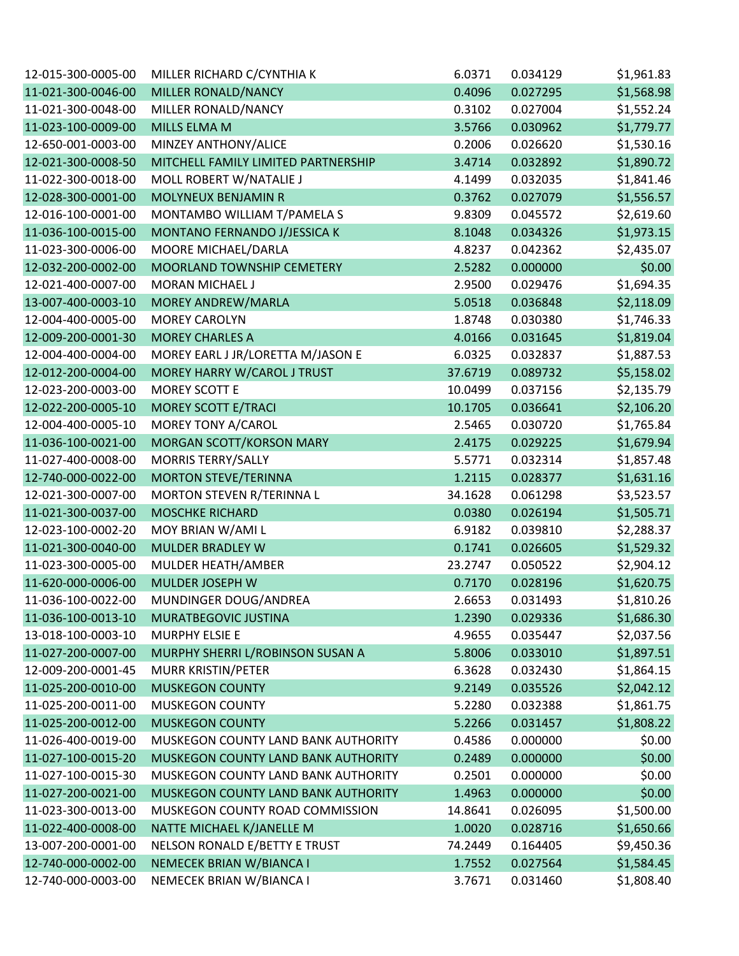| 12-015-300-0005-00 | MILLER RICHARD C/CYNTHIA K          | 6.0371  | 0.034129 | \$1,961.83 |
|--------------------|-------------------------------------|---------|----------|------------|
| 11-021-300-0046-00 | MILLER RONALD/NANCY                 | 0.4096  | 0.027295 | \$1,568.98 |
| 11-021-300-0048-00 | MILLER RONALD/NANCY                 | 0.3102  | 0.027004 | \$1,552.24 |
| 11-023-100-0009-00 | MILLS ELMA M                        | 3.5766  | 0.030962 | \$1,779.77 |
| 12-650-001-0003-00 | MINZEY ANTHONY/ALICE                | 0.2006  | 0.026620 | \$1,530.16 |
| 12-021-300-0008-50 | MITCHELL FAMILY LIMITED PARTNERSHIP | 3.4714  | 0.032892 | \$1,890.72 |
| 11-022-300-0018-00 | MOLL ROBERT W/NATALIE J             | 4.1499  | 0.032035 | \$1,841.46 |
| 12-028-300-0001-00 | MOLYNEUX BENJAMIN R                 | 0.3762  | 0.027079 | \$1,556.57 |
| 12-016-100-0001-00 | MONTAMBO WILLIAM T/PAMELA S         | 9.8309  | 0.045572 | \$2,619.60 |
| 11-036-100-0015-00 | MONTANO FERNANDO J/JESSICA K        | 8.1048  | 0.034326 | \$1,973.15 |
| 11-023-300-0006-00 | MOORE MICHAEL/DARLA                 | 4.8237  | 0.042362 | \$2,435.07 |
| 12-032-200-0002-00 | MOORLAND TOWNSHIP CEMETERY          | 2.5282  | 0.000000 | \$0.00     |
| 12-021-400-0007-00 | MORAN MICHAEL J                     | 2.9500  | 0.029476 | \$1,694.35 |
| 13-007-400-0003-10 | MOREY ANDREW/MARLA                  | 5.0518  | 0.036848 | \$2,118.09 |
| 12-004-400-0005-00 | <b>MOREY CAROLYN</b>                | 1.8748  | 0.030380 | \$1,746.33 |
| 12-009-200-0001-30 | <b>MOREY CHARLES A</b>              | 4.0166  | 0.031645 | \$1,819.04 |
| 12-004-400-0004-00 | MOREY EARL J JR/LORETTA M/JASON E   | 6.0325  | 0.032837 | \$1,887.53 |
| 12-012-200-0004-00 | MOREY HARRY W/CAROL J TRUST         | 37.6719 | 0.089732 | \$5,158.02 |
| 12-023-200-0003-00 | <b>MOREY SCOTT E</b>                | 10.0499 | 0.037156 | \$2,135.79 |
| 12-022-200-0005-10 | <b>MOREY SCOTT E/TRACI</b>          | 10.1705 | 0.036641 | \$2,106.20 |
| 12-004-400-0005-10 | MOREY TONY A/CAROL                  | 2.5465  | 0.030720 | \$1,765.84 |
| 11-036-100-0021-00 | MORGAN SCOTT/KORSON MARY            | 2.4175  | 0.029225 | \$1,679.94 |
| 11-027-400-0008-00 | <b>MORRIS TERRY/SALLY</b>           | 5.5771  | 0.032314 | \$1,857.48 |
| 12-740-000-0022-00 | <b>MORTON STEVE/TERINNA</b>         | 1.2115  | 0.028377 | \$1,631.16 |
| 12-021-300-0007-00 | MORTON STEVEN R/TERINNA L           | 34.1628 | 0.061298 | \$3,523.57 |
| 11-021-300-0037-00 | <b>MOSCHKE RICHARD</b>              | 0.0380  | 0.026194 | \$1,505.71 |
| 12-023-100-0002-20 | MOY BRIAN W/AMI L                   | 6.9182  | 0.039810 | \$2,288.37 |
| 11-021-300-0040-00 | <b>MULDER BRADLEY W</b>             | 0.1741  | 0.026605 | \$1,529.32 |
| 11-023-300-0005-00 | MULDER HEATH/AMBER                  | 23.2747 | 0.050522 | \$2,904.12 |
| 11-620-000-0006-00 | <b>MULDER JOSEPH W</b>              | 0.7170  | 0.028196 | \$1,620.75 |
| 11-036-100-0022-00 | MUNDINGER DOUG/ANDREA               | 2.6653  | 0.031493 | \$1,810.26 |
| 11-036-100-0013-10 | MURATBEGOVIC JUSTINA                | 1.2390  | 0.029336 | \$1,686.30 |
| 13-018-100-0003-10 | MURPHY ELSIE E                      | 4.9655  | 0.035447 | \$2,037.56 |
| 11-027-200-0007-00 | MURPHY SHERRI L/ROBINSON SUSAN A    | 5.8006  | 0.033010 | \$1,897.51 |
| 12-009-200-0001-45 | MURR KRISTIN/PETER                  | 6.3628  | 0.032430 | \$1,864.15 |
| 11-025-200-0010-00 | <b>MUSKEGON COUNTY</b>              | 9.2149  | 0.035526 | \$2,042.12 |
| 11-025-200-0011-00 | <b>MUSKEGON COUNTY</b>              | 5.2280  | 0.032388 | \$1,861.75 |
| 11-025-200-0012-00 | <b>MUSKEGON COUNTY</b>              | 5.2266  | 0.031457 | \$1,808.22 |
| 11-026-400-0019-00 | MUSKEGON COUNTY LAND BANK AUTHORITY | 0.4586  | 0.000000 | \$0.00     |
| 11-027-100-0015-20 | MUSKEGON COUNTY LAND BANK AUTHORITY | 0.2489  | 0.000000 | \$0.00     |
| 11-027-100-0015-30 | MUSKEGON COUNTY LAND BANK AUTHORITY | 0.2501  | 0.000000 | \$0.00     |
| 11-027-200-0021-00 | MUSKEGON COUNTY LAND BANK AUTHORITY | 1.4963  | 0.000000 | \$0.00     |
| 11-023-300-0013-00 | MUSKEGON COUNTY ROAD COMMISSION     | 14.8641 | 0.026095 | \$1,500.00 |
| 11-022-400-0008-00 | NATTE MICHAEL K/JANELLE M           | 1.0020  | 0.028716 | \$1,650.66 |
| 13-007-200-0001-00 | NELSON RONALD E/BETTY E TRUST       | 74.2449 | 0.164405 | \$9,450.36 |
| 12-740-000-0002-00 | NEMECEK BRIAN W/BIANCA I            | 1.7552  | 0.027564 | \$1,584.45 |
| 12-740-000-0003-00 | NEMECEK BRIAN W/BIANCA I            | 3.7671  | 0.031460 | \$1,808.40 |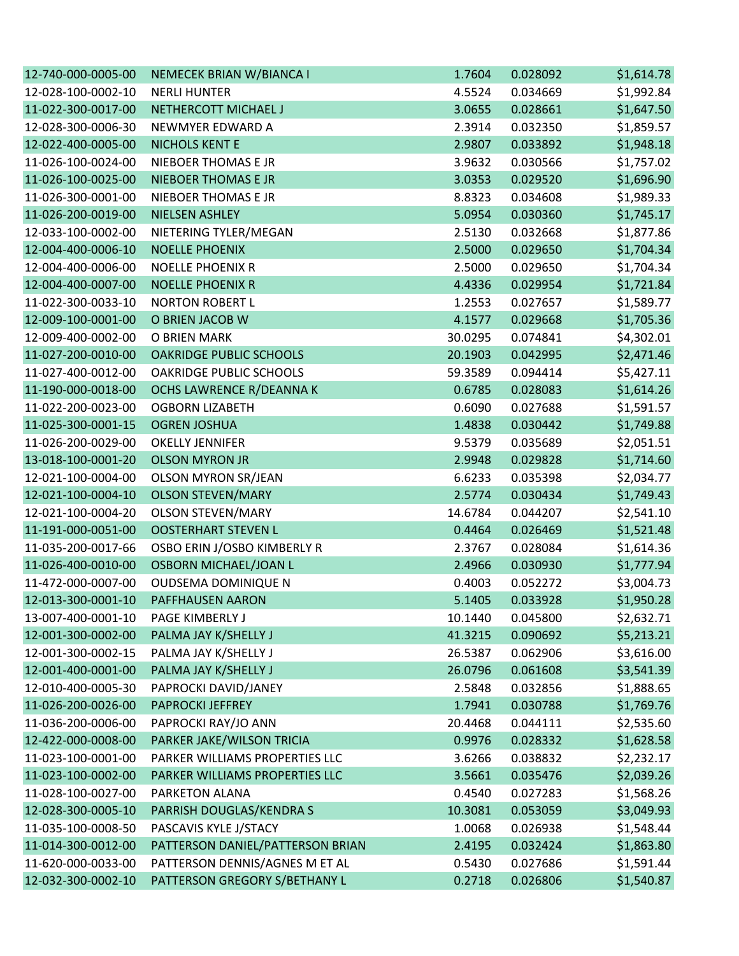| 12-740-000-0005-00 | NEMECEK BRIAN W/BIANCA I         | 1.7604  | 0.028092 | \$1,614.78 |
|--------------------|----------------------------------|---------|----------|------------|
| 12-028-100-0002-10 | <b>NERLI HUNTER</b>              | 4.5524  | 0.034669 | \$1,992.84 |
| 11-022-300-0017-00 | NETHERCOTT MICHAEL J             | 3.0655  | 0.028661 | \$1,647.50 |
| 12-028-300-0006-30 | NEWMYER EDWARD A                 | 2.3914  | 0.032350 | \$1,859.57 |
| 12-022-400-0005-00 | <b>NICHOLS KENT E</b>            | 2.9807  | 0.033892 | \$1,948.18 |
| 11-026-100-0024-00 | NIEBOER THOMAS E JR              | 3.9632  | 0.030566 | \$1,757.02 |
| 11-026-100-0025-00 | <b>NIEBOER THOMAS E JR</b>       | 3.0353  | 0.029520 | \$1,696.90 |
| 11-026-300-0001-00 | <b>NIEBOER THOMAS E JR</b>       | 8.8323  | 0.034608 | \$1,989.33 |
| 11-026-200-0019-00 | <b>NIELSEN ASHLEY</b>            | 5.0954  | 0.030360 | \$1,745.17 |
| 12-033-100-0002-00 | NIETERING TYLER/MEGAN            | 2.5130  | 0.032668 | \$1,877.86 |
| 12-004-400-0006-10 | <b>NOELLE PHOENIX</b>            | 2.5000  | 0.029650 | \$1,704.34 |
| 12-004-400-0006-00 | <b>NOELLE PHOENIX R</b>          | 2.5000  | 0.029650 | \$1,704.34 |
| 12-004-400-0007-00 | <b>NOELLE PHOENIX R</b>          | 4.4336  | 0.029954 | \$1,721.84 |
| 11-022-300-0033-10 | <b>NORTON ROBERT L</b>           | 1.2553  | 0.027657 | \$1,589.77 |
| 12-009-100-0001-00 | O BRIEN JACOB W                  | 4.1577  | 0.029668 | \$1,705.36 |
| 12-009-400-0002-00 | O BRIEN MARK                     | 30.0295 | 0.074841 | \$4,302.01 |
| 11-027-200-0010-00 | <b>OAKRIDGE PUBLIC SCHOOLS</b>   | 20.1903 | 0.042995 | \$2,471.46 |
| 11-027-400-0012-00 | <b>OAKRIDGE PUBLIC SCHOOLS</b>   | 59.3589 | 0.094414 | \$5,427.11 |
| 11-190-000-0018-00 | OCHS LAWRENCE R/DEANNA K         | 0.6785  | 0.028083 | \$1,614.26 |
| 11-022-200-0023-00 | <b>OGBORN LIZABETH</b>           | 0.6090  | 0.027688 | \$1,591.57 |
| 11-025-300-0001-15 | <b>OGREN JOSHUA</b>              | 1.4838  | 0.030442 | \$1,749.88 |
| 11-026-200-0029-00 | <b>OKELLY JENNIFER</b>           | 9.5379  | 0.035689 | \$2,051.51 |
| 13-018-100-0001-20 | <b>OLSON MYRON JR</b>            | 2.9948  | 0.029828 | \$1,714.60 |
| 12-021-100-0004-00 | <b>OLSON MYRON SR/JEAN</b>       | 6.6233  | 0.035398 | \$2,034.77 |
| 12-021-100-0004-10 | <b>OLSON STEVEN/MARY</b>         | 2.5774  | 0.030434 | \$1,749.43 |
| 12-021-100-0004-20 | <b>OLSON STEVEN/MARY</b>         | 14.6784 | 0.044207 | \$2,541.10 |
| 11-191-000-0051-00 | <b>OOSTERHART STEVEN L</b>       | 0.4464  | 0.026469 | \$1,521.48 |
| 11-035-200-0017-66 | OSBO ERIN J/OSBO KIMBERLY R      | 2.3767  | 0.028084 | \$1,614.36 |
| 11-026-400-0010-00 | <b>OSBORN MICHAEL/JOAN L</b>     | 2.4966  | 0.030930 | \$1,777.94 |
| 11-472-000-0007-00 | <b>OUDSEMA DOMINIQUE N</b>       | 0.4003  | 0.052272 | \$3,004.73 |
| 12-013-300-0001-10 | PAFFHAUSEN AARON                 | 5.1405  | 0.033928 | \$1,950.28 |
| 13-007-400-0001-10 | PAGE KIMBERLY J                  | 10.1440 | 0.045800 | \$2,632.71 |
| 12-001-300-0002-00 | PALMA JAY K/SHELLY J             | 41.3215 | 0.090692 | \$5,213.21 |
| 12-001-300-0002-15 | PALMA JAY K/SHELLY J             | 26.5387 | 0.062906 | \$3,616.00 |
| 12-001-400-0001-00 | PALMA JAY K/SHELLY J             | 26.0796 | 0.061608 | \$3,541.39 |
| 12-010-400-0005-30 | PAPROCKI DAVID/JANEY             | 2.5848  | 0.032856 | \$1,888.65 |
| 11-026-200-0026-00 | PAPROCKI JEFFREY                 | 1.7941  | 0.030788 | \$1,769.76 |
| 11-036-200-0006-00 | PAPROCKI RAY/JO ANN              | 20.4468 | 0.044111 | \$2,535.60 |
| 12-422-000-0008-00 | PARKER JAKE/WILSON TRICIA        | 0.9976  | 0.028332 | \$1,628.58 |
| 11-023-100-0001-00 | PARKER WILLIAMS PROPERTIES LLC   | 3.6266  | 0.038832 | \$2,232.17 |
| 11-023-100-0002-00 | PARKER WILLIAMS PROPERTIES LLC   | 3.5661  | 0.035476 | \$2,039.26 |
| 11-028-100-0027-00 | PARKETON ALANA                   | 0.4540  | 0.027283 | \$1,568.26 |
| 12-028-300-0005-10 | PARRISH DOUGLAS/KENDRA S         | 10.3081 | 0.053059 | \$3,049.93 |
| 11-035-100-0008-50 | PASCAVIS KYLE J/STACY            | 1.0068  | 0.026938 | \$1,548.44 |
| 11-014-300-0012-00 | PATTERSON DANIEL/PATTERSON BRIAN | 2.4195  | 0.032424 | \$1,863.80 |
| 11-620-000-0033-00 | PATTERSON DENNIS/AGNES M ET AL   | 0.5430  | 0.027686 | \$1,591.44 |
| 12-032-300-0002-10 | PATTERSON GREGORY S/BETHANY L    | 0.2718  | 0.026806 | \$1,540.87 |
|                    |                                  |         |          |            |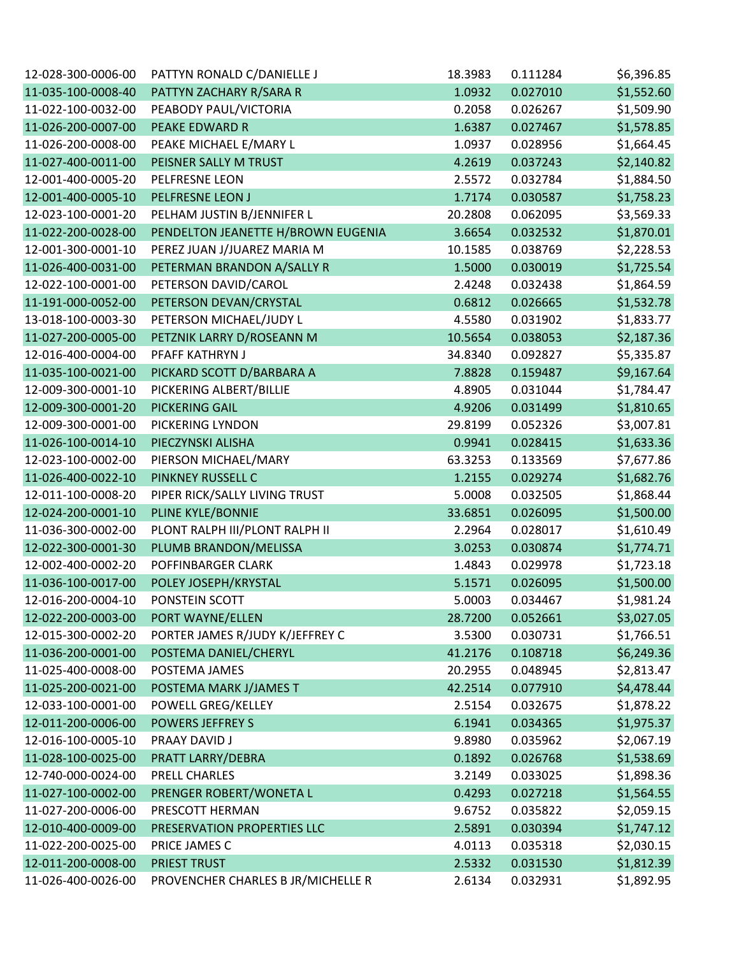| 12-028-300-0006-00 | PATTYN RONALD C/DANIELLE J         | 18.3983 | 0.111284 | \$6,396.85 |
|--------------------|------------------------------------|---------|----------|------------|
| 11-035-100-0008-40 | PATTYN ZACHARY R/SARA R            | 1.0932  | 0.027010 | \$1,552.60 |
| 11-022-100-0032-00 | PEABODY PAUL/VICTORIA              | 0.2058  | 0.026267 | \$1,509.90 |
| 11-026-200-0007-00 | PEAKE EDWARD R                     | 1.6387  | 0.027467 | \$1,578.85 |
| 11-026-200-0008-00 | PEAKE MICHAEL E/MARY L             | 1.0937  | 0.028956 | \$1,664.45 |
| 11-027-400-0011-00 | PEISNER SALLY M TRUST              | 4.2619  | 0.037243 | \$2,140.82 |
| 12-001-400-0005-20 | PELFRESNE LEON                     | 2.5572  | 0.032784 | \$1,884.50 |
| 12-001-400-0005-10 | PELFRESNE LEON J                   | 1.7174  | 0.030587 | \$1,758.23 |
| 12-023-100-0001-20 | PELHAM JUSTIN B/JENNIFER L         | 20.2808 | 0.062095 | \$3,569.33 |
| 11-022-200-0028-00 | PENDELTON JEANETTE H/BROWN EUGENIA | 3.6654  | 0.032532 | \$1,870.01 |
| 12-001-300-0001-10 | PEREZ JUAN J/JUAREZ MARIA M        | 10.1585 | 0.038769 | \$2,228.53 |
| 11-026-400-0031-00 | PETERMAN BRANDON A/SALLY R         | 1.5000  | 0.030019 | \$1,725.54 |
| 12-022-100-0001-00 | PETERSON DAVID/CAROL               | 2.4248  | 0.032438 | \$1,864.59 |
| 11-191-000-0052-00 | PETERSON DEVAN/CRYSTAL             | 0.6812  | 0.026665 | \$1,532.78 |
| 13-018-100-0003-30 | PETERSON MICHAEL/JUDY L            | 4.5580  | 0.031902 | \$1,833.77 |
| 11-027-200-0005-00 | PETZNIK LARRY D/ROSEANN M          | 10.5654 | 0.038053 | \$2,187.36 |
| 12-016-400-0004-00 | PFAFF KATHRYN J                    | 34.8340 | 0.092827 | \$5,335.87 |
| 11-035-100-0021-00 | PICKARD SCOTT D/BARBARA A          | 7.8828  | 0.159487 | \$9,167.64 |
| 12-009-300-0001-10 | PICKERING ALBERT/BILLIE            | 4.8905  | 0.031044 | \$1,784.47 |
| 12-009-300-0001-20 | <b>PICKERING GAIL</b>              | 4.9206  | 0.031499 | \$1,810.65 |
| 12-009-300-0001-00 | PICKERING LYNDON                   | 29.8199 | 0.052326 | \$3,007.81 |
| 11-026-100-0014-10 | PIECZYNSKI ALISHA                  | 0.9941  | 0.028415 | \$1,633.36 |
| 12-023-100-0002-00 | PIERSON MICHAEL/MARY               | 63.3253 | 0.133569 | \$7,677.86 |
| 11-026-400-0022-10 | PINKNEY RUSSELL C                  | 1.2155  | 0.029274 | \$1,682.76 |
| 12-011-100-0008-20 | PIPER RICK/SALLY LIVING TRUST      | 5.0008  | 0.032505 | \$1,868.44 |
| 12-024-200-0001-10 | PLINE KYLE/BONNIE                  | 33.6851 | 0.026095 | \$1,500.00 |
| 11-036-300-0002-00 | PLONT RALPH III/PLONT RALPH II     | 2.2964  | 0.028017 | \$1,610.49 |
| 12-022-300-0001-30 | PLUMB BRANDON/MELISSA              | 3.0253  | 0.030874 | \$1,774.71 |
| 12-002-400-0002-20 | POFFINBARGER CLARK                 | 1.4843  | 0.029978 | \$1,723.18 |
| 11-036-100-0017-00 | POLEY JOSEPH/KRYSTAL               | 5.1571  | 0.026095 | \$1,500.00 |
| 12-016-200-0004-10 | PONSTEIN SCOTT                     | 5.0003  | 0.034467 | \$1,981.24 |
| 12-022-200-0003-00 | PORT WAYNE/ELLEN                   | 28.7200 | 0.052661 | \$3,027.05 |
| 12-015-300-0002-20 | PORTER JAMES R/JUDY K/JEFFREY C    | 3.5300  | 0.030731 | \$1,766.51 |
| 11-036-200-0001-00 | POSTEMA DANIEL/CHERYL              | 41.2176 | 0.108718 | \$6,249.36 |
| 11-025-400-0008-00 | POSTEMA JAMES                      | 20.2955 | 0.048945 | \$2,813.47 |
| 11-025-200-0021-00 | POSTEMA MARK J/JAMES T             | 42.2514 | 0.077910 | \$4,478.44 |
| 12-033-100-0001-00 | POWELL GREG/KELLEY                 | 2.5154  | 0.032675 | \$1,878.22 |
| 12-011-200-0006-00 | <b>POWERS JEFFREY S</b>            | 6.1941  | 0.034365 | \$1,975.37 |
| 12-016-100-0005-10 | PRAAY DAVID J                      | 9.8980  | 0.035962 | \$2,067.19 |
| 11-028-100-0025-00 | PRATT LARRY/DEBRA                  | 0.1892  | 0.026768 | \$1,538.69 |
| 12-740-000-0024-00 | PRELL CHARLES                      | 3.2149  | 0.033025 | \$1,898.36 |
| 11-027-100-0002-00 | PRENGER ROBERT/WONETA L            | 0.4293  | 0.027218 | \$1,564.55 |
| 11-027-200-0006-00 | PRESCOTT HERMAN                    | 9.6752  | 0.035822 | \$2,059.15 |
| 12-010-400-0009-00 | PRESERVATION PROPERTIES LLC        | 2.5891  | 0.030394 | \$1,747.12 |
| 11-022-200-0025-00 | PRICE JAMES C                      | 4.0113  | 0.035318 | \$2,030.15 |
| 12-011-200-0008-00 | <b>PRIEST TRUST</b>                | 2.5332  | 0.031530 | \$1,812.39 |
| 11-026-400-0026-00 | PROVENCHER CHARLES B JR/MICHELLE R | 2.6134  | 0.032931 | \$1,892.95 |
|                    |                                    |         |          |            |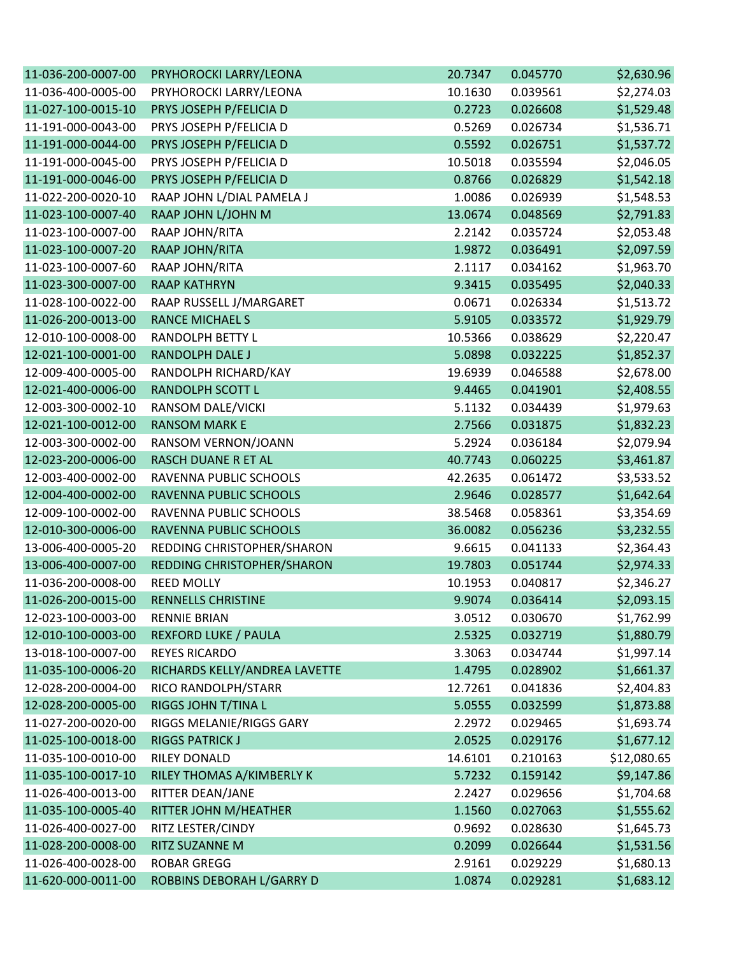| \$2,274.03<br>11-036-400-0005-00<br>PRYHOROCKI LARRY/LEONA<br>10.1630<br>0.039561<br>\$1,529.48<br>11-027-100-0015-10<br>PRYS JOSEPH P/FELICIA D<br>0.026608<br>0.2723<br>11-191-000-0043-00<br>PRYS JOSEPH P/FELICIA D<br>0.026734<br>\$1,536.71<br>0.5269<br>\$1,537.72<br>11-191-000-0044-00<br>PRYS JOSEPH P/FELICIA D<br>0.026751<br>0.5592<br>11-191-000-0045-00<br>PRYS JOSEPH P/FELICIA D<br>10.5018<br>0.035594<br>\$2,046.05<br>\$1,542.18<br>11-191-000-0046-00<br>PRYS JOSEPH P/FELICIA D<br>0.8766<br>0.026829<br>RAAP JOHN L/DIAL PAMELA J<br>0.026939<br>\$1,548.53<br>11-022-200-0020-10<br>1.0086<br>\$2,791.83<br>11-023-100-0007-40<br>RAAP JOHN L/JOHN M<br>13.0674<br>0.048569<br>\$2,053.48<br>RAAP JOHN/RITA<br>11-023-100-0007-00<br>2.2142<br>0.035724<br>\$2,097.59<br>11-023-100-0007-20<br>RAAP JOHN/RITA<br>0.036491<br>1.9872<br>\$1,963.70<br>11-023-100-0007-60<br>RAAP JOHN/RITA<br>2.1117<br>0.034162<br>\$2,040.33<br>11-023-300-0007-00<br><b>RAAP KATHRYN</b><br>0.035495<br>9.3415<br>\$1,513.72<br>11-028-100-0022-00<br>RAAP RUSSELL J/MARGARET<br>0.0671<br>0.026334<br>\$1,929.79<br>11-026-200-0013-00<br><b>RANCE MICHAEL S</b><br>5.9105<br>0.033572<br>RANDOLPH BETTY L<br>\$2,220.47<br>12-010-100-0008-00<br>10.5366<br>0.038629<br>\$1,852.37<br>12-021-100-0001-00<br>RANDOLPH DALE J<br>0.032225<br>5.0898<br>\$2,678.00<br>12-009-400-0005-00<br>RANDOLPH RICHARD/KAY<br>19.6939<br>0.046588<br>\$2,408.55<br>12-021-400-0006-00<br>RANDOLPH SCOTT L<br>9.4465<br>0.041901<br>12-003-300-0002-10<br>\$1,979.63<br>RANSOM DALE/VICKI<br>5.1132<br>0.034439<br><b>RANSOM MARK E</b><br>\$1,832.23<br>12-021-100-0012-00<br>2.7566<br>0.031875<br>RANSOM VERNON/JOANN<br>\$2,079.94<br>12-003-300-0002-00<br>5.2924<br>0.036184<br>\$3,461.87<br>12-023-200-0006-00<br>RASCH DUANE R ET AL<br>0.060225<br>40.7743<br>RAVENNA PUBLIC SCHOOLS<br>0.061472<br>\$3,533.52<br>12-003-400-0002-00<br>42.2635<br>\$1,642.64<br>12-004-400-0002-00<br>RAVENNA PUBLIC SCHOOLS<br>0.028577<br>2.9646<br>12-009-100-0002-00<br>\$3,354.69<br>RAVENNA PUBLIC SCHOOLS<br>38.5468<br>0.058361<br>\$3,232.55<br>12-010-300-0006-00<br>RAVENNA PUBLIC SCHOOLS<br>0.056236<br>36.0082<br>REDDING CHRISTOPHER/SHARON<br>0.041133<br>\$2,364.43<br>13-006-400-0005-20<br>9.6615<br>\$2,974.33<br>13-006-400-0007-00<br>REDDING CHRISTOPHER/SHARON<br>19.7803<br>0.051744<br><b>REED MOLLY</b><br>11-036-200-0008-00<br>10.1953<br>0.040817<br>\$2,346.27<br>\$2,093.15<br>11-026-200-0015-00<br><b>RENNELLS CHRISTINE</b><br>9.9074<br>0.036414<br>12-023-100-0003-00<br><b>RENNIE BRIAN</b><br>0.030670<br>3.0512<br>\$1,762.99<br>12-010-100-0003-00<br><b>REXFORD LUKE / PAULA</b><br>2.5325<br>\$1,880.79<br>0.032719<br>13-018-100-0007-00<br><b>REYES RICARDO</b><br>\$1,997.14<br>3.3063<br>0.034744<br>RICHARDS KELLY/ANDREA LAVETTE<br>\$1,661.37<br>11-035-100-0006-20<br>1.4795<br>0.028902<br>RICO RANDOLPH/STARR<br>\$2,404.83<br>12-028-200-0004-00<br>12.7261<br>0.041836<br>RIGGS JOHN T/TINA L<br>\$1,873.88<br>12-028-200-0005-00<br>5.0555<br>0.032599<br>RIGGS MELANIE/RIGGS GARY<br>\$1,693.74<br>11-027-200-0020-00<br>2.2972<br>0.029465<br>11-025-100-0018-00<br><b>RIGGS PATRICK J</b><br>\$1,677.12<br>2.0525<br>0.029176<br>\$12,080.65<br>11-035-100-0010-00<br>RILEY DONALD<br>14.6101<br>0.210163<br>11-035-100-0017-10<br>RILEY THOMAS A/KIMBERLY K<br>0.159142<br>\$9,147.86<br>5.7232<br>RITTER DEAN/JANE<br>11-026-400-0013-00<br>2.2427<br>0.029656<br>\$1,704.68<br>\$1,555.62<br>11-035-100-0005-40<br>RITTER JOHN M/HEATHER<br>0.027063<br>1.1560<br>RITZ LESTER/CINDY<br>11-026-400-0027-00<br>0.9692<br>0.028630<br>\$1,645.73<br>11-028-200-0008-00<br>RITZ SUZANNE M<br>0.026644<br>\$1,531.56<br>0.2099<br>11-026-400-0028-00<br>\$1,680.13<br><b>ROBAR GREGG</b><br>2.9161<br>0.029229<br>\$1,683.12<br>11-620-000-0011-00<br>ROBBINS DEBORAH L/GARRY D<br>1.0874<br>0.029281 | 11-036-200-0007-00 | PRYHOROCKI LARRY/LEONA | 20.7347 | 0.045770 | \$2,630.96 |
|---------------------------------------------------------------------------------------------------------------------------------------------------------------------------------------------------------------------------------------------------------------------------------------------------------------------------------------------------------------------------------------------------------------------------------------------------------------------------------------------------------------------------------------------------------------------------------------------------------------------------------------------------------------------------------------------------------------------------------------------------------------------------------------------------------------------------------------------------------------------------------------------------------------------------------------------------------------------------------------------------------------------------------------------------------------------------------------------------------------------------------------------------------------------------------------------------------------------------------------------------------------------------------------------------------------------------------------------------------------------------------------------------------------------------------------------------------------------------------------------------------------------------------------------------------------------------------------------------------------------------------------------------------------------------------------------------------------------------------------------------------------------------------------------------------------------------------------------------------------------------------------------------------------------------------------------------------------------------------------------------------------------------------------------------------------------------------------------------------------------------------------------------------------------------------------------------------------------------------------------------------------------------------------------------------------------------------------------------------------------------------------------------------------------------------------------------------------------------------------------------------------------------------------------------------------------------------------------------------------------------------------------------------------------------------------------------------------------------------------------------------------------------------------------------------------------------------------------------------------------------------------------------------------------------------------------------------------------------------------------------------------------------------------------------------------------------------------------------------------------------------------------------------------------------------------------------------------------------------------------------------------------------------------------------------------------------------------------------------------------------------------------------------------------------------------------------------------------------------------------------------------------------------------------------------------------------------------------------------------------------------------------------------------------------------------------------------------------------------------------------------------------------------------------------------------------------------------------------------------------------------------------------------------------------------------------------------|--------------------|------------------------|---------|----------|------------|
|                                                                                                                                                                                                                                                                                                                                                                                                                                                                                                                                                                                                                                                                                                                                                                                                                                                                                                                                                                                                                                                                                                                                                                                                                                                                                                                                                                                                                                                                                                                                                                                                                                                                                                                                                                                                                                                                                                                                                                                                                                                                                                                                                                                                                                                                                                                                                                                                                                                                                                                                                                                                                                                                                                                                                                                                                                                                                                                                                                                                                                                                                                                                                                                                                                                                                                                                                                                                                                                                                                                                                                                                                                                                                                                                                                                                                                                                                                                                                         |                    |                        |         |          |            |
|                                                                                                                                                                                                                                                                                                                                                                                                                                                                                                                                                                                                                                                                                                                                                                                                                                                                                                                                                                                                                                                                                                                                                                                                                                                                                                                                                                                                                                                                                                                                                                                                                                                                                                                                                                                                                                                                                                                                                                                                                                                                                                                                                                                                                                                                                                                                                                                                                                                                                                                                                                                                                                                                                                                                                                                                                                                                                                                                                                                                                                                                                                                                                                                                                                                                                                                                                                                                                                                                                                                                                                                                                                                                                                                                                                                                                                                                                                                                                         |                    |                        |         |          |            |
|                                                                                                                                                                                                                                                                                                                                                                                                                                                                                                                                                                                                                                                                                                                                                                                                                                                                                                                                                                                                                                                                                                                                                                                                                                                                                                                                                                                                                                                                                                                                                                                                                                                                                                                                                                                                                                                                                                                                                                                                                                                                                                                                                                                                                                                                                                                                                                                                                                                                                                                                                                                                                                                                                                                                                                                                                                                                                                                                                                                                                                                                                                                                                                                                                                                                                                                                                                                                                                                                                                                                                                                                                                                                                                                                                                                                                                                                                                                                                         |                    |                        |         |          |            |
|                                                                                                                                                                                                                                                                                                                                                                                                                                                                                                                                                                                                                                                                                                                                                                                                                                                                                                                                                                                                                                                                                                                                                                                                                                                                                                                                                                                                                                                                                                                                                                                                                                                                                                                                                                                                                                                                                                                                                                                                                                                                                                                                                                                                                                                                                                                                                                                                                                                                                                                                                                                                                                                                                                                                                                                                                                                                                                                                                                                                                                                                                                                                                                                                                                                                                                                                                                                                                                                                                                                                                                                                                                                                                                                                                                                                                                                                                                                                                         |                    |                        |         |          |            |
|                                                                                                                                                                                                                                                                                                                                                                                                                                                                                                                                                                                                                                                                                                                                                                                                                                                                                                                                                                                                                                                                                                                                                                                                                                                                                                                                                                                                                                                                                                                                                                                                                                                                                                                                                                                                                                                                                                                                                                                                                                                                                                                                                                                                                                                                                                                                                                                                                                                                                                                                                                                                                                                                                                                                                                                                                                                                                                                                                                                                                                                                                                                                                                                                                                                                                                                                                                                                                                                                                                                                                                                                                                                                                                                                                                                                                                                                                                                                                         |                    |                        |         |          |            |
|                                                                                                                                                                                                                                                                                                                                                                                                                                                                                                                                                                                                                                                                                                                                                                                                                                                                                                                                                                                                                                                                                                                                                                                                                                                                                                                                                                                                                                                                                                                                                                                                                                                                                                                                                                                                                                                                                                                                                                                                                                                                                                                                                                                                                                                                                                                                                                                                                                                                                                                                                                                                                                                                                                                                                                                                                                                                                                                                                                                                                                                                                                                                                                                                                                                                                                                                                                                                                                                                                                                                                                                                                                                                                                                                                                                                                                                                                                                                                         |                    |                        |         |          |            |
|                                                                                                                                                                                                                                                                                                                                                                                                                                                                                                                                                                                                                                                                                                                                                                                                                                                                                                                                                                                                                                                                                                                                                                                                                                                                                                                                                                                                                                                                                                                                                                                                                                                                                                                                                                                                                                                                                                                                                                                                                                                                                                                                                                                                                                                                                                                                                                                                                                                                                                                                                                                                                                                                                                                                                                                                                                                                                                                                                                                                                                                                                                                                                                                                                                                                                                                                                                                                                                                                                                                                                                                                                                                                                                                                                                                                                                                                                                                                                         |                    |                        |         |          |            |
|                                                                                                                                                                                                                                                                                                                                                                                                                                                                                                                                                                                                                                                                                                                                                                                                                                                                                                                                                                                                                                                                                                                                                                                                                                                                                                                                                                                                                                                                                                                                                                                                                                                                                                                                                                                                                                                                                                                                                                                                                                                                                                                                                                                                                                                                                                                                                                                                                                                                                                                                                                                                                                                                                                                                                                                                                                                                                                                                                                                                                                                                                                                                                                                                                                                                                                                                                                                                                                                                                                                                                                                                                                                                                                                                                                                                                                                                                                                                                         |                    |                        |         |          |            |
|                                                                                                                                                                                                                                                                                                                                                                                                                                                                                                                                                                                                                                                                                                                                                                                                                                                                                                                                                                                                                                                                                                                                                                                                                                                                                                                                                                                                                                                                                                                                                                                                                                                                                                                                                                                                                                                                                                                                                                                                                                                                                                                                                                                                                                                                                                                                                                                                                                                                                                                                                                                                                                                                                                                                                                                                                                                                                                                                                                                                                                                                                                                                                                                                                                                                                                                                                                                                                                                                                                                                                                                                                                                                                                                                                                                                                                                                                                                                                         |                    |                        |         |          |            |
|                                                                                                                                                                                                                                                                                                                                                                                                                                                                                                                                                                                                                                                                                                                                                                                                                                                                                                                                                                                                                                                                                                                                                                                                                                                                                                                                                                                                                                                                                                                                                                                                                                                                                                                                                                                                                                                                                                                                                                                                                                                                                                                                                                                                                                                                                                                                                                                                                                                                                                                                                                                                                                                                                                                                                                                                                                                                                                                                                                                                                                                                                                                                                                                                                                                                                                                                                                                                                                                                                                                                                                                                                                                                                                                                                                                                                                                                                                                                                         |                    |                        |         |          |            |
|                                                                                                                                                                                                                                                                                                                                                                                                                                                                                                                                                                                                                                                                                                                                                                                                                                                                                                                                                                                                                                                                                                                                                                                                                                                                                                                                                                                                                                                                                                                                                                                                                                                                                                                                                                                                                                                                                                                                                                                                                                                                                                                                                                                                                                                                                                                                                                                                                                                                                                                                                                                                                                                                                                                                                                                                                                                                                                                                                                                                                                                                                                                                                                                                                                                                                                                                                                                                                                                                                                                                                                                                                                                                                                                                                                                                                                                                                                                                                         |                    |                        |         |          |            |
|                                                                                                                                                                                                                                                                                                                                                                                                                                                                                                                                                                                                                                                                                                                                                                                                                                                                                                                                                                                                                                                                                                                                                                                                                                                                                                                                                                                                                                                                                                                                                                                                                                                                                                                                                                                                                                                                                                                                                                                                                                                                                                                                                                                                                                                                                                                                                                                                                                                                                                                                                                                                                                                                                                                                                                                                                                                                                                                                                                                                                                                                                                                                                                                                                                                                                                                                                                                                                                                                                                                                                                                                                                                                                                                                                                                                                                                                                                                                                         |                    |                        |         |          |            |
|                                                                                                                                                                                                                                                                                                                                                                                                                                                                                                                                                                                                                                                                                                                                                                                                                                                                                                                                                                                                                                                                                                                                                                                                                                                                                                                                                                                                                                                                                                                                                                                                                                                                                                                                                                                                                                                                                                                                                                                                                                                                                                                                                                                                                                                                                                                                                                                                                                                                                                                                                                                                                                                                                                                                                                                                                                                                                                                                                                                                                                                                                                                                                                                                                                                                                                                                                                                                                                                                                                                                                                                                                                                                                                                                                                                                                                                                                                                                                         |                    |                        |         |          |            |
|                                                                                                                                                                                                                                                                                                                                                                                                                                                                                                                                                                                                                                                                                                                                                                                                                                                                                                                                                                                                                                                                                                                                                                                                                                                                                                                                                                                                                                                                                                                                                                                                                                                                                                                                                                                                                                                                                                                                                                                                                                                                                                                                                                                                                                                                                                                                                                                                                                                                                                                                                                                                                                                                                                                                                                                                                                                                                                                                                                                                                                                                                                                                                                                                                                                                                                                                                                                                                                                                                                                                                                                                                                                                                                                                                                                                                                                                                                                                                         |                    |                        |         |          |            |
|                                                                                                                                                                                                                                                                                                                                                                                                                                                                                                                                                                                                                                                                                                                                                                                                                                                                                                                                                                                                                                                                                                                                                                                                                                                                                                                                                                                                                                                                                                                                                                                                                                                                                                                                                                                                                                                                                                                                                                                                                                                                                                                                                                                                                                                                                                                                                                                                                                                                                                                                                                                                                                                                                                                                                                                                                                                                                                                                                                                                                                                                                                                                                                                                                                                                                                                                                                                                                                                                                                                                                                                                                                                                                                                                                                                                                                                                                                                                                         |                    |                        |         |          |            |
|                                                                                                                                                                                                                                                                                                                                                                                                                                                                                                                                                                                                                                                                                                                                                                                                                                                                                                                                                                                                                                                                                                                                                                                                                                                                                                                                                                                                                                                                                                                                                                                                                                                                                                                                                                                                                                                                                                                                                                                                                                                                                                                                                                                                                                                                                                                                                                                                                                                                                                                                                                                                                                                                                                                                                                                                                                                                                                                                                                                                                                                                                                                                                                                                                                                                                                                                                                                                                                                                                                                                                                                                                                                                                                                                                                                                                                                                                                                                                         |                    |                        |         |          |            |
|                                                                                                                                                                                                                                                                                                                                                                                                                                                                                                                                                                                                                                                                                                                                                                                                                                                                                                                                                                                                                                                                                                                                                                                                                                                                                                                                                                                                                                                                                                                                                                                                                                                                                                                                                                                                                                                                                                                                                                                                                                                                                                                                                                                                                                                                                                                                                                                                                                                                                                                                                                                                                                                                                                                                                                                                                                                                                                                                                                                                                                                                                                                                                                                                                                                                                                                                                                                                                                                                                                                                                                                                                                                                                                                                                                                                                                                                                                                                                         |                    |                        |         |          |            |
|                                                                                                                                                                                                                                                                                                                                                                                                                                                                                                                                                                                                                                                                                                                                                                                                                                                                                                                                                                                                                                                                                                                                                                                                                                                                                                                                                                                                                                                                                                                                                                                                                                                                                                                                                                                                                                                                                                                                                                                                                                                                                                                                                                                                                                                                                                                                                                                                                                                                                                                                                                                                                                                                                                                                                                                                                                                                                                                                                                                                                                                                                                                                                                                                                                                                                                                                                                                                                                                                                                                                                                                                                                                                                                                                                                                                                                                                                                                                                         |                    |                        |         |          |            |
|                                                                                                                                                                                                                                                                                                                                                                                                                                                                                                                                                                                                                                                                                                                                                                                                                                                                                                                                                                                                                                                                                                                                                                                                                                                                                                                                                                                                                                                                                                                                                                                                                                                                                                                                                                                                                                                                                                                                                                                                                                                                                                                                                                                                                                                                                                                                                                                                                                                                                                                                                                                                                                                                                                                                                                                                                                                                                                                                                                                                                                                                                                                                                                                                                                                                                                                                                                                                                                                                                                                                                                                                                                                                                                                                                                                                                                                                                                                                                         |                    |                        |         |          |            |
|                                                                                                                                                                                                                                                                                                                                                                                                                                                                                                                                                                                                                                                                                                                                                                                                                                                                                                                                                                                                                                                                                                                                                                                                                                                                                                                                                                                                                                                                                                                                                                                                                                                                                                                                                                                                                                                                                                                                                                                                                                                                                                                                                                                                                                                                                                                                                                                                                                                                                                                                                                                                                                                                                                                                                                                                                                                                                                                                                                                                                                                                                                                                                                                                                                                                                                                                                                                                                                                                                                                                                                                                                                                                                                                                                                                                                                                                                                                                                         |                    |                        |         |          |            |
|                                                                                                                                                                                                                                                                                                                                                                                                                                                                                                                                                                                                                                                                                                                                                                                                                                                                                                                                                                                                                                                                                                                                                                                                                                                                                                                                                                                                                                                                                                                                                                                                                                                                                                                                                                                                                                                                                                                                                                                                                                                                                                                                                                                                                                                                                                                                                                                                                                                                                                                                                                                                                                                                                                                                                                                                                                                                                                                                                                                                                                                                                                                                                                                                                                                                                                                                                                                                                                                                                                                                                                                                                                                                                                                                                                                                                                                                                                                                                         |                    |                        |         |          |            |
|                                                                                                                                                                                                                                                                                                                                                                                                                                                                                                                                                                                                                                                                                                                                                                                                                                                                                                                                                                                                                                                                                                                                                                                                                                                                                                                                                                                                                                                                                                                                                                                                                                                                                                                                                                                                                                                                                                                                                                                                                                                                                                                                                                                                                                                                                                                                                                                                                                                                                                                                                                                                                                                                                                                                                                                                                                                                                                                                                                                                                                                                                                                                                                                                                                                                                                                                                                                                                                                                                                                                                                                                                                                                                                                                                                                                                                                                                                                                                         |                    |                        |         |          |            |
|                                                                                                                                                                                                                                                                                                                                                                                                                                                                                                                                                                                                                                                                                                                                                                                                                                                                                                                                                                                                                                                                                                                                                                                                                                                                                                                                                                                                                                                                                                                                                                                                                                                                                                                                                                                                                                                                                                                                                                                                                                                                                                                                                                                                                                                                                                                                                                                                                                                                                                                                                                                                                                                                                                                                                                                                                                                                                                                                                                                                                                                                                                                                                                                                                                                                                                                                                                                                                                                                                                                                                                                                                                                                                                                                                                                                                                                                                                                                                         |                    |                        |         |          |            |
|                                                                                                                                                                                                                                                                                                                                                                                                                                                                                                                                                                                                                                                                                                                                                                                                                                                                                                                                                                                                                                                                                                                                                                                                                                                                                                                                                                                                                                                                                                                                                                                                                                                                                                                                                                                                                                                                                                                                                                                                                                                                                                                                                                                                                                                                                                                                                                                                                                                                                                                                                                                                                                                                                                                                                                                                                                                                                                                                                                                                                                                                                                                                                                                                                                                                                                                                                                                                                                                                                                                                                                                                                                                                                                                                                                                                                                                                                                                                                         |                    |                        |         |          |            |
|                                                                                                                                                                                                                                                                                                                                                                                                                                                                                                                                                                                                                                                                                                                                                                                                                                                                                                                                                                                                                                                                                                                                                                                                                                                                                                                                                                                                                                                                                                                                                                                                                                                                                                                                                                                                                                                                                                                                                                                                                                                                                                                                                                                                                                                                                                                                                                                                                                                                                                                                                                                                                                                                                                                                                                                                                                                                                                                                                                                                                                                                                                                                                                                                                                                                                                                                                                                                                                                                                                                                                                                                                                                                                                                                                                                                                                                                                                                                                         |                    |                        |         |          |            |
|                                                                                                                                                                                                                                                                                                                                                                                                                                                                                                                                                                                                                                                                                                                                                                                                                                                                                                                                                                                                                                                                                                                                                                                                                                                                                                                                                                                                                                                                                                                                                                                                                                                                                                                                                                                                                                                                                                                                                                                                                                                                                                                                                                                                                                                                                                                                                                                                                                                                                                                                                                                                                                                                                                                                                                                                                                                                                                                                                                                                                                                                                                                                                                                                                                                                                                                                                                                                                                                                                                                                                                                                                                                                                                                                                                                                                                                                                                                                                         |                    |                        |         |          |            |
|                                                                                                                                                                                                                                                                                                                                                                                                                                                                                                                                                                                                                                                                                                                                                                                                                                                                                                                                                                                                                                                                                                                                                                                                                                                                                                                                                                                                                                                                                                                                                                                                                                                                                                                                                                                                                                                                                                                                                                                                                                                                                                                                                                                                                                                                                                                                                                                                                                                                                                                                                                                                                                                                                                                                                                                                                                                                                                                                                                                                                                                                                                                                                                                                                                                                                                                                                                                                                                                                                                                                                                                                                                                                                                                                                                                                                                                                                                                                                         |                    |                        |         |          |            |
|                                                                                                                                                                                                                                                                                                                                                                                                                                                                                                                                                                                                                                                                                                                                                                                                                                                                                                                                                                                                                                                                                                                                                                                                                                                                                                                                                                                                                                                                                                                                                                                                                                                                                                                                                                                                                                                                                                                                                                                                                                                                                                                                                                                                                                                                                                                                                                                                                                                                                                                                                                                                                                                                                                                                                                                                                                                                                                                                                                                                                                                                                                                                                                                                                                                                                                                                                                                                                                                                                                                                                                                                                                                                                                                                                                                                                                                                                                                                                         |                    |                        |         |          |            |
|                                                                                                                                                                                                                                                                                                                                                                                                                                                                                                                                                                                                                                                                                                                                                                                                                                                                                                                                                                                                                                                                                                                                                                                                                                                                                                                                                                                                                                                                                                                                                                                                                                                                                                                                                                                                                                                                                                                                                                                                                                                                                                                                                                                                                                                                                                                                                                                                                                                                                                                                                                                                                                                                                                                                                                                                                                                                                                                                                                                                                                                                                                                                                                                                                                                                                                                                                                                                                                                                                                                                                                                                                                                                                                                                                                                                                                                                                                                                                         |                    |                        |         |          |            |
|                                                                                                                                                                                                                                                                                                                                                                                                                                                                                                                                                                                                                                                                                                                                                                                                                                                                                                                                                                                                                                                                                                                                                                                                                                                                                                                                                                                                                                                                                                                                                                                                                                                                                                                                                                                                                                                                                                                                                                                                                                                                                                                                                                                                                                                                                                                                                                                                                                                                                                                                                                                                                                                                                                                                                                                                                                                                                                                                                                                                                                                                                                                                                                                                                                                                                                                                                                                                                                                                                                                                                                                                                                                                                                                                                                                                                                                                                                                                                         |                    |                        |         |          |            |
|                                                                                                                                                                                                                                                                                                                                                                                                                                                                                                                                                                                                                                                                                                                                                                                                                                                                                                                                                                                                                                                                                                                                                                                                                                                                                                                                                                                                                                                                                                                                                                                                                                                                                                                                                                                                                                                                                                                                                                                                                                                                                                                                                                                                                                                                                                                                                                                                                                                                                                                                                                                                                                                                                                                                                                                                                                                                                                                                                                                                                                                                                                                                                                                                                                                                                                                                                                                                                                                                                                                                                                                                                                                                                                                                                                                                                                                                                                                                                         |                    |                        |         |          |            |
|                                                                                                                                                                                                                                                                                                                                                                                                                                                                                                                                                                                                                                                                                                                                                                                                                                                                                                                                                                                                                                                                                                                                                                                                                                                                                                                                                                                                                                                                                                                                                                                                                                                                                                                                                                                                                                                                                                                                                                                                                                                                                                                                                                                                                                                                                                                                                                                                                                                                                                                                                                                                                                                                                                                                                                                                                                                                                                                                                                                                                                                                                                                                                                                                                                                                                                                                                                                                                                                                                                                                                                                                                                                                                                                                                                                                                                                                                                                                                         |                    |                        |         |          |            |
|                                                                                                                                                                                                                                                                                                                                                                                                                                                                                                                                                                                                                                                                                                                                                                                                                                                                                                                                                                                                                                                                                                                                                                                                                                                                                                                                                                                                                                                                                                                                                                                                                                                                                                                                                                                                                                                                                                                                                                                                                                                                                                                                                                                                                                                                                                                                                                                                                                                                                                                                                                                                                                                                                                                                                                                                                                                                                                                                                                                                                                                                                                                                                                                                                                                                                                                                                                                                                                                                                                                                                                                                                                                                                                                                                                                                                                                                                                                                                         |                    |                        |         |          |            |
|                                                                                                                                                                                                                                                                                                                                                                                                                                                                                                                                                                                                                                                                                                                                                                                                                                                                                                                                                                                                                                                                                                                                                                                                                                                                                                                                                                                                                                                                                                                                                                                                                                                                                                                                                                                                                                                                                                                                                                                                                                                                                                                                                                                                                                                                                                                                                                                                                                                                                                                                                                                                                                                                                                                                                                                                                                                                                                                                                                                                                                                                                                                                                                                                                                                                                                                                                                                                                                                                                                                                                                                                                                                                                                                                                                                                                                                                                                                                                         |                    |                        |         |          |            |
|                                                                                                                                                                                                                                                                                                                                                                                                                                                                                                                                                                                                                                                                                                                                                                                                                                                                                                                                                                                                                                                                                                                                                                                                                                                                                                                                                                                                                                                                                                                                                                                                                                                                                                                                                                                                                                                                                                                                                                                                                                                                                                                                                                                                                                                                                                                                                                                                                                                                                                                                                                                                                                                                                                                                                                                                                                                                                                                                                                                                                                                                                                                                                                                                                                                                                                                                                                                                                                                                                                                                                                                                                                                                                                                                                                                                                                                                                                                                                         |                    |                        |         |          |            |
|                                                                                                                                                                                                                                                                                                                                                                                                                                                                                                                                                                                                                                                                                                                                                                                                                                                                                                                                                                                                                                                                                                                                                                                                                                                                                                                                                                                                                                                                                                                                                                                                                                                                                                                                                                                                                                                                                                                                                                                                                                                                                                                                                                                                                                                                                                                                                                                                                                                                                                                                                                                                                                                                                                                                                                                                                                                                                                                                                                                                                                                                                                                                                                                                                                                                                                                                                                                                                                                                                                                                                                                                                                                                                                                                                                                                                                                                                                                                                         |                    |                        |         |          |            |
|                                                                                                                                                                                                                                                                                                                                                                                                                                                                                                                                                                                                                                                                                                                                                                                                                                                                                                                                                                                                                                                                                                                                                                                                                                                                                                                                                                                                                                                                                                                                                                                                                                                                                                                                                                                                                                                                                                                                                                                                                                                                                                                                                                                                                                                                                                                                                                                                                                                                                                                                                                                                                                                                                                                                                                                                                                                                                                                                                                                                                                                                                                                                                                                                                                                                                                                                                                                                                                                                                                                                                                                                                                                                                                                                                                                                                                                                                                                                                         |                    |                        |         |          |            |
|                                                                                                                                                                                                                                                                                                                                                                                                                                                                                                                                                                                                                                                                                                                                                                                                                                                                                                                                                                                                                                                                                                                                                                                                                                                                                                                                                                                                                                                                                                                                                                                                                                                                                                                                                                                                                                                                                                                                                                                                                                                                                                                                                                                                                                                                                                                                                                                                                                                                                                                                                                                                                                                                                                                                                                                                                                                                                                                                                                                                                                                                                                                                                                                                                                                                                                                                                                                                                                                                                                                                                                                                                                                                                                                                                                                                                                                                                                                                                         |                    |                        |         |          |            |
|                                                                                                                                                                                                                                                                                                                                                                                                                                                                                                                                                                                                                                                                                                                                                                                                                                                                                                                                                                                                                                                                                                                                                                                                                                                                                                                                                                                                                                                                                                                                                                                                                                                                                                                                                                                                                                                                                                                                                                                                                                                                                                                                                                                                                                                                                                                                                                                                                                                                                                                                                                                                                                                                                                                                                                                                                                                                                                                                                                                                                                                                                                                                                                                                                                                                                                                                                                                                                                                                                                                                                                                                                                                                                                                                                                                                                                                                                                                                                         |                    |                        |         |          |            |
|                                                                                                                                                                                                                                                                                                                                                                                                                                                                                                                                                                                                                                                                                                                                                                                                                                                                                                                                                                                                                                                                                                                                                                                                                                                                                                                                                                                                                                                                                                                                                                                                                                                                                                                                                                                                                                                                                                                                                                                                                                                                                                                                                                                                                                                                                                                                                                                                                                                                                                                                                                                                                                                                                                                                                                                                                                                                                                                                                                                                                                                                                                                                                                                                                                                                                                                                                                                                                                                                                                                                                                                                                                                                                                                                                                                                                                                                                                                                                         |                    |                        |         |          |            |
|                                                                                                                                                                                                                                                                                                                                                                                                                                                                                                                                                                                                                                                                                                                                                                                                                                                                                                                                                                                                                                                                                                                                                                                                                                                                                                                                                                                                                                                                                                                                                                                                                                                                                                                                                                                                                                                                                                                                                                                                                                                                                                                                                                                                                                                                                                                                                                                                                                                                                                                                                                                                                                                                                                                                                                                                                                                                                                                                                                                                                                                                                                                                                                                                                                                                                                                                                                                                                                                                                                                                                                                                                                                                                                                                                                                                                                                                                                                                                         |                    |                        |         |          |            |
|                                                                                                                                                                                                                                                                                                                                                                                                                                                                                                                                                                                                                                                                                                                                                                                                                                                                                                                                                                                                                                                                                                                                                                                                                                                                                                                                                                                                                                                                                                                                                                                                                                                                                                                                                                                                                                                                                                                                                                                                                                                                                                                                                                                                                                                                                                                                                                                                                                                                                                                                                                                                                                                                                                                                                                                                                                                                                                                                                                                                                                                                                                                                                                                                                                                                                                                                                                                                                                                                                                                                                                                                                                                                                                                                                                                                                                                                                                                                                         |                    |                        |         |          |            |
|                                                                                                                                                                                                                                                                                                                                                                                                                                                                                                                                                                                                                                                                                                                                                                                                                                                                                                                                                                                                                                                                                                                                                                                                                                                                                                                                                                                                                                                                                                                                                                                                                                                                                                                                                                                                                                                                                                                                                                                                                                                                                                                                                                                                                                                                                                                                                                                                                                                                                                                                                                                                                                                                                                                                                                                                                                                                                                                                                                                                                                                                                                                                                                                                                                                                                                                                                                                                                                                                                                                                                                                                                                                                                                                                                                                                                                                                                                                                                         |                    |                        |         |          |            |
|                                                                                                                                                                                                                                                                                                                                                                                                                                                                                                                                                                                                                                                                                                                                                                                                                                                                                                                                                                                                                                                                                                                                                                                                                                                                                                                                                                                                                                                                                                                                                                                                                                                                                                                                                                                                                                                                                                                                                                                                                                                                                                                                                                                                                                                                                                                                                                                                                                                                                                                                                                                                                                                                                                                                                                                                                                                                                                                                                                                                                                                                                                                                                                                                                                                                                                                                                                                                                                                                                                                                                                                                                                                                                                                                                                                                                                                                                                                                                         |                    |                        |         |          |            |
|                                                                                                                                                                                                                                                                                                                                                                                                                                                                                                                                                                                                                                                                                                                                                                                                                                                                                                                                                                                                                                                                                                                                                                                                                                                                                                                                                                                                                                                                                                                                                                                                                                                                                                                                                                                                                                                                                                                                                                                                                                                                                                                                                                                                                                                                                                                                                                                                                                                                                                                                                                                                                                                                                                                                                                                                                                                                                                                                                                                                                                                                                                                                                                                                                                                                                                                                                                                                                                                                                                                                                                                                                                                                                                                                                                                                                                                                                                                                                         |                    |                        |         |          |            |
|                                                                                                                                                                                                                                                                                                                                                                                                                                                                                                                                                                                                                                                                                                                                                                                                                                                                                                                                                                                                                                                                                                                                                                                                                                                                                                                                                                                                                                                                                                                                                                                                                                                                                                                                                                                                                                                                                                                                                                                                                                                                                                                                                                                                                                                                                                                                                                                                                                                                                                                                                                                                                                                                                                                                                                                                                                                                                                                                                                                                                                                                                                                                                                                                                                                                                                                                                                                                                                                                                                                                                                                                                                                                                                                                                                                                                                                                                                                                                         |                    |                        |         |          |            |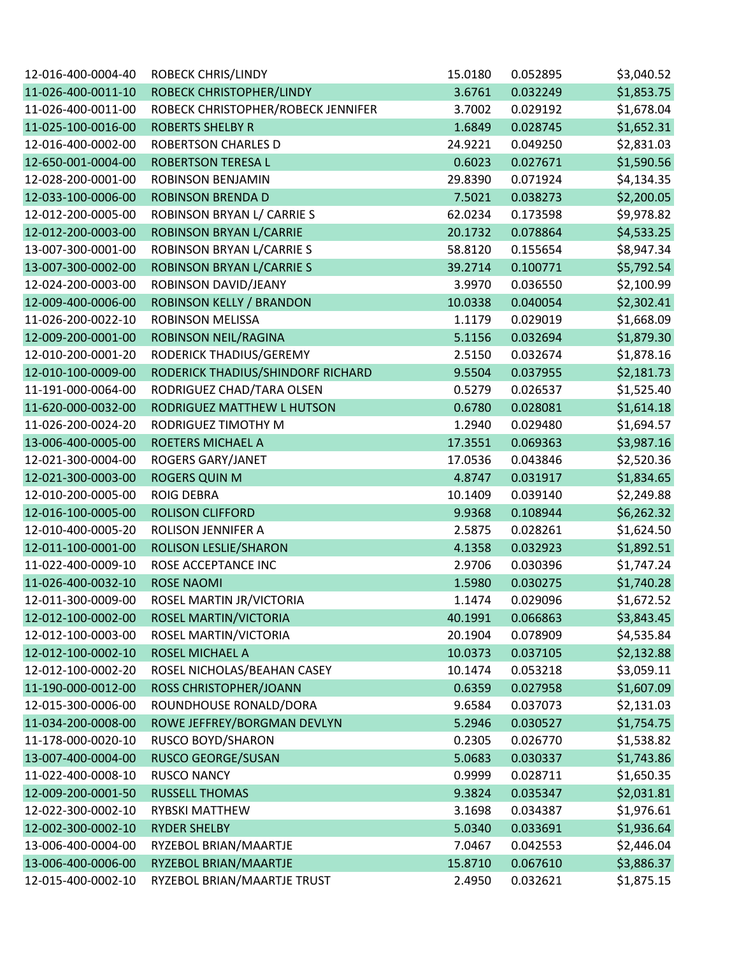| 12-016-400-0004-40 | <b>ROBECK CHRIS/LINDY</b>          | 15.0180 | 0.052895 | \$3,040.52 |
|--------------------|------------------------------------|---------|----------|------------|
| 11-026-400-0011-10 | ROBECK CHRISTOPHER/LINDY           | 3.6761  | 0.032249 | \$1,853.75 |
| 11-026-400-0011-00 | ROBECK CHRISTOPHER/ROBECK JENNIFER | 3.7002  | 0.029192 | \$1,678.04 |
| 11-025-100-0016-00 | <b>ROBERTS SHELBY R</b>            | 1.6849  | 0.028745 | \$1,652.31 |
| 12-016-400-0002-00 | <b>ROBERTSON CHARLES D</b>         | 24.9221 | 0.049250 | \$2,831.03 |
| 12-650-001-0004-00 | <b>ROBERTSON TERESA L</b>          | 0.6023  | 0.027671 | \$1,590.56 |
| 12-028-200-0001-00 | ROBINSON BENJAMIN                  | 29.8390 | 0.071924 | \$4,134.35 |
| 12-033-100-0006-00 | <b>ROBINSON BRENDA D</b>           | 7.5021  | 0.038273 | \$2,200.05 |
| 12-012-200-0005-00 | ROBINSON BRYAN L/ CARRIE S         | 62.0234 | 0.173598 | \$9,978.82 |
| 12-012-200-0003-00 | <b>ROBINSON BRYAN L/CARRIE</b>     | 20.1732 | 0.078864 | \$4,533.25 |
| 13-007-300-0001-00 | ROBINSON BRYAN L/CARRIE S          | 58.8120 | 0.155654 | \$8,947.34 |
| 13-007-300-0002-00 | ROBINSON BRYAN L/CARRIE S          | 39.2714 | 0.100771 | \$5,792.54 |
| 12-024-200-0003-00 | ROBINSON DAVID/JEANY               | 3.9970  | 0.036550 | \$2,100.99 |
| 12-009-400-0006-00 | <b>ROBINSON KELLY / BRANDON</b>    | 10.0338 | 0.040054 | \$2,302.41 |
| 11-026-200-0022-10 | <b>ROBINSON MELISSA</b>            | 1.1179  | 0.029019 | \$1,668.09 |
| 12-009-200-0001-00 | ROBINSON NEIL/RAGINA               | 5.1156  | 0.032694 | \$1,879.30 |
| 12-010-200-0001-20 | RODERICK THADIUS/GEREMY            | 2.5150  | 0.032674 | \$1,878.16 |
| 12-010-100-0009-00 | RODERICK THADIUS/SHINDORF RICHARD  | 9.5504  | 0.037955 | \$2,181.73 |
| 11-191-000-0064-00 | RODRIGUEZ CHAD/TARA OLSEN          | 0.5279  | 0.026537 | \$1,525.40 |
| 11-620-000-0032-00 | RODRIGUEZ MATTHEW L HUTSON         | 0.6780  | 0.028081 | \$1,614.18 |
| 11-026-200-0024-20 | RODRIGUEZ TIMOTHY M                | 1.2940  | 0.029480 | \$1,694.57 |
| 13-006-400-0005-00 | ROETERS MICHAEL A                  | 17.3551 | 0.069363 | \$3,987.16 |
| 12-021-300-0004-00 | ROGERS GARY/JANET                  | 17.0536 | 0.043846 | \$2,520.36 |
| 12-021-300-0003-00 | <b>ROGERS QUIN M</b>               | 4.8747  | 0.031917 | \$1,834.65 |
| 12-010-200-0005-00 | <b>ROIG DEBRA</b>                  | 10.1409 | 0.039140 | \$2,249.88 |
| 12-016-100-0005-00 | <b>ROLISON CLIFFORD</b>            | 9.9368  | 0.108944 | \$6,262.32 |
| 12-010-400-0005-20 | ROLISON JENNIFER A                 | 2.5875  | 0.028261 | \$1,624.50 |
| 12-011-100-0001-00 | ROLISON LESLIE/SHARON              | 4.1358  | 0.032923 | \$1,892.51 |
| 11-022-400-0009-10 | ROSE ACCEPTANCE INC                | 2.9706  | 0.030396 | \$1,747.24 |
| 11-026-400-0032-10 | <b>ROSE NAOMI</b>                  | 1.5980  | 0.030275 | \$1,740.28 |
| 12-011-300-0009-00 | ROSEL MARTIN JR/VICTORIA           | 1.1474  | 0.029096 | \$1,672.52 |
| 12-012-100-0002-00 | ROSEL MARTIN/VICTORIA              | 40.1991 | 0.066863 | \$3,843.45 |
| 12-012-100-0003-00 | ROSEL MARTIN/VICTORIA              | 20.1904 | 0.078909 | \$4,535.84 |
| 12-012-100-0002-10 | ROSEL MICHAEL A                    | 10.0373 | 0.037105 | \$2,132.88 |
| 12-012-100-0002-20 | ROSEL NICHOLAS/BEAHAN CASEY        | 10.1474 | 0.053218 | \$3,059.11 |
| 11-190-000-0012-00 | ROSS CHRISTOPHER/JOANN             | 0.6359  | 0.027958 | \$1,607.09 |
| 12-015-300-0006-00 | ROUNDHOUSE RONALD/DORA             | 9.6584  | 0.037073 | \$2,131.03 |
| 11-034-200-0008-00 | ROWE JEFFREY/BORGMAN DEVLYN        | 5.2946  | 0.030527 | \$1,754.75 |
| 11-178-000-0020-10 | <b>RUSCO BOYD/SHARON</b>           | 0.2305  | 0.026770 | \$1,538.82 |
| 13-007-400-0004-00 | <b>RUSCO GEORGE/SUSAN</b>          | 5.0683  | 0.030337 | \$1,743.86 |
| 11-022-400-0008-10 | <b>RUSCO NANCY</b>                 | 0.9999  | 0.028711 | \$1,650.35 |
| 12-009-200-0001-50 | <b>RUSSELL THOMAS</b>              | 9.3824  | 0.035347 | \$2,031.81 |
| 12-022-300-0002-10 | <b>RYBSKI MATTHEW</b>              | 3.1698  | 0.034387 | \$1,976.61 |
| 12-002-300-0002-10 | <b>RYDER SHELBY</b>                | 5.0340  | 0.033691 | \$1,936.64 |
| 13-006-400-0004-00 | RYZEBOL BRIAN/MAARTJE              | 7.0467  | 0.042553 | \$2,446.04 |
| 13-006-400-0006-00 | RYZEBOL BRIAN/MAARTJE              | 15.8710 | 0.067610 | \$3,886.37 |
| 12-015-400-0002-10 | RYZEBOL BRIAN/MAARTJE TRUST        | 2.4950  | 0.032621 | \$1,875.15 |
|                    |                                    |         |          |            |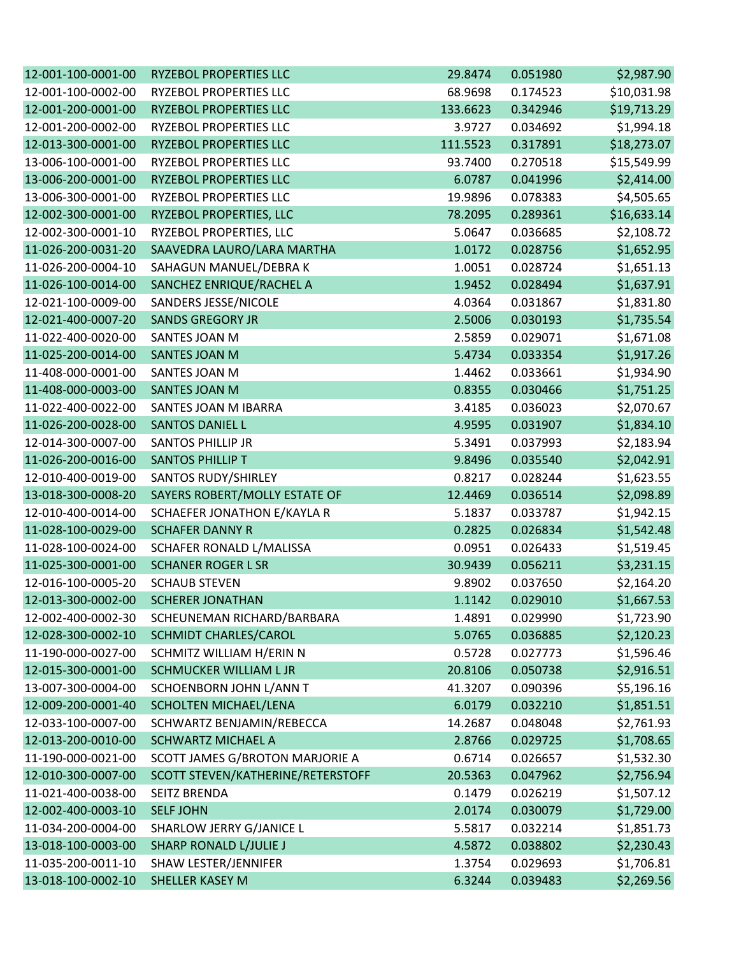| 12-001-100-0001-00 | <b>RYZEBOL PROPERTIES LLC</b>     | 29.8474  | 0.051980 | \$2,987.90  |
|--------------------|-----------------------------------|----------|----------|-------------|
| 12-001-100-0002-00 | <b>RYZEBOL PROPERTIES LLC</b>     | 68.9698  | 0.174523 | \$10,031.98 |
| 12-001-200-0001-00 | <b>RYZEBOL PROPERTIES LLC</b>     | 133.6623 | 0.342946 | \$19,713.29 |
| 12-001-200-0002-00 | RYZEBOL PROPERTIES LLC            | 3.9727   | 0.034692 | \$1,994.18  |
| 12-013-300-0001-00 | <b>RYZEBOL PROPERTIES LLC</b>     | 111.5523 | 0.317891 | \$18,273.07 |
| 13-006-100-0001-00 | RYZEBOL PROPERTIES LLC            | 93.7400  | 0.270518 | \$15,549.99 |
| 13-006-200-0001-00 | RYZEBOL PROPERTIES LLC            | 6.0787   | 0.041996 | \$2,414.00  |
| 13-006-300-0001-00 | RYZEBOL PROPERTIES LLC            | 19.9896  | 0.078383 | \$4,505.65  |
| 12-002-300-0001-00 | RYZEBOL PROPERTIES, LLC           | 78.2095  | 0.289361 | \$16,633.14 |
| 12-002-300-0001-10 | RYZEBOL PROPERTIES, LLC           | 5.0647   | 0.036685 | \$2,108.72  |
| 11-026-200-0031-20 | SAAVEDRA LAURO/LARA MARTHA        | 1.0172   | 0.028756 | \$1,652.95  |
| 11-026-200-0004-10 | SAHAGUN MANUEL/DEBRAK             | 1.0051   | 0.028724 | \$1,651.13  |
| 11-026-100-0014-00 | SANCHEZ ENRIQUE/RACHEL A          | 1.9452   | 0.028494 | \$1,637.91  |
| 12-021-100-0009-00 | SANDERS JESSE/NICOLE              | 4.0364   | 0.031867 | \$1,831.80  |
| 12-021-400-0007-20 | <b>SANDS GREGORY JR</b>           | 2.5006   | 0.030193 | \$1,735.54  |
| 11-022-400-0020-00 | SANTES JOAN M                     | 2.5859   | 0.029071 | \$1,671.08  |
| 11-025-200-0014-00 | SANTES JOAN M                     | 5.4734   | 0.033354 | \$1,917.26  |
| 11-408-000-0001-00 | SANTES JOAN M                     | 1.4462   | 0.033661 | \$1,934.90  |
| 11-408-000-0003-00 | <b>SANTES JOAN M</b>              | 0.8355   | 0.030466 | \$1,751.25  |
| 11-022-400-0022-00 | SANTES JOAN M IBARRA              | 3.4185   | 0.036023 | \$2,070.67  |
| 11-026-200-0028-00 | <b>SANTOS DANIEL L</b>            | 4.9595   | 0.031907 | \$1,834.10  |
| 12-014-300-0007-00 | <b>SANTOS PHILLIP JR</b>          | 5.3491   | 0.037993 | \$2,183.94  |
| 11-026-200-0016-00 | SANTOS PHILLIP T                  | 9.8496   | 0.035540 | \$2,042.91  |
| 12-010-400-0019-00 | SANTOS RUDY/SHIRLEY               | 0.8217   | 0.028244 | \$1,623.55  |
| 13-018-300-0008-20 | SAYERS ROBERT/MOLLY ESTATE OF     | 12.4469  | 0.036514 | \$2,098.89  |
| 12-010-400-0014-00 | SCHAEFER JONATHON E/KAYLA R       | 5.1837   | 0.033787 | \$1,942.15  |
| 11-028-100-0029-00 | <b>SCHAFER DANNY R</b>            | 0.2825   | 0.026834 | \$1,542.48  |
| 11-028-100-0024-00 | SCHAFER RONALD L/MALISSA          | 0.0951   | 0.026433 | \$1,519.45  |
| 11-025-300-0001-00 | <b>SCHANER ROGER L SR</b>         | 30.9439  | 0.056211 | \$3,231.15  |
| 12-016-100-0005-20 | <b>SCHAUB STEVEN</b>              | 9.8902   | 0.037650 | \$2,164.20  |
| 12-013-300-0002-00 | <b>SCHERER JONATHAN</b>           | 1.1142   | 0.029010 | \$1,667.53  |
| 12-002-400-0002-30 | SCHEUNEMAN RICHARD/BARBARA        | 1.4891   | 0.029990 | \$1,723.90  |
| 12-028-300-0002-10 | SCHMIDT CHARLES/CAROL             | 5.0765   | 0.036885 | \$2,120.23  |
| 11-190-000-0027-00 | SCHMITZ WILLIAM H/ERIN N          | 0.5728   | 0.027773 | \$1,596.46  |
| 12-015-300-0001-00 | SCHMUCKER WILLIAM L JR            | 20.8106  | 0.050738 | \$2,916.51  |
| 13-007-300-0004-00 | SCHOENBORN JOHN L/ANN T           | 41.3207  | 0.090396 | \$5,196.16  |
| 12-009-200-0001-40 | SCHOLTEN MICHAEL/LENA             | 6.0179   | 0.032210 | \$1,851.51  |
| 12-033-100-0007-00 | SCHWARTZ BENJAMIN/REBECCA         | 14.2687  | 0.048048 | \$2,761.93  |
| 12-013-200-0010-00 | <b>SCHWARTZ MICHAEL A</b>         | 2.8766   | 0.029725 | \$1,708.65  |
| 11-190-000-0021-00 | SCOTT JAMES G/BROTON MARJORIE A   | 0.6714   | 0.026657 | \$1,532.30  |
| 12-010-300-0007-00 | SCOTT STEVEN/KATHERINE/RETERSTOFF | 20.5363  | 0.047962 | \$2,756.94  |
| 11-021-400-0038-00 | <b>SEITZ BRENDA</b>               | 0.1479   | 0.026219 | \$1,507.12  |
| 12-002-400-0003-10 | <b>SELF JOHN</b>                  | 2.0174   | 0.030079 | \$1,729.00  |
| 11-034-200-0004-00 | SHARLOW JERRY G/JANICE L          | 5.5817   | 0.032214 | \$1,851.73  |
| 13-018-100-0003-00 | <b>SHARP RONALD L/JULIE J</b>     | 4.5872   | 0.038802 | \$2,230.43  |
| 11-035-200-0011-10 | SHAW LESTER/JENNIFER              | 1.3754   | 0.029693 | \$1,706.81  |
| 13-018-100-0002-10 | SHELLER KASEY M                   | 6.3244   | 0.039483 | \$2,269.56  |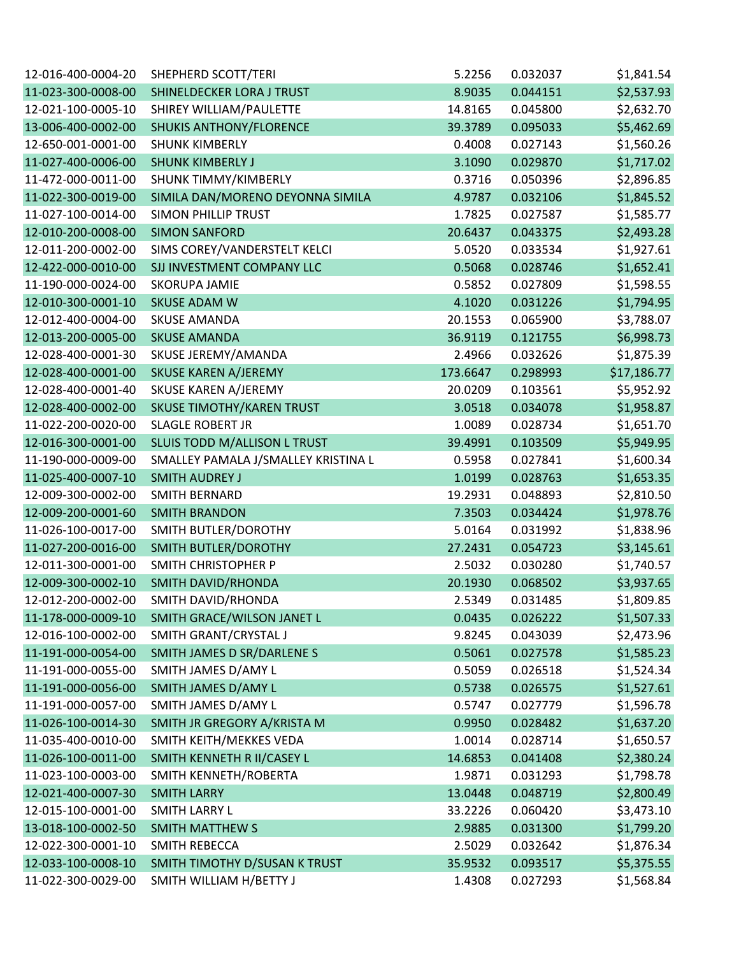| 12-016-400-0004-20 | SHEPHERD SCOTT/TERI                 | 5.2256   | 0.032037 | \$1,841.54  |
|--------------------|-------------------------------------|----------|----------|-------------|
| 11-023-300-0008-00 | SHINELDECKER LORA J TRUST           | 8.9035   | 0.044151 | \$2,537.93  |
| 12-021-100-0005-10 | SHIREY WILLIAM/PAULETTE             | 14.8165  | 0.045800 | \$2,632.70  |
| 13-006-400-0002-00 | <b>SHUKIS ANTHONY/FLORENCE</b>      | 39.3789  | 0.095033 | \$5,462.69  |
| 12-650-001-0001-00 | <b>SHUNK KIMBERLY</b>               | 0.4008   | 0.027143 | \$1,560.26  |
| 11-027-400-0006-00 | <b>SHUNK KIMBERLY J</b>             | 3.1090   | 0.029870 | \$1,717.02  |
| 11-472-000-0011-00 | SHUNK TIMMY/KIMBERLY                | 0.3716   | 0.050396 | \$2,896.85  |
| 11-022-300-0019-00 | SIMILA DAN/MORENO DEYONNA SIMILA    | 4.9787   | 0.032106 | \$1,845.52  |
| 11-027-100-0014-00 | <b>SIMON PHILLIP TRUST</b>          | 1.7825   | 0.027587 | \$1,585.77  |
| 12-010-200-0008-00 | <b>SIMON SANFORD</b>                | 20.6437  | 0.043375 | \$2,493.28  |
| 12-011-200-0002-00 | SIMS COREY/VANDERSTELT KELCI        | 5.0520   | 0.033534 | \$1,927.61  |
| 12-422-000-0010-00 | SJJ INVESTMENT COMPANY LLC          | 0.5068   | 0.028746 | \$1,652.41  |
| 11-190-000-0024-00 | <b>SKORUPA JAMIE</b>                | 0.5852   | 0.027809 | \$1,598.55  |
| 12-010-300-0001-10 | <b>SKUSE ADAM W</b>                 | 4.1020   | 0.031226 | \$1,794.95  |
| 12-012-400-0004-00 | <b>SKUSE AMANDA</b>                 | 20.1553  | 0.065900 | \$3,788.07  |
| 12-013-200-0005-00 | <b>SKUSE AMANDA</b>                 | 36.9119  | 0.121755 | \$6,998.73  |
| 12-028-400-0001-30 | SKUSE JEREMY/AMANDA                 | 2.4966   | 0.032626 | \$1,875.39  |
| 12-028-400-0001-00 | <b>SKUSE KAREN A/JEREMY</b>         | 173.6647 | 0.298993 | \$17,186.77 |
| 12-028-400-0001-40 | SKUSE KAREN A/JEREMY                | 20.0209  | 0.103561 | \$5,952.92  |
| 12-028-400-0002-00 | <b>SKUSE TIMOTHY/KAREN TRUST</b>    | 3.0518   | 0.034078 | \$1,958.87  |
| 11-022-200-0020-00 | <b>SLAGLE ROBERT JR</b>             | 1.0089   | 0.028734 | \$1,651.70  |
| 12-016-300-0001-00 | SLUIS TODD M/ALLISON L TRUST        | 39.4991  | 0.103509 | \$5,949.95  |
| 11-190-000-0009-00 | SMALLEY PAMALA J/SMALLEY KRISTINA L | 0.5958   | 0.027841 | \$1,600.34  |
| 11-025-400-0007-10 | <b>SMITH AUDREY J</b>               | 1.0199   | 0.028763 | \$1,653.35  |
| 12-009-300-0002-00 | SMITH BERNARD                       | 19.2931  | 0.048893 | \$2,810.50  |
| 12-009-200-0001-60 | <b>SMITH BRANDON</b>                | 7.3503   | 0.034424 | \$1,978.76  |
| 11-026-100-0017-00 | SMITH BUTLER/DOROTHY                | 5.0164   | 0.031992 | \$1,838.96  |
| 11-027-200-0016-00 | SMITH BUTLER/DOROTHY                | 27.2431  | 0.054723 | \$3,145.61  |
| 12-011-300-0001-00 | SMITH CHRISTOPHER P                 | 2.5032   | 0.030280 | \$1,740.57  |
| 12-009-300-0002-10 | SMITH DAVID/RHONDA                  | 20.1930  | 0.068502 | \$3,937.65  |
| 12-012-200-0002-00 | SMITH DAVID/RHONDA                  | 2.5349   | 0.031485 | \$1,809.85  |
| 11-178-000-0009-10 | SMITH GRACE/WILSON JANET L          | 0.0435   | 0.026222 | \$1,507.33  |
| 12-016-100-0002-00 | SMITH GRANT/CRYSTAL J               | 9.8245   | 0.043039 | \$2,473.96  |
| 11-191-000-0054-00 | SMITH JAMES D SR/DARLENE S          | 0.5061   | 0.027578 | \$1,585.23  |
| 11-191-000-0055-00 | SMITH JAMES D/AMY L                 | 0.5059   | 0.026518 | \$1,524.34  |
| 11-191-000-0056-00 | SMITH JAMES D/AMY L                 | 0.5738   | 0.026575 | \$1,527.61  |
| 11-191-000-0057-00 | SMITH JAMES D/AMY L                 | 0.5747   | 0.027779 | \$1,596.78  |
| 11-026-100-0014-30 | SMITH JR GREGORY A/KRISTA M         | 0.9950   | 0.028482 | \$1,637.20  |
| 11-035-400-0010-00 | SMITH KEITH/MEKKES VEDA             | 1.0014   | 0.028714 | \$1,650.57  |
| 11-026-100-0011-00 | SMITH KENNETH R II/CASEY L          | 14.6853  | 0.041408 | \$2,380.24  |
| 11-023-100-0003-00 | SMITH KENNETH/ROBERTA               | 1.9871   | 0.031293 | \$1,798.78  |
| 12-021-400-0007-30 | <b>SMITH LARRY</b>                  | 13.0448  | 0.048719 | \$2,800.49  |
| 12-015-100-0001-00 | <b>SMITH LARRY L</b>                | 33.2226  | 0.060420 | \$3,473.10  |
| 13-018-100-0002-50 | <b>SMITH MATTHEW S</b>              | 2.9885   | 0.031300 | \$1,799.20  |
| 12-022-300-0001-10 | SMITH REBECCA                       | 2.5029   | 0.032642 | \$1,876.34  |
| 12-033-100-0008-10 | SMITH TIMOTHY D/SUSAN K TRUST       | 35.9532  | 0.093517 | \$5,375.55  |
| 11-022-300-0029-00 | SMITH WILLIAM H/BETTY J             | 1.4308   | 0.027293 | \$1,568.84  |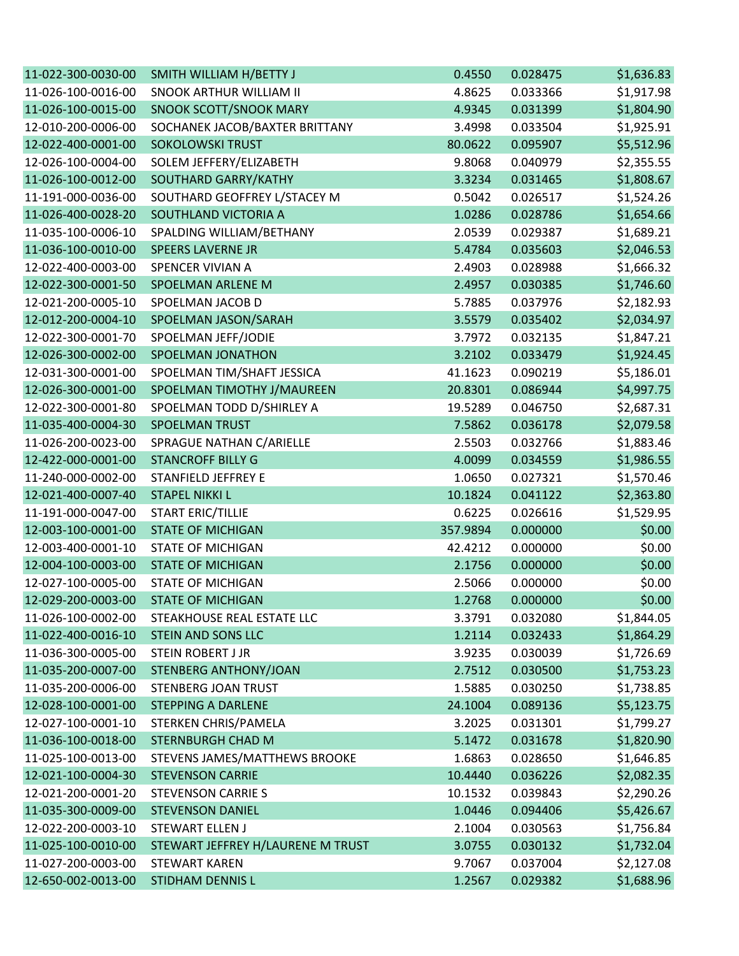| 11-022-300-0030-00 | SMITH WILLIAM H/BETTY J           | 0.4550   | 0.028475 | \$1,636.83 |
|--------------------|-----------------------------------|----------|----------|------------|
| 11-026-100-0016-00 | <b>SNOOK ARTHUR WILLIAM II</b>    | 4.8625   | 0.033366 | \$1,917.98 |
| 11-026-100-0015-00 | SNOOK SCOTT/SNOOK MARY            | 4.9345   | 0.031399 | \$1,804.90 |
| 12-010-200-0006-00 | SOCHANEK JACOB/BAXTER BRITTANY    | 3.4998   | 0.033504 | \$1,925.91 |
| 12-022-400-0001-00 | <b>SOKOLOWSKI TRUST</b>           | 80.0622  | 0.095907 | \$5,512.96 |
| 12-026-100-0004-00 | SOLEM JEFFERY/ELIZABETH           | 9.8068   | 0.040979 | \$2,355.55 |
| 11-026-100-0012-00 | SOUTHARD GARRY/KATHY              | 3.3234   | 0.031465 | \$1,808.67 |
| 11-191-000-0036-00 | SOUTHARD GEOFFREY L/STACEY M      | 0.5042   | 0.026517 | \$1,524.26 |
| 11-026-400-0028-20 | SOUTHLAND VICTORIA A              | 1.0286   | 0.028786 | \$1,654.66 |
| 11-035-100-0006-10 | SPALDING WILLIAM/BETHANY          | 2.0539   | 0.029387 | \$1,689.21 |
| 11-036-100-0010-00 | <b>SPEERS LAVERNE JR</b>          | 5.4784   | 0.035603 | \$2,046.53 |
| 12-022-400-0003-00 | SPENCER VIVIAN A                  | 2.4903   | 0.028988 | \$1,666.32 |
| 12-022-300-0001-50 | SPOELMAN ARLENE M                 | 2.4957   | 0.030385 | \$1,746.60 |
| 12-021-200-0005-10 | SPOELMAN JACOB D                  | 5.7885   | 0.037976 | \$2,182.93 |
| 12-012-200-0004-10 | SPOELMAN JASON/SARAH              | 3.5579   | 0.035402 | \$2,034.97 |
| 12-022-300-0001-70 | SPOELMAN JEFF/JODIE               | 3.7972   | 0.032135 | \$1,847.21 |
| 12-026-300-0002-00 | SPOELMAN JONATHON                 | 3.2102   | 0.033479 | \$1,924.45 |
| 12-031-300-0001-00 | SPOELMAN TIM/SHAFT JESSICA        | 41.1623  | 0.090219 | \$5,186.01 |
| 12-026-300-0001-00 | SPOELMAN TIMOTHY J/MAUREEN        | 20.8301  | 0.086944 | \$4,997.75 |
| 12-022-300-0001-80 | SPOELMAN TODD D/SHIRLEY A         | 19.5289  | 0.046750 | \$2,687.31 |
| 11-035-400-0004-30 | SPOELMAN TRUST                    | 7.5862   | 0.036178 | \$2,079.58 |
| 11-026-200-0023-00 | SPRAGUE NATHAN C/ARIELLE          | 2.5503   | 0.032766 | \$1,883.46 |
| 12-422-000-0001-00 | <b>STANCROFF BILLY G</b>          | 4.0099   | 0.034559 | \$1,986.55 |
| 11-240-000-0002-00 | <b>STANFIELD JEFFREY E</b>        | 1.0650   | 0.027321 | \$1,570.46 |
| 12-021-400-0007-40 | <b>STAPEL NIKKI L</b>             | 10.1824  | 0.041122 | \$2,363.80 |
| 11-191-000-0047-00 | START ERIC/TILLIE                 | 0.6225   | 0.026616 | \$1,529.95 |
| 12-003-100-0001-00 | <b>STATE OF MICHIGAN</b>          | 357.9894 | 0.000000 | \$0.00     |
| 12-003-400-0001-10 | <b>STATE OF MICHIGAN</b>          | 42.4212  | 0.000000 | \$0.00     |
| 12-004-100-0003-00 | <b>STATE OF MICHIGAN</b>          | 2.1756   | 0.000000 | \$0.00     |
| 12-027-100-0005-00 | <b>STATE OF MICHIGAN</b>          | 2.5066   | 0.000000 | \$0.00     |
| 12-029-200-0003-00 | <b>STATE OF MICHIGAN</b>          | 1.2768   | 0.000000 | \$0.00     |
| 11-026-100-0002-00 | STEAKHOUSE REAL ESTATE LLC        | 3.3791   | 0.032080 | \$1,844.05 |
| 11-022-400-0016-10 | <b>STEIN AND SONS LLC</b>         | 1.2114   | 0.032433 | \$1,864.29 |
| 11-036-300-0005-00 | STEIN ROBERT J JR                 | 3.9235   | 0.030039 | \$1,726.69 |
| 11-035-200-0007-00 | STENBERG ANTHONY/JOAN             | 2.7512   | 0.030500 | \$1,753.23 |
| 11-035-200-0006-00 | <b>STENBERG JOAN TRUST</b>        | 1.5885   | 0.030250 | \$1,738.85 |
| 12-028-100-0001-00 | <b>STEPPING A DARLENE</b>         | 24.1004  | 0.089136 | \$5,123.75 |
| 12-027-100-0001-10 | STERKEN CHRIS/PAMELA              | 3.2025   | 0.031301 | \$1,799.27 |
| 11-036-100-0018-00 | <b>STERNBURGH CHAD M</b>          | 5.1472   | 0.031678 | \$1,820.90 |
| 11-025-100-0013-00 | STEVENS JAMES/MATTHEWS BROOKE     | 1.6863   | 0.028650 | \$1,646.85 |
| 12-021-100-0004-30 | <b>STEVENSON CARRIE</b>           | 10.4440  | 0.036226 | \$2,082.35 |
| 12-021-200-0001-20 | <b>STEVENSON CARRIE S</b>         | 10.1532  | 0.039843 | \$2,290.26 |
| 11-035-300-0009-00 | <b>STEVENSON DANIEL</b>           | 1.0446   | 0.094406 | \$5,426.67 |
| 12-022-200-0003-10 | <b>STEWART ELLEN J</b>            | 2.1004   | 0.030563 | \$1,756.84 |
| 11-025-100-0010-00 | STEWART JEFFREY H/LAURENE M TRUST | 3.0755   | 0.030132 | \$1,732.04 |
| 11-027-200-0003-00 | <b>STEWART KAREN</b>              | 9.7067   | 0.037004 | \$2,127.08 |
| 12-650-002-0013-00 | STIDHAM DENNIS L                  | 1.2567   | 0.029382 | \$1,688.96 |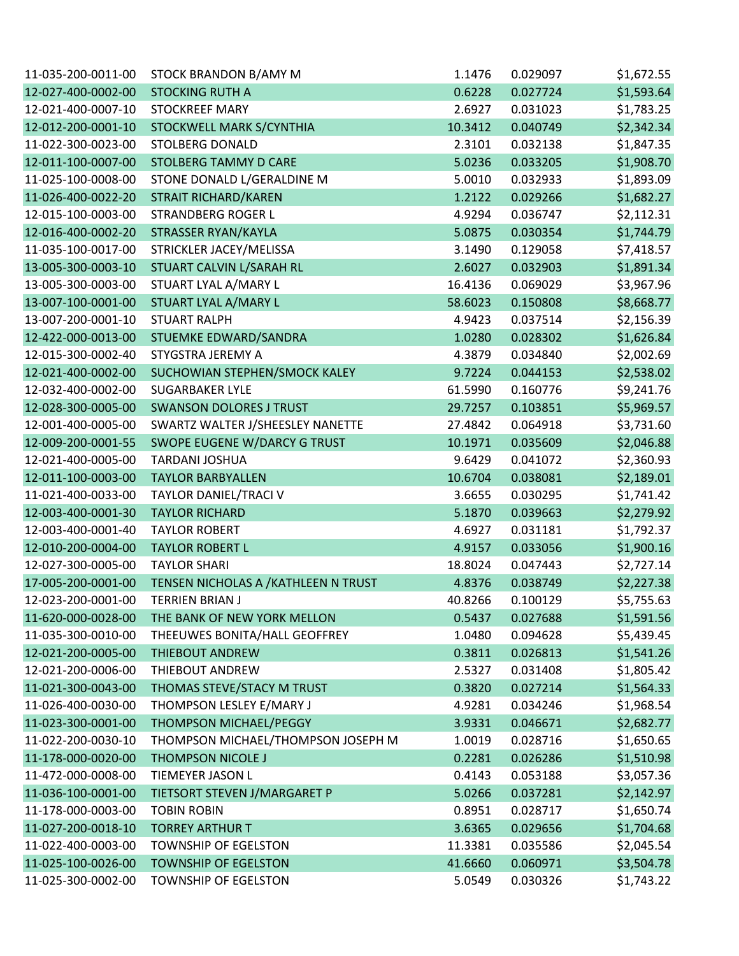| 11-035-200-0011-00 | STOCK BRANDON B/AMY M                | 1.1476  | 0.029097 | \$1,672.55 |
|--------------------|--------------------------------------|---------|----------|------------|
| 12-027-400-0002-00 | <b>STOCKING RUTH A</b>               | 0.6228  | 0.027724 | \$1,593.64 |
| 12-021-400-0007-10 | <b>STOCKREEF MARY</b>                | 2.6927  | 0.031023 | \$1,783.25 |
| 12-012-200-0001-10 | STOCKWELL MARK S/CYNTHIA             | 10.3412 | 0.040749 | \$2,342.34 |
| 11-022-300-0023-00 | <b>STOLBERG DONALD</b>               | 2.3101  | 0.032138 | \$1,847.35 |
| 12-011-100-0007-00 | <b>STOLBERG TAMMY D CARE</b>         | 5.0236  | 0.033205 | \$1,908.70 |
| 11-025-100-0008-00 | STONE DONALD L/GERALDINE M           | 5.0010  | 0.032933 | \$1,893.09 |
| 11-026-400-0022-20 | STRAIT RICHARD/KAREN                 | 1.2122  | 0.029266 | \$1,682.27 |
| 12-015-100-0003-00 | <b>STRANDBERG ROGER L</b>            | 4.9294  | 0.036747 | \$2,112.31 |
| 12-016-400-0002-20 | STRASSER RYAN/KAYLA                  | 5.0875  | 0.030354 | \$1,744.79 |
| 11-035-100-0017-00 | STRICKLER JACEY/MELISSA              | 3.1490  | 0.129058 | \$7,418.57 |
| 13-005-300-0003-10 | STUART CALVIN L/SARAH RL             | 2.6027  | 0.032903 | \$1,891.34 |
| 13-005-300-0003-00 | STUART LYAL A/MARY L                 | 16.4136 | 0.069029 | \$3,967.96 |
| 13-007-100-0001-00 | STUART LYAL A/MARY L                 | 58.6023 | 0.150808 | \$8,668.77 |
| 13-007-200-0001-10 | <b>STUART RALPH</b>                  | 4.9423  | 0.037514 | \$2,156.39 |
| 12-422-000-0013-00 | STUEMKE EDWARD/SANDRA                | 1.0280  | 0.028302 | \$1,626.84 |
| 12-015-300-0002-40 | STYGSTRA JEREMY A                    | 4.3879  | 0.034840 | \$2,002.69 |
| 12-021-400-0002-00 | SUCHOWIAN STEPHEN/SMOCK KALEY        | 9.7224  | 0.044153 | \$2,538.02 |
| 12-032-400-0002-00 | <b>SUGARBAKER LYLE</b>               | 61.5990 | 0.160776 | \$9,241.76 |
| 12-028-300-0005-00 | <b>SWANSON DOLORES J TRUST</b>       | 29.7257 | 0.103851 | \$5,969.57 |
| 12-001-400-0005-00 | SWARTZ WALTER J/SHEESLEY NANETTE     | 27.4842 | 0.064918 | \$3,731.60 |
| 12-009-200-0001-55 | SWOPE EUGENE W/DARCY G TRUST         | 10.1971 | 0.035609 | \$2,046.88 |
| 12-021-400-0005-00 | <b>TARDANI JOSHUA</b>                | 9.6429  | 0.041072 | \$2,360.93 |
| 12-011-100-0003-00 | <b>TAYLOR BARBYALLEN</b>             | 10.6704 | 0.038081 | \$2,189.01 |
| 11-021-400-0033-00 | TAYLOR DANIEL/TRACI V                | 3.6655  | 0.030295 | \$1,741.42 |
| 12-003-400-0001-30 | <b>TAYLOR RICHARD</b>                | 5.1870  | 0.039663 | \$2,279.92 |
| 12-003-400-0001-40 | <b>TAYLOR ROBERT</b>                 | 4.6927  | 0.031181 | \$1,792.37 |
| 12-010-200-0004-00 | <b>TAYLOR ROBERT L</b>               | 4.9157  | 0.033056 | \$1,900.16 |
| 12-027-300-0005-00 | <b>TAYLOR SHARI</b>                  | 18.8024 | 0.047443 | \$2,727.14 |
| 17-005-200-0001-00 | TENSEN NICHOLAS A / KATHLEEN N TRUST | 4.8376  | 0.038749 | \$2,227.38 |
| 12-023-200-0001-00 | <b>TERRIEN BRIAN J</b>               | 40.8266 | 0.100129 | \$5,755.63 |
| 11-620-000-0028-00 | THE BANK OF NEW YORK MELLON          | 0.5437  | 0.027688 | \$1,591.56 |
| 11-035-300-0010-00 | THEEUWES BONITA/HALL GEOFFREY        | 1.0480  | 0.094628 | \$5,439.45 |
| 12-021-200-0005-00 | THIEBOUT ANDREW                      | 0.3811  | 0.026813 | \$1,541.26 |
| 12-021-200-0006-00 | THIEBOUT ANDREW                      | 2.5327  | 0.031408 | \$1,805.42 |
| 11-021-300-0043-00 | THOMAS STEVE/STACY M TRUST           | 0.3820  | 0.027214 | \$1,564.33 |
| 11-026-400-0030-00 | THOMPSON LESLEY E/MARY J             | 4.9281  | 0.034246 | \$1,968.54 |
| 11-023-300-0001-00 | THOMPSON MICHAEL/PEGGY               | 3.9331  | 0.046671 | \$2,682.77 |
| 11-022-200-0030-10 | THOMPSON MICHAEL/THOMPSON JOSEPH M   | 1.0019  | 0.028716 | \$1,650.65 |
| 11-178-000-0020-00 | <b>THOMPSON NICOLE J</b>             | 0.2281  | 0.026286 | \$1,510.98 |
| 11-472-000-0008-00 | TIEMEYER JASON L                     | 0.4143  | 0.053188 | \$3,057.36 |
| 11-036-100-0001-00 | TIETSORT STEVEN J/MARGARET P         | 5.0266  | 0.037281 | \$2,142.97 |
| 11-178-000-0003-00 | <b>TOBIN ROBIN</b>                   | 0.8951  | 0.028717 | \$1,650.74 |
| 11-027-200-0018-10 | <b>TORREY ARTHUR T</b>               | 3.6365  | 0.029656 | \$1,704.68 |
| 11-022-400-0003-00 | <b>TOWNSHIP OF EGELSTON</b>          | 11.3381 | 0.035586 | \$2,045.54 |
| 11-025-100-0026-00 | <b>TOWNSHIP OF EGELSTON</b>          | 41.6660 | 0.060971 | \$3,504.78 |
| 11-025-300-0002-00 | TOWNSHIP OF EGELSTON                 | 5.0549  | 0.030326 | \$1,743.22 |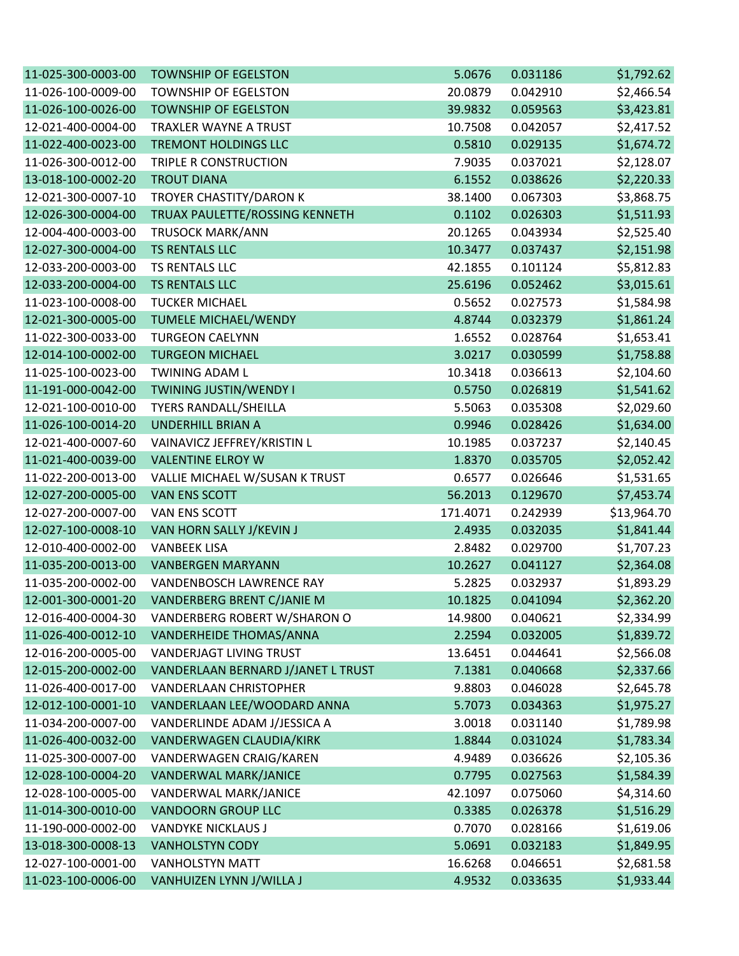| 11-025-300-0003-00 | <b>TOWNSHIP OF EGELSTON</b>        | 5.0676   | 0.031186 | \$1,792.62  |
|--------------------|------------------------------------|----------|----------|-------------|
| 11-026-100-0009-00 | <b>TOWNSHIP OF EGELSTON</b>        | 20.0879  | 0.042910 | \$2,466.54  |
| 11-026-100-0026-00 | <b>TOWNSHIP OF EGELSTON</b>        | 39.9832  | 0.059563 | \$3,423.81  |
| 12-021-400-0004-00 | <b>TRAXLER WAYNE A TRUST</b>       | 10.7508  | 0.042057 | \$2,417.52  |
| 11-022-400-0023-00 | TREMONT HOLDINGS LLC               | 0.5810   | 0.029135 | \$1,674.72  |
| 11-026-300-0012-00 | TRIPLE R CONSTRUCTION              | 7.9035   | 0.037021 | \$2,128.07  |
| 13-018-100-0002-20 | <b>TROUT DIANA</b>                 | 6.1552   | 0.038626 | \$2,220.33  |
| 12-021-300-0007-10 | TROYER CHASTITY/DARON K            | 38.1400  | 0.067303 | \$3,868.75  |
| 12-026-300-0004-00 | TRUAX PAULETTE/ROSSING KENNETH     | 0.1102   | 0.026303 | \$1,511.93  |
| 12-004-400-0003-00 | <b>TRUSOCK MARK/ANN</b>            | 20.1265  | 0.043934 | \$2,525.40  |
| 12-027-300-0004-00 | TS RENTALS LLC                     | 10.3477  | 0.037437 | \$2,151.98  |
| 12-033-200-0003-00 | TS RENTALS LLC                     | 42.1855  | 0.101124 | \$5,812.83  |
| 12-033-200-0004-00 | TS RENTALS LLC                     | 25.6196  | 0.052462 | \$3,015.61  |
| 11-023-100-0008-00 | <b>TUCKER MICHAEL</b>              | 0.5652   | 0.027573 | \$1,584.98  |
| 12-021-300-0005-00 | <b>TUMELE MICHAEL/WENDY</b>        | 4.8744   | 0.032379 | \$1,861.24  |
| 11-022-300-0033-00 | <b>TURGEON CAELYNN</b>             | 1.6552   | 0.028764 | \$1,653.41  |
| 12-014-100-0002-00 | <b>TURGEON MICHAEL</b>             | 3.0217   | 0.030599 | \$1,758.88  |
| 11-025-100-0023-00 | <b>TWINING ADAM L</b>              | 10.3418  | 0.036613 | \$2,104.60  |
| 11-191-000-0042-00 | TWINING JUSTIN/WENDY I             | 0.5750   | 0.026819 | \$1,541.62  |
| 12-021-100-0010-00 | <b>TYERS RANDALL/SHEILLA</b>       | 5.5063   | 0.035308 | \$2,029.60  |
| 11-026-100-0014-20 | <b>UNDERHILL BRIAN A</b>           | 0.9946   | 0.028426 | \$1,634.00  |
| 12-021-400-0007-60 | VAINAVICZ JEFFREY/KRISTIN L        | 10.1985  | 0.037237 | \$2,140.45  |
| 11-021-400-0039-00 | <b>VALENTINE ELROY W</b>           | 1.8370   | 0.035705 | \$2,052.42  |
| 11-022-200-0013-00 | VALLIE MICHAEL W/SUSAN K TRUST     | 0.6577   | 0.026646 | \$1,531.65  |
| 12-027-200-0005-00 | <b>VAN ENS SCOTT</b>               | 56.2013  | 0.129670 | \$7,453.74  |
| 12-027-200-0007-00 | VAN ENS SCOTT                      | 171.4071 | 0.242939 | \$13,964.70 |
| 12-027-100-0008-10 | VAN HORN SALLY J/KEVIN J           | 2.4935   | 0.032035 | \$1,841.44  |
| 12-010-400-0002-00 | <b>VANBEEK LISA</b>                | 2.8482   | 0.029700 | \$1,707.23  |
| 11-035-200-0013-00 | <b>VANBERGEN MARYANN</b>           | 10.2627  | 0.041127 | \$2,364.08  |
| 11-035-200-0002-00 | VANDENBOSCH LAWRENCE RAY           | 5.2825   | 0.032937 | \$1,893.29  |
| 12-001-300-0001-20 | VANDERBERG BRENT C/JANIE M         | 10.1825  | 0.041094 | \$2,362.20  |
| 12-016-400-0004-30 | VANDERBERG ROBERT W/SHARON O       | 14.9800  | 0.040621 | \$2,334.99  |
| 11-026-400-0012-10 | <b>VANDERHEIDE THOMAS/ANNA</b>     | 2.2594   | 0.032005 | \$1,839.72  |
| 12-016-200-0005-00 | <b>VANDERJAGT LIVING TRUST</b>     | 13.6451  | 0.044641 | \$2,566.08  |
| 12-015-200-0002-00 | VANDERLAAN BERNARD J/JANET L TRUST | 7.1381   | 0.040668 | \$2,337.66  |
| 11-026-400-0017-00 | <b>VANDERLAAN CHRISTOPHER</b>      | 9.8803   | 0.046028 | \$2,645.78  |
| 12-012-100-0001-10 | VANDERLAAN LEE/WOODARD ANNA        | 5.7073   | 0.034363 | \$1,975.27  |
| 11-034-200-0007-00 | VANDERLINDE ADAM J/JESSICA A       | 3.0018   | 0.031140 | \$1,789.98  |
| 11-026-400-0032-00 | VANDERWAGEN CLAUDIA/KIRK           | 1.8844   | 0.031024 | \$1,783.34  |
| 11-025-300-0007-00 | VANDERWAGEN CRAIG/KAREN            | 4.9489   | 0.036626 | \$2,105.36  |
| 12-028-100-0004-20 | VANDERWAL MARK/JANICE              | 0.7795   | 0.027563 | \$1,584.39  |
| 12-028-100-0005-00 | VANDERWAL MARK/JANICE              | 42.1097  | 0.075060 | \$4,314.60  |
| 11-014-300-0010-00 | <b>VANDOORN GROUP LLC</b>          | 0.3385   | 0.026378 | \$1,516.29  |
| 11-190-000-0002-00 | <b>VANDYKE NICKLAUS J</b>          | 0.7070   | 0.028166 | \$1,619.06  |
| 13-018-300-0008-13 | <b>VANHOLSTYN CODY</b>             | 5.0691   | 0.032183 | \$1,849.95  |
| 12-027-100-0001-00 | <b>VANHOLSTYN MATT</b>             | 16.6268  | 0.046651 | \$2,681.58  |
| 11-023-100-0006-00 | VANHUIZEN LYNN J/WILLA J           | 4.9532   | 0.033635 | \$1,933.44  |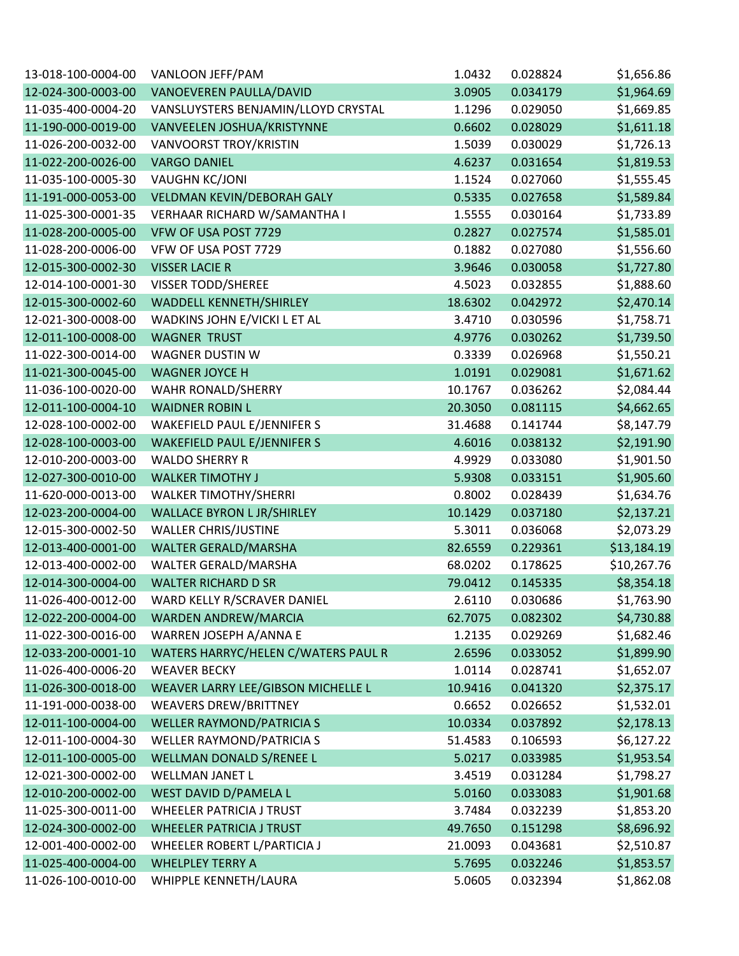| 13-018-100-0004-00 | VANLOON JEFF/PAM                    | 1.0432  | 0.028824 | \$1,656.86  |
|--------------------|-------------------------------------|---------|----------|-------------|
| 12-024-300-0003-00 | VANOEVEREN PAULLA/DAVID             | 3.0905  | 0.034179 | \$1,964.69  |
| 11-035-400-0004-20 | VANSLUYSTERS BENJAMIN/LLOYD CRYSTAL | 1.1296  | 0.029050 | \$1,669.85  |
| 11-190-000-0019-00 | VANVEELEN JOSHUA/KRISTYNNE          | 0.6602  | 0.028029 | \$1,611.18  |
| 11-026-200-0032-00 | VANVOORST TROY/KRISTIN              | 1.5039  | 0.030029 | \$1,726.13  |
| 11-022-200-0026-00 | <b>VARGO DANIEL</b>                 | 4.6237  | 0.031654 | \$1,819.53  |
| 11-035-100-0005-30 | <b>VAUGHN KC/JONI</b>               | 1.1524  | 0.027060 | \$1,555.45  |
| 11-191-000-0053-00 | VELDMAN KEVIN/DEBORAH GALY          | 0.5335  | 0.027658 | \$1,589.84  |
| 11-025-300-0001-35 | VERHAAR RICHARD W/SAMANTHA I        | 1.5555  | 0.030164 | \$1,733.89  |
| 11-028-200-0005-00 | VFW OF USA POST 7729                | 0.2827  | 0.027574 | \$1,585.01  |
| 11-028-200-0006-00 | VFW OF USA POST 7729                | 0.1882  | 0.027080 | \$1,556.60  |
| 12-015-300-0002-30 | <b>VISSER LACIE R</b>               | 3.9646  | 0.030058 | \$1,727.80  |
| 12-014-100-0001-30 | VISSER TODD/SHEREE                  | 4.5023  | 0.032855 | \$1,888.60  |
| 12-015-300-0002-60 | <b>WADDELL KENNETH/SHIRLEY</b>      | 18.6302 | 0.042972 | \$2,470.14  |
| 12-021-300-0008-00 | WADKINS JOHN E/VICKI L ET AL        | 3.4710  | 0.030596 | \$1,758.71  |
| 12-011-100-0008-00 | <b>WAGNER TRUST</b>                 | 4.9776  | 0.030262 | \$1,739.50  |
| 11-022-300-0014-00 | <b>WAGNER DUSTIN W</b>              | 0.3339  | 0.026968 | \$1,550.21  |
| 11-021-300-0045-00 | <b>WAGNER JOYCE H</b>               | 1.0191  | 0.029081 | \$1,671.62  |
| 11-036-100-0020-00 | WAHR RONALD/SHERRY                  | 10.1767 | 0.036262 | \$2,084.44  |
| 12-011-100-0004-10 | <b>WAIDNER ROBIN L</b>              | 20.3050 | 0.081115 | \$4,662.65  |
| 12-028-100-0002-00 | WAKEFIELD PAUL E/JENNIFER S         | 31.4688 | 0.141744 | \$8,147.79  |
| 12-028-100-0003-00 | <b>WAKEFIELD PAUL E/JENNIFER S</b>  | 4.6016  | 0.038132 | \$2,191.90  |
| 12-010-200-0003-00 | <b>WALDO SHERRY R</b>               | 4.9929  | 0.033080 | \$1,901.50  |
| 12-027-300-0010-00 | <b>WALKER TIMOTHY J</b>             | 5.9308  | 0.033151 | \$1,905.60  |
| 11-620-000-0013-00 | <b>WALKER TIMOTHY/SHERRI</b>        | 0.8002  | 0.028439 | \$1,634.76  |
| 12-023-200-0004-00 | <b>WALLACE BYRON L JR/SHIRLEY</b>   | 10.1429 | 0.037180 | \$2,137.21  |
| 12-015-300-0002-50 | <b>WALLER CHRIS/JUSTINE</b>         | 5.3011  | 0.036068 | \$2,073.29  |
| 12-013-400-0001-00 | WALTER GERALD/MARSHA                | 82.6559 | 0.229361 | \$13,184.19 |
| 12-013-400-0002-00 | WALTER GERALD/MARSHA                | 68.0202 | 0.178625 | \$10,267.76 |
| 12-014-300-0004-00 | <b>WALTER RICHARD D SR</b>          | 79.0412 | 0.145335 | \$8,354.18  |
| 11-026-400-0012-00 | WARD KELLY R/SCRAVER DANIEL         | 2.6110  | 0.030686 | \$1,763.90  |
| 12-022-200-0004-00 | WARDEN ANDREW/MARCIA                | 62.7075 | 0.082302 | \$4,730.88  |
| 11-022-300-0016-00 | WARREN JOSEPH A/ANNA E              | 1.2135  | 0.029269 | \$1,682.46  |
| 12-033-200-0001-10 | WATERS HARRYC/HELEN C/WATERS PAUL R | 2.6596  | 0.033052 | \$1,899.90  |
| 11-026-400-0006-20 | <b>WEAVER BECKY</b>                 | 1.0114  | 0.028741 | \$1,652.07  |
| 11-026-300-0018-00 | WEAVER LARRY LEE/GIBSON MICHELLE L  | 10.9416 | 0.041320 | \$2,375.17  |
| 11-191-000-0038-00 | <b>WEAVERS DREW/BRITTNEY</b>        | 0.6652  | 0.026652 | \$1,532.01  |
| 12-011-100-0004-00 | <b>WELLER RAYMOND/PATRICIA S</b>    | 10.0334 | 0.037892 | \$2,178.13  |
| 12-011-100-0004-30 | WELLER RAYMOND/PATRICIA S           | 51.4583 | 0.106593 | \$6,127.22  |
| 12-011-100-0005-00 | WELLMAN DONALD S/RENEE L            | 5.0217  | 0.033985 | \$1,953.54  |
| 12-021-300-0002-00 | WELLMAN JANET L                     | 3.4519  | 0.031284 | \$1,798.27  |
| 12-010-200-0002-00 | WEST DAVID D/PAMELA L               | 5.0160  | 0.033083 | \$1,901.68  |
| 11-025-300-0011-00 | <b>WHEELER PATRICIA J TRUST</b>     | 3.7484  | 0.032239 | \$1,853.20  |
| 12-024-300-0002-00 | <b>WHEELER PATRICIA J TRUST</b>     | 49.7650 | 0.151298 | \$8,696.92  |
| 12-001-400-0002-00 | WHEELER ROBERT L/PARTICIA J         | 21.0093 | 0.043681 | \$2,510.87  |
| 11-025-400-0004-00 | <b>WHELPLEY TERRY A</b>             | 5.7695  | 0.032246 | \$1,853.57  |
| 11-026-100-0010-00 | WHIPPLE KENNETH/LAURA               | 5.0605  | 0.032394 | \$1,862.08  |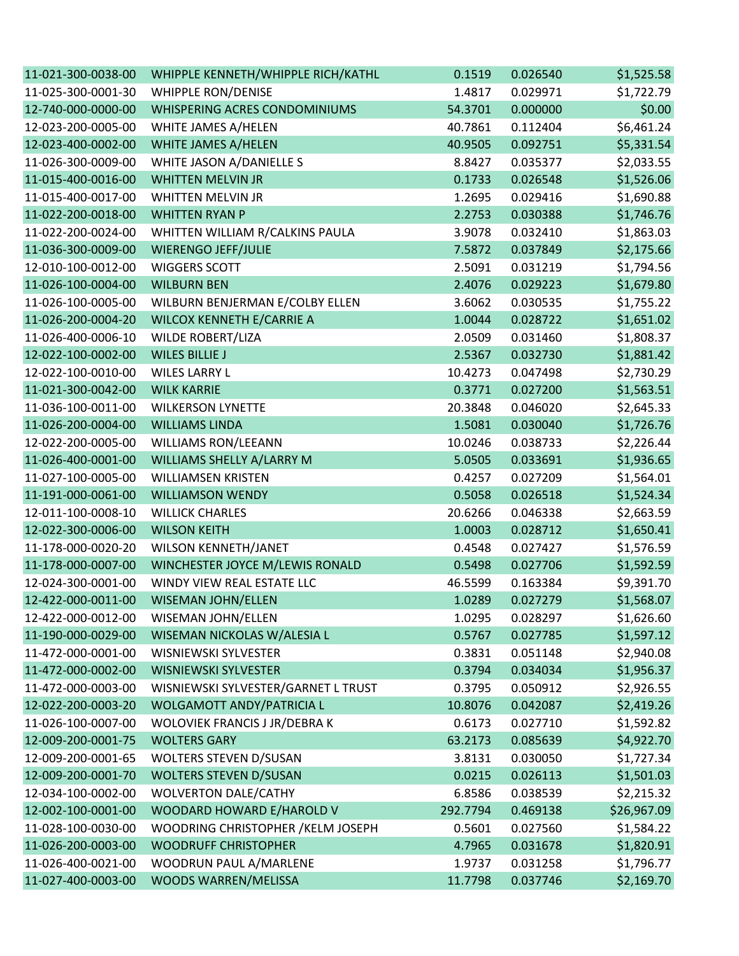| 11-021-300-0038-00 | WHIPPLE KENNETH/WHIPPLE RICH/KATHL  | 0.1519   | 0.026540 | \$1,525.58  |
|--------------------|-------------------------------------|----------|----------|-------------|
| 11-025-300-0001-30 | <b>WHIPPLE RON/DENISE</b>           | 1.4817   | 0.029971 | \$1,722.79  |
| 12-740-000-0000-00 | WHISPERING ACRES CONDOMINIUMS       | 54.3701  | 0.000000 | \$0.00      |
| 12-023-200-0005-00 | WHITE JAMES A/HELEN                 | 40.7861  | 0.112404 | \$6,461.24  |
| 12-023-400-0002-00 | WHITE JAMES A/HELEN                 | 40.9505  | 0.092751 | \$5,331.54  |
| 11-026-300-0009-00 | WHITE JASON A/DANIELLE S            | 8.8427   | 0.035377 | \$2,033.55  |
| 11-015-400-0016-00 | <b>WHITTEN MELVIN JR</b>            | 0.1733   | 0.026548 | \$1,526.06  |
| 11-015-400-0017-00 | WHITTEN MELVIN JR                   | 1.2695   | 0.029416 | \$1,690.88  |
| 11-022-200-0018-00 | <b>WHITTEN RYAN P</b>               | 2.2753   | 0.030388 | \$1,746.76  |
| 11-022-200-0024-00 | WHITTEN WILLIAM R/CALKINS PAULA     | 3.9078   | 0.032410 | \$1,863.03  |
| 11-036-300-0009-00 | <b>WIERENGO JEFF/JULIE</b>          | 7.5872   | 0.037849 | \$2,175.66  |
| 12-010-100-0012-00 | <b>WIGGERS SCOTT</b>                | 2.5091   | 0.031219 | \$1,794.56  |
| 11-026-100-0004-00 | <b>WILBURN BEN</b>                  | 2.4076   | 0.029223 | \$1,679.80  |
| 11-026-100-0005-00 | WILBURN BENJERMAN E/COLBY ELLEN     | 3.6062   | 0.030535 | \$1,755.22  |
| 11-026-200-0004-20 | WILCOX KENNETH E/CARRIE A           | 1.0044   | 0.028722 | \$1,651.02  |
| 11-026-400-0006-10 | <b>WILDE ROBERT/LIZA</b>            | 2.0509   | 0.031460 | \$1,808.37  |
| 12-022-100-0002-00 | <b>WILES BILLIE J</b>               | 2.5367   | 0.032730 | \$1,881.42  |
| 12-022-100-0010-00 | <b>WILES LARRY L</b>                | 10.4273  | 0.047498 | \$2,730.29  |
| 11-021-300-0042-00 | <b>WILK KARRIE</b>                  | 0.3771   | 0.027200 | \$1,563.51  |
| 11-036-100-0011-00 | <b>WILKERSON LYNETTE</b>            | 20.3848  | 0.046020 | \$2,645.33  |
| 11-026-200-0004-00 | <b>WILLIAMS LINDA</b>               | 1.5081   | 0.030040 | \$1,726.76  |
| 12-022-200-0005-00 | <b>WILLIAMS RON/LEEANN</b>          | 10.0246  | 0.038733 | \$2,226.44  |
| 11-026-400-0001-00 | WILLIAMS SHELLY A/LARRY M           | 5.0505   | 0.033691 | \$1,936.65  |
| 11-027-100-0005-00 | <b>WILLIAMSEN KRISTEN</b>           | 0.4257   | 0.027209 | \$1,564.01  |
| 11-191-000-0061-00 | <b>WILLIAMSON WENDY</b>             | 0.5058   | 0.026518 | \$1,524.34  |
| 12-011-100-0008-10 | <b>WILLICK CHARLES</b>              | 20.6266  | 0.046338 | \$2,663.59  |
| 12-022-300-0006-00 | <b>WILSON KEITH</b>                 | 1.0003   | 0.028712 | \$1,650.41  |
| 11-178-000-0020-20 | WILSON KENNETH/JANET                | 0.4548   | 0.027427 | \$1,576.59  |
| 11-178-000-0007-00 | WINCHESTER JOYCE M/LEWIS RONALD     | 0.5498   | 0.027706 | \$1,592.59  |
| 12-024-300-0001-00 | WINDY VIEW REAL ESTATE LLC          | 46.5599  | 0.163384 | \$9,391.70  |
| 12-422-000-0011-00 | <b>WISEMAN JOHN/ELLEN</b>           | 1.0289   | 0.027279 | \$1,568.07  |
| 12-422-000-0012-00 | WISEMAN JOHN/ELLEN                  | 1.0295   | 0.028297 | \$1,626.60  |
| 11-190-000-0029-00 | WISEMAN NICKOLAS W/ALESIA L         | 0.5767   | 0.027785 | \$1,597.12  |
| 11-472-000-0001-00 | WISNIEWSKI SYLVESTER                | 0.3831   | 0.051148 | \$2,940.08  |
| 11-472-000-0002-00 | <b>WISNIEWSKI SYLVESTER</b>         | 0.3794   | 0.034034 | \$1,956.37  |
| 11-472-000-0003-00 | WISNIEWSKI SYLVESTER/GARNET L TRUST | 0.3795   | 0.050912 | \$2,926.55  |
| 12-022-200-0003-20 | WOLGAMOTT ANDY/PATRICIA L           | 10.8076  | 0.042087 | \$2,419.26  |
| 11-026-100-0007-00 | WOLOVIEK FRANCIS J JR/DEBRA K       | 0.6173   | 0.027710 | \$1,592.82  |
| 12-009-200-0001-75 | <b>WOLTERS GARY</b>                 | 63.2173  | 0.085639 | \$4,922.70  |
| 12-009-200-0001-65 | <b>WOLTERS STEVEN D/SUSAN</b>       | 3.8131   | 0.030050 | \$1,727.34  |
| 12-009-200-0001-70 | <b>WOLTERS STEVEN D/SUSAN</b>       | 0.0215   | 0.026113 | \$1,501.03  |
| 12-034-100-0002-00 | <b>WOLVERTON DALE/CATHY</b>         | 6.8586   | 0.038539 | \$2,215.32  |
| 12-002-100-0001-00 | WOODARD HOWARD E/HAROLD V           | 292.7794 | 0.469138 | \$26,967.09 |
| 11-028-100-0030-00 | WOODRING CHRISTOPHER / KELM JOSEPH  | 0.5601   | 0.027560 | \$1,584.22  |
| 11-026-200-0003-00 | <b>WOODRUFF CHRISTOPHER</b>         | 4.7965   | 0.031678 | \$1,820.91  |
| 11-026-400-0021-00 | WOODRUN PAUL A/MARLENE              | 1.9737   | 0.031258 | \$1,796.77  |
| 11-027-400-0003-00 | WOODS WARREN/MELISSA                | 11.7798  | 0.037746 | \$2,169.70  |